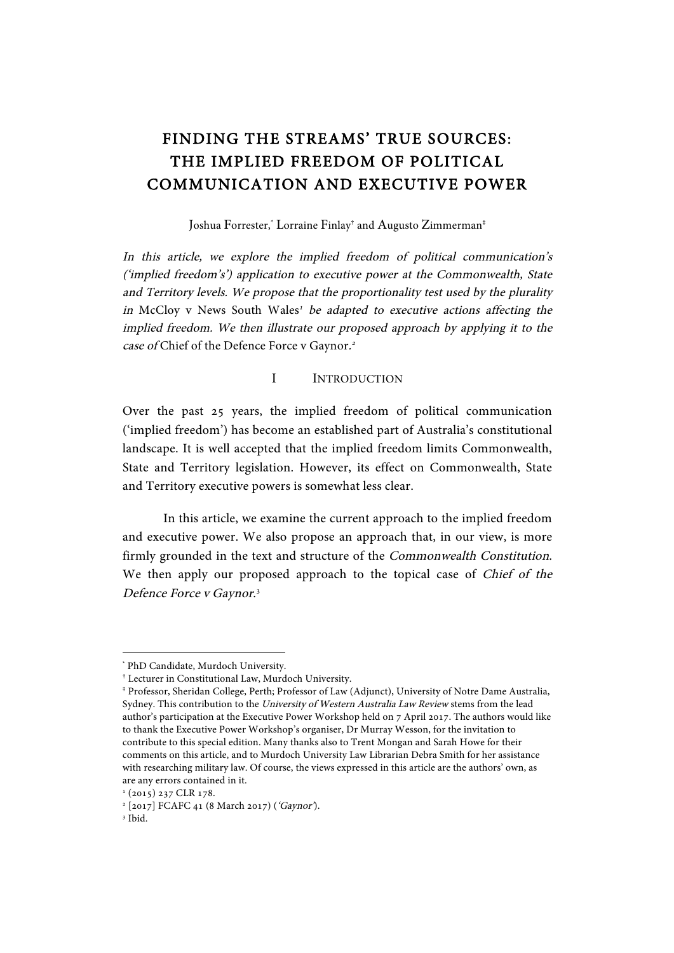# FINDING THE STREAMS' TRUE SOURCES: THE IMPLIED FREEDOM OF POLITICAL COMMUNICATION AND EXECUTIVE POWER

Joshua Forrester, \* Lorraine Finlay† and Augusto Zimmerman‡

In this article, we explore the implied freedom of political communication's ('implied freedom's') application to executive power at the Commonwealth, State and Territory levels. We propose that the proportionality test used by the plurality in McCloy v News South Wales<sup>1</sup> be adapted to executive actions affecting the implied freedom. We then illustrate our proposed approach by applying it to the case of Chief of the Defence Force v Gaynor.<sup>2</sup>

#### I INTRODUCTION

Over the past 25 years, the implied freedom of political communication ('implied freedom') has become an established part of Australia's constitutional landscape. It is well accepted that the implied freedom limits Commonwealth, State and Territory legislation. However, its effect on Commonwealth, State and Territory executive powers is somewhat less clear.

In this article, we examine the current approach to the implied freedom and executive power. We also propose an approach that, in our view, is more firmly grounded in the text and structure of the Commonwealth Constitution. We then apply our proposed approach to the topical case of Chief of the Defence Force v Gaynor.<sup>3</sup>

 \* PhD Candidate, Murdoch University.

<sup>†</sup> Lecturer in Constitutional Law, Murdoch University.

<sup>‡</sup> Professor, Sheridan College, Perth; Professor of Law (Adjunct), University of Notre Dame Australia, Sydney. This contribution to the University of Western Australia Law Review stems from the lead author's participation at the Executive Power Workshop held on 7 April 2017. The authors would like to thank the Executive Power Workshop's organiser, Dr Murray Wesson, for the invitation to contribute to this special edition. Many thanks also to Trent Mongan and Sarah Howe for their comments on this article, and to Murdoch University Law Librarian Debra Smith for her assistance with researching military law. Of course, the views expressed in this article are the authors' own, as are any errors contained in it.

 $1$  (2015) 237 CLR 178.

<sup>&</sup>lt;sup>2</sup> [2017] FCAFC 41 (8 March 2017) ('Gaynor').

<sup>3</sup> Ibid.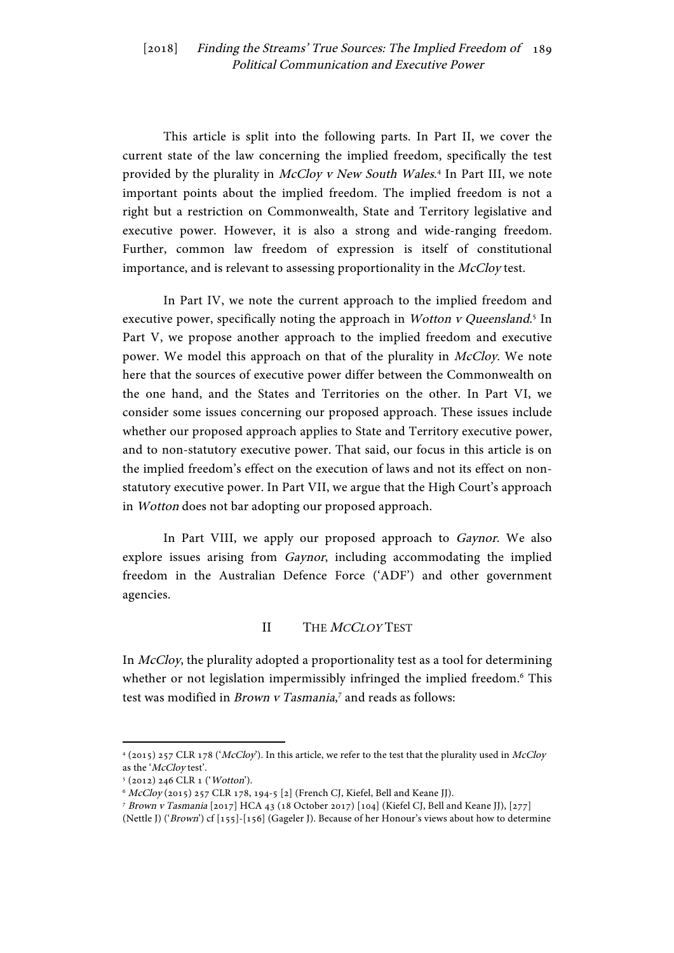This article is split into the following parts. In Part II, we cover the current state of the law concerning the implied freedom, specifically the test provided by the plurality in McCloy v New South Wales.<sup>4</sup> In Part III, we note important points about the implied freedom. The implied freedom is not a right but a restriction on Commonwealth, State and Territory legislative and executive power. However, it is also a strong and wide-ranging freedom. Further, common law freedom of expression is itself of constitutional importance, and is relevant to assessing proportionality in the McCloy test.

In Part IV, we note the current approach to the implied freedom and executive power, specifically noting the approach in Wotton v Queensland.<sup>5</sup> In Part V, we propose another approach to the implied freedom and executive power. We model this approach on that of the plurality in McCloy. We note here that the sources of executive power differ between the Commonwealth on the one hand, and the States and Territories on the other. In Part VI, we consider some issues concerning our proposed approach. These issues include whether our proposed approach applies to State and Territory executive power, and to non-statutory executive power. That said, our focus in this article is on the implied freedom's effect on the execution of laws and not its effect on nonstatutory executive power. In Part VII, we argue that the High Court's approach in Wotton does not bar adopting our proposed approach.

In Part VIII, we apply our proposed approach to *Gaynor*. We also explore issues arising from Gaynor, including accommodating the implied freedom in the Australian Defence Force ('ADF') and other government agencies.

#### II THE *MCCLOY* TEST

In McCloy, the plurality adopted a proportionality test as a tool for determining whether or not legislation impermissibly infringed the implied freedom.<sup>6</sup> This test was modified in *Brown v Tasmania*,<sup>7</sup> and reads as follows:

<sup>4</sup> (2015) 257 CLR 178 ('McCloy'). In this article, we refer to the test that the plurality used in McCloy as the 'McCloy test'.

<sup>5</sup> (2012) 246 CLR 1 ('Wotton').

 $^6$   $\emph{McCloy}$  (2015) 257 CLR 178, 194-5 [2] (French CJ, Kiefel, Bell and Keane JJ).

<sup>7</sup> Brown v Tasmania [2017] HCA 43 (18 October 2017) [104] (Kiefel CJ, Bell and Keane JJ), [277]

<sup>(</sup>Nettle J) ('Brown') cf [155]-[156] (Gageler J). Because of her Honour's views about how to determine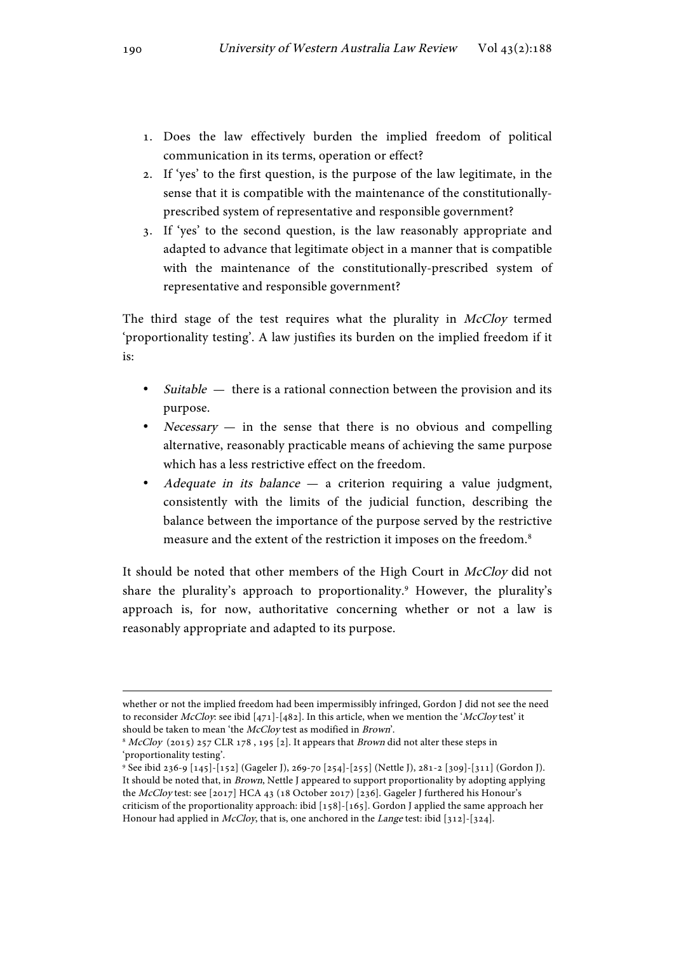- 1. Does the law effectively burden the implied freedom of political communication in its terms, operation or effect?
- 2. If 'yes' to the first question, is the purpose of the law legitimate, in the sense that it is compatible with the maintenance of the constitutionallyprescribed system of representative and responsible government?
- 3. If 'yes' to the second question, is the law reasonably appropriate and adapted to advance that legitimate object in a manner that is compatible with the maintenance of the constitutionally-prescribed system of representative and responsible government?

The third stage of the test requires what the plurality in McCloy termed 'proportionality testing'. A law justifies its burden on the implied freedom if it is:

- $\textit{Switchle}$  there is a rational connection between the provision and its purpose.
- *Necessary*  $-$  in the sense that there is no obvious and compelling alternative, reasonably practicable means of achieving the same purpose which has a less restrictive effect on the freedom.
- Adequate in its balance  $-$  a criterion requiring a value judgment, consistently with the limits of the judicial function, describing the balance between the importance of the purpose served by the restrictive measure and the extent of the restriction it imposes on the freedom.8

It should be noted that other members of the High Court in McCloy did not share the plurality's approach to proportionality.<sup>9</sup> However, the plurality's approach is, for now, authoritative concerning whether or not a law is reasonably appropriate and adapted to its purpose.

<u> 1989 - Jan Samuel Barbara, martxa eta batarra (h. 1989).</u>

whether or not the implied freedom had been impermissibly infringed, Gordon J did not see the need to reconsider McCloy: see ibid  $[471]$ - $[482]$ . In this article, when we mention the 'McCloy test' it should be taken to mean 'the McCloy test as modified in Brown'.

 $8$  McCloy (2015) 257 CLR 178, 195 [2]. It appears that *Brown* did not alter these steps in 'proportionality testing'.

<sup>9</sup> See ibid 236-9 [145]-[152] (Gageler J), 269-70 [254]-[255] (Nettle J), 281-2 [309]-[311] (Gordon J). It should be noted that, in Brown, Nettle J appeared to support proportionality by adopting applying the McCloy test: see [2017] HCA 43 (18 October 2017) [236]. Gageler J furthered his Honour's criticism of the proportionality approach: ibid [158]-[165]. Gordon J applied the same approach her Honour had applied in  $McCloy$ , that is, one anchored in the Lange test: ibid [312]-[324].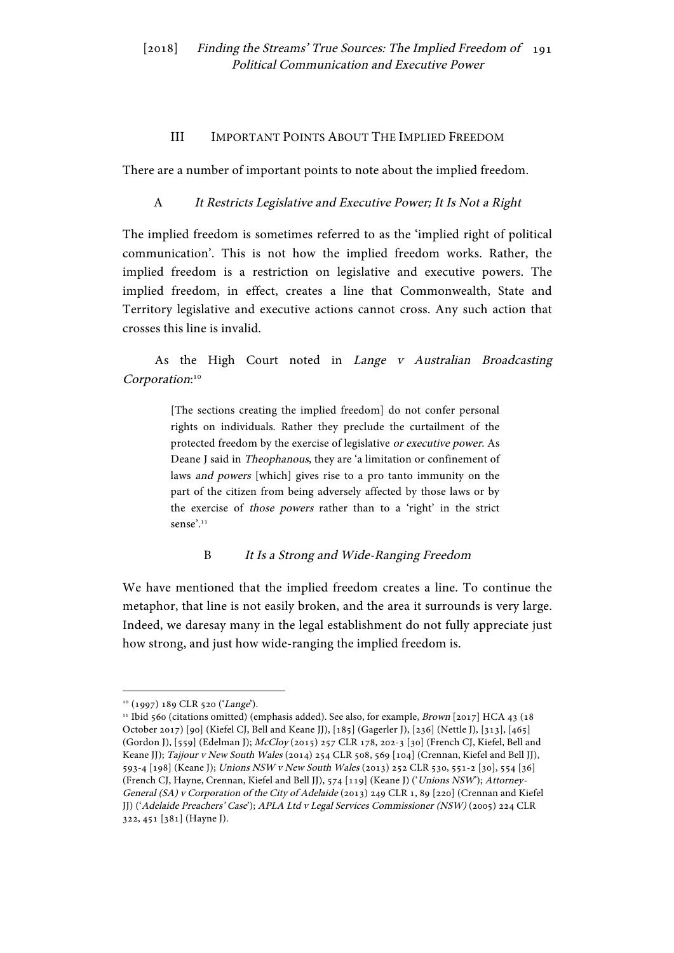#### III IMPORTANT POINTS ABOUT THE IMPLIED FREEDOM

There are a number of important points to note about the implied freedom.

## A It Restricts Legislative and Executive Power; It Is Not a Right

The implied freedom is sometimes referred to as the 'implied right of political communication'. This is not how the implied freedom works. Rather, the implied freedom is a restriction on legislative and executive powers. The implied freedom, in effect, creates a line that Commonwealth, State and Territory legislative and executive actions cannot cross. Any such action that crosses this line is invalid.

# As the High Court noted in Lange v Australian Broadcasting Corporation:<sup>10</sup>

[The sections creating the implied freedom] do not confer personal rights on individuals. Rather they preclude the curtailment of the protected freedom by the exercise of legislative or executive power. As Deane J said in Theophanous, they are 'a limitation or confinement of laws and powers [which] gives rise to a pro tanto immunity on the part of the citizen from being adversely affected by those laws or by the exercise of those powers rather than to a 'right' in the strict sense'.<sup>11</sup>

#### B It Is a Strong and Wide-Ranging Freedom

We have mentioned that the implied freedom creates a line. To continue the metaphor, that line is not easily broken, and the area it surrounds is very large. Indeed, we daresay many in the legal establishment do not fully appreciate just how strong, and just how wide-ranging the implied freedom is.

<sup>&</sup>lt;sup>10</sup> (1997) 189 CLR 520 ('Lange').

<sup>&</sup>lt;sup>11</sup> Ibid 560 (citations omitted) (emphasis added). See also, for example, *Brown* [2017] HCA 43 (18 October 2017) [90] (Kiefel CJ, Bell and Keane JJ), [185] (Gagerler J), [236] (Nettle J), [313], [465] (Gordon J), [559] (Edelman J); McCloy (2015) 257 CLR 178, 202-3 [30] (French CJ, Kiefel, Bell and Keane JJ); Tajjour v New South Wales (2014) 254 CLR 508, 569 [104] (Crennan, Kiefel and Bell JJ), 593-4 [198] (Keane J); Unions NSW v New South Wales (2013) 252 CLR 530, 551-2 [30], 554 [36] (French CJ, Hayne, Crennan, Kiefel and Bell JJ), 574 [119] (Keane J) ('Unions NSW'); Attorney-General (SA) v Corporation of the City of Adelaide (2013) 249 CLR 1, 89 [220] (Crennan and Kiefel JJ) ('Adelaide Preachers' Case'); APLA Ltd v Legal Services Commissioner (NSW) (2005) 224 CLR 322, 451 [381] (Hayne J).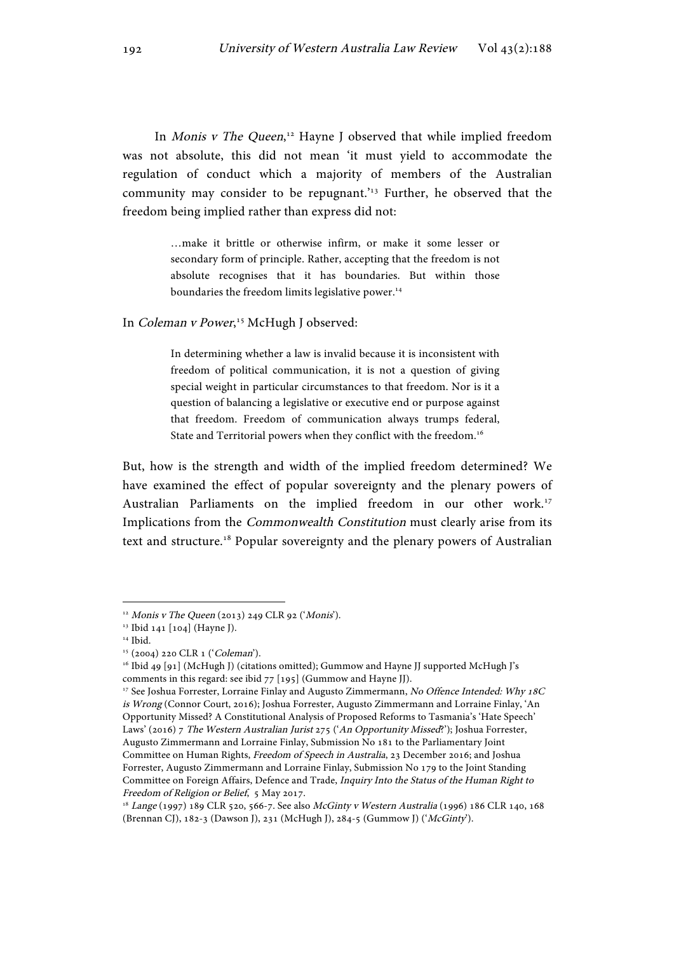In Monis v The Queen,<sup>12</sup> Hayne J observed that while implied freedom was not absolute, this did not mean 'it must yield to accommodate the regulation of conduct which a majority of members of the Australian community may consider to be repugnant.<sup> $13$ </sup> Further, he observed that the freedom being implied rather than express did not:

> …make it brittle or otherwise infirm, or make it some lesser or secondary form of principle. Rather, accepting that the freedom is not absolute recognises that it has boundaries. But within those boundaries the freedom limits legislative power.<sup>14</sup>

In Coleman v Power,<sup>15</sup> McHugh J observed:

In determining whether a law is invalid because it is inconsistent with freedom of political communication, it is not a question of giving special weight in particular circumstances to that freedom. Nor is it a question of balancing a legislative or executive end or purpose against that freedom. Freedom of communication always trumps federal, State and Territorial powers when they conflict with the freedom.<sup>16</sup>

But, how is the strength and width of the implied freedom determined? We have examined the effect of popular sovereignty and the plenary powers of Australian Parliaments on the implied freedom in our other work.17 Implications from the Commonwealth Constitution must clearly arise from its text and structure.<sup>18</sup> Popular sovereignty and the plenary powers of Australian

<sup>&</sup>lt;sup>12</sup> Monis v The Queen (2013) 249 CLR 92 ('Monis').

<sup>13</sup> Ibid 141 [104] (Hayne J).

 $^{\scriptscriptstyle 14}$  Ibid.

<sup>15</sup> (2004) 220 CLR 1 ('Coleman').

<sup>&</sup>lt;sup>16</sup> Ibid 49 [91] (McHugh J) (citations omitted); Gummow and Hayne JJ supported McHugh J's comments in this regard: see ibid 77 [195] (Gummow and Hayne JJ).

<sup>&</sup>lt;sup>17</sup> See Joshua Forrester, Lorraine Finlay and Augusto Zimmermann, No Offence Intended: Why 18C is Wrong (Connor Court, 2016); Joshua Forrester, Augusto Zimmermann and Lorraine Finlay, 'An Opportunity Missed? A Constitutional Analysis of Proposed Reforms to Tasmania's 'Hate Speech' Laws' (2016) 7 The Western Australian Jurist 275 ('An Opportunity Missed?'); Joshua Forrester, Augusto Zimmermann and Lorraine Finlay, Submission No 181 to the Parliamentary Joint Committee on Human Rights, Freedom of Speech in Australia, 23 December 2016; and Joshua Forrester, Augusto Zimmermann and Lorraine Finlay, Submission No 179 to the Joint Standing Committee on Foreign Affairs, Defence and Trade, Inquiry Into the Status of the Human Right to Freedom of Religion or Belief, 5 May 2017.

<sup>18</sup> Lange (1997) 189 CLR 520, 566-7. See also McGinty v Western Australia (1996) 186 CLR 140, 168 (Brennan CJ), 182-3 (Dawson J), 231 (McHugh J), 284-5 (Gummow J) ('McGinty').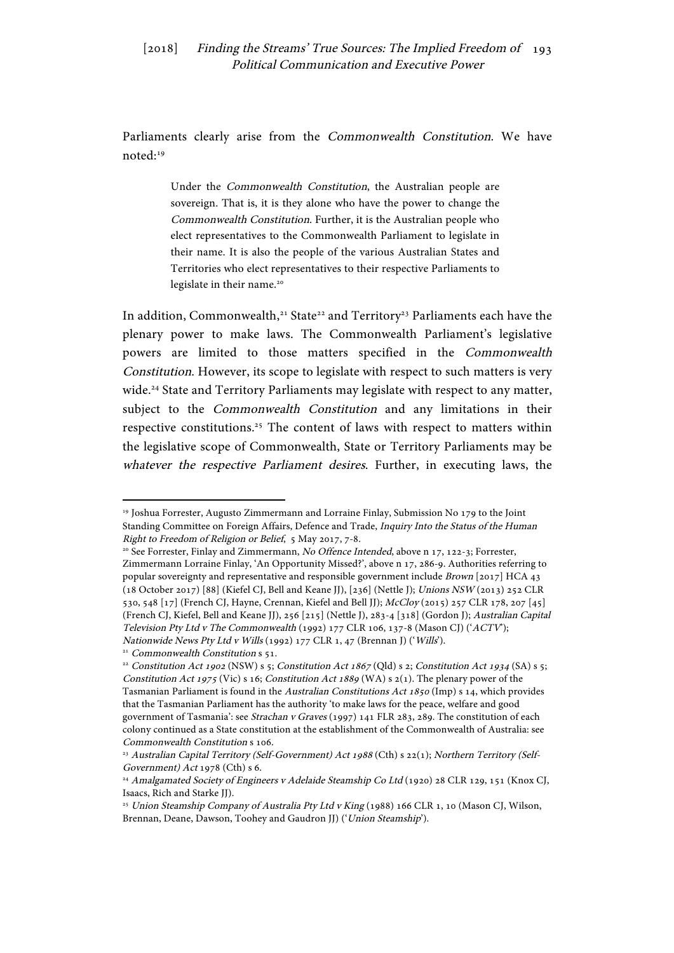Parliaments clearly arise from the Commonwealth Constitution. We have noted:19

> Under the Commonwealth Constitution, the Australian people are sovereign. That is, it is they alone who have the power to change the Commonwealth Constitution. Further, it is the Australian people who elect representatives to the Commonwealth Parliament to legislate in their name. It is also the people of the various Australian States and Territories who elect representatives to their respective Parliaments to legislate in their name.<sup>20</sup>

In addition, Commonwealth,<sup>21</sup> State<sup>22</sup> and Territory<sup>23</sup> Parliaments each have the plenary power to make laws. The Commonwealth Parliament's legislative powers are limited to those matters specified in the Commonwealth Constitution. However, its scope to legislate with respect to such matters is very wide. <sup>24</sup> State and Territory Parliaments may legislate with respect to any matter, subject to the Commonwealth Constitution and any limitations in their respective constitutions.<sup>25</sup> The content of laws with respect to matters within the legislative scope of Commonwealth, State or Territory Parliaments may be whatever the respective Parliament desires. Further, in executing laws, the

<sup>&</sup>lt;sup>19</sup> Joshua Forrester, Augusto Zimmermann and Lorraine Finlay, Submission No 179 to the Joint Standing Committee on Foreign Affairs, Defence and Trade, Inquiry Into the Status of the Human Right to Freedom of Religion or Belief, 5 May 2017, 7-8.<br><sup>20</sup> See Forrester, Finlay and Zimmermann, *No Offence Intended*, above n 17, 122-3; Forrester,

Zimmermann Lorraine Finlay, 'An Opportunity Missed?', above n 17, 286-9. Authorities referring to popular sovereignty and representative and responsible government include Brown [2017] HCA 43 (18 October 2017) [88] (Kiefel CJ, Bell and Keane JJ), [236] (Nettle J); Unions NSW (2013) 252 CLR 530, 548 [17] (French CJ, Hayne, Crennan, Kiefel and Bell JJ); McCloy (2015) 257 CLR 178, 207 [45] (French CJ, Kiefel, Bell and Keane JJ), 256 [215] (Nettle J), 283-4 [318] (Gordon J); Australian Capital Television Pty Ltd v The Commonwealth (1992) 177 CLR 106, 137-8 (Mason CJ) ('ACTV'); Nationwide News Pty Ltd v Wills (1992) 177 CLR 1, 47 (Brennan J) ('Wills').

<sup>&</sup>lt;sup>21</sup> Commonwealth Constitution s 51.

<sup>&</sup>lt;sup>22</sup> Constitution Act 1902 (NSW) s 5; Constitution Act 1867 (Qld) s 2; Constitution Act 1934 (SA) s 5; Constitution Act 1975 (Vic) s 16; Constitution Act 1889 (WA) s  $2(1)$ . The plenary power of the Tasmanian Parliament is found in the Australian Constitutions Act 1850 (Imp) s 14, which provides that the Tasmanian Parliament has the authority 'to make laws for the peace, welfare and good government of Tasmania': see Strachan v Graves (1997) 141 FLR 283, 289. The constitution of each colony continued as a State constitution at the establishment of the Commonwealth of Australia: see Commonwealth Constitution s 106.

<sup>&</sup>lt;sup>23</sup> Australian Capital Territory (Self-Government) Act 1988 (Cth) s 22(1); Northern Territory (Self-Government) Act 1978 (Cth) s 6.

<sup>&</sup>lt;sup>24</sup> Amalgamated Society of Engineers v Adelaide Steamship Co Ltd (1920) 28 CLR 129, 151 (Knox CJ, Isaacs, Rich and Starke JJ).

<sup>&</sup>lt;sup>25</sup> Union Steamship Company of Australia Pty Ltd v King (1988) 166 CLR 1, 10 (Mason CJ, Wilson, Brennan, Deane, Dawson, Toohey and Gaudron JJ) ('Union Steamship').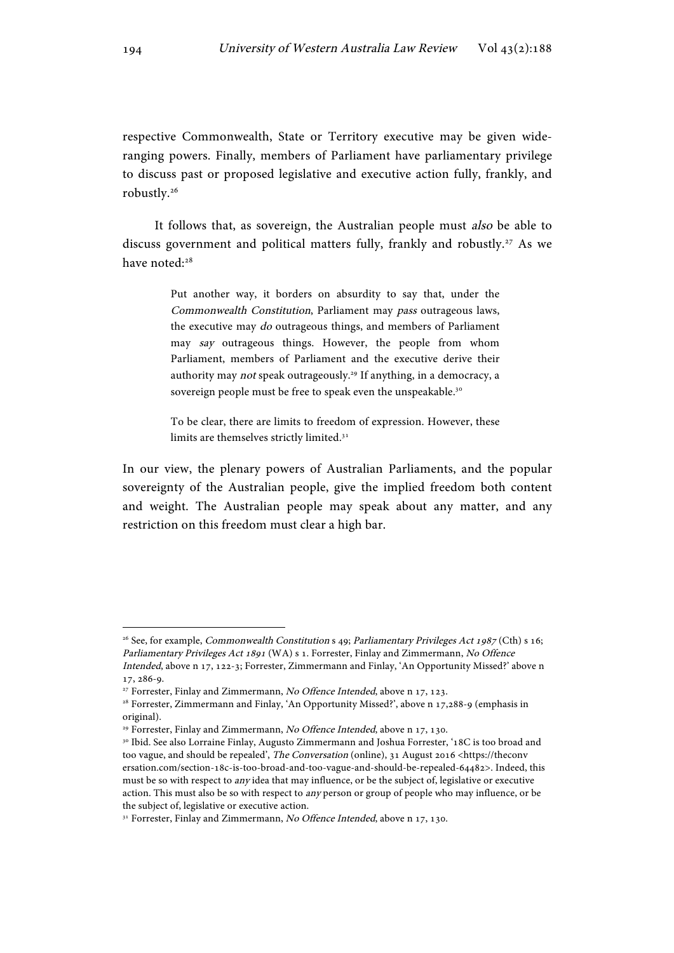respective Commonwealth, State or Territory executive may be given wideranging powers. Finally, members of Parliament have parliamentary privilege to discuss past or proposed legislative and executive action fully, frankly, and robustly.26

It follows that, as sovereign, the Australian people must also be able to discuss government and political matters fully, frankly and robustly.<sup>27</sup> As we have noted:<sup>28</sup>

> Put another way, it borders on absurdity to say that, under the Commonwealth Constitution, Parliament may pass outrageous laws, the executive may do outrageous things, and members of Parliament may say outrageous things. However, the people from whom Parliament, members of Parliament and the executive derive their authority may not speak outrageously.<sup>29</sup> If anything, in a democracy, a sovereign people must be free to speak even the unspeakable.<sup>30</sup>

> To be clear, there are limits to freedom of expression. However, these limits are themselves strictly limited.<sup>31</sup>

In our view, the plenary powers of Australian Parliaments, and the popular sovereignty of the Australian people, give the implied freedom both content and weight. The Australian people may speak about any matter, and any restriction on this freedom must clear a high bar.

<sup>&</sup>lt;sup>26</sup> See, for example, *Commonwealth Constitution* s 49; *Parliamentary Privileges Act 1987* (Cth) s 16; Parliamentary Privileges Act 1891 (WA) s 1. Forrester, Finlay and Zimmermann, No Offence Intended, above n 17, 122-3; Forrester, Zimmermann and Finlay, 'An Opportunity Missed?' above n 17, 286-9.

<sup>&</sup>lt;sup>27</sup> Forrester, Finlay and Zimmermann, No Offence Intended, above n 17, 123.

<sup>28</sup> Forrester, Zimmermann and Finlay, 'An Opportunity Missed?', above n 17,288-9 (emphasis in original).

<sup>&</sup>lt;sup>29</sup> Forrester, Finlay and Zimmermann, No Offence Intended, above n 17, 130.

<sup>&</sup>lt;sup>30</sup> Ibid. See also Lorraine Finlay, Augusto Zimmermann and Joshua Forrester, '18C is too broad and too vague, and should be repealed', *The Conversation* (online), 31 August 2016 <https://theconv ersation.com/section-18c-is-too-broad-and-too-vague-and-should-be-repealed-64482>. Indeed, this must be so with respect to any idea that may influence, or be the subject of, legislative or executive action. This must also be so with respect to any person or group of people who may influence, or be the subject of, legislative or executive action.

 $31$  Forrester, Finlay and Zimmermann, No Offence Intended, above n 17, 130.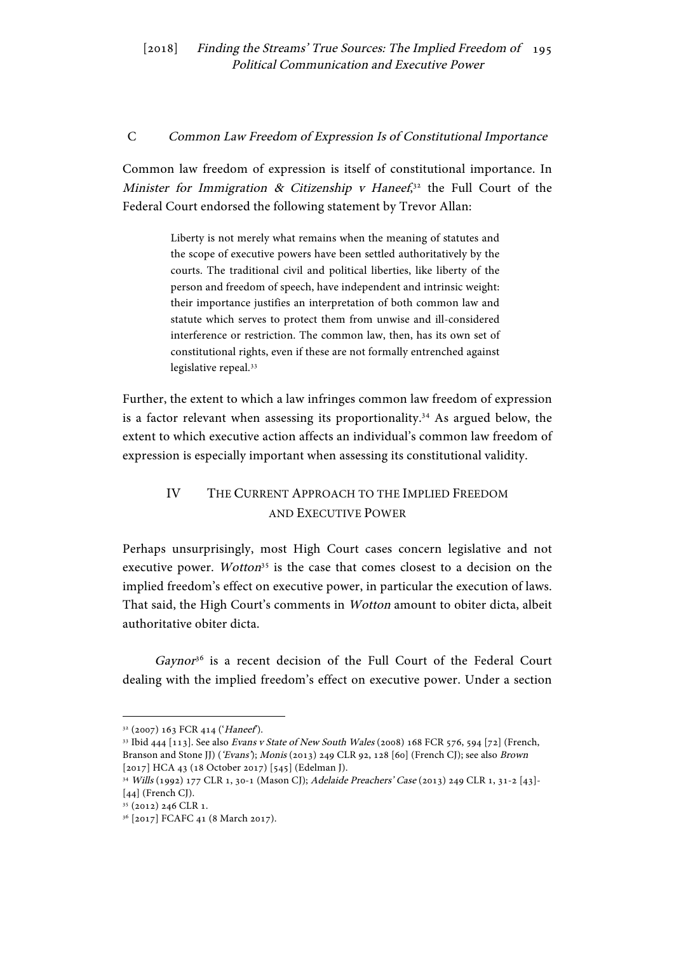#### C Common Law Freedom of Expression Is of Constitutional Importance

Common law freedom of expression is itself of constitutional importance. In Minister for Immigration & Citizenship v Haneef,<sup>32</sup> the Full Court of the Federal Court endorsed the following statement by Trevor Allan:

> Liberty is not merely what remains when the meaning of statutes and the scope of executive powers have been settled authoritatively by the courts. The traditional civil and political liberties, like liberty of the person and freedom of speech, have independent and intrinsic weight: their importance justifies an interpretation of both common law and statute which serves to protect them from unwise and ill-considered interference or restriction. The common law, then, has its own set of constitutional rights, even if these are not formally entrenched against legislative repeal.<sup>33</sup>

Further, the extent to which a law infringes common law freedom of expression is a factor relevant when assessing its proportionality.34 As argued below, the extent to which executive action affects an individual's common law freedom of expression is especially important when assessing its constitutional validity.

# IV THE CURRENT APPROACH TO THE IMPLIED FREEDOM AND EXECUTIVE POWER

Perhaps unsurprisingly, most High Court cases concern legislative and not executive power. Wotton<sup>35</sup> is the case that comes closest to a decision on the implied freedom's effect on executive power, in particular the execution of laws. That said, the High Court's comments in Wotton amount to obiter dicta, albeit authoritative obiter dicta.

Gaynor<sup>36</sup> is a recent decision of the Full Court of the Federal Court dealing with the implied freedom's effect on executive power. Under a section

 $32$  (2007) 163 FCR 414 ('Haneef').<br><sup>33</sup> Ibid 444 [113]. See also *Evans v State of New South Wales* (2008) 168 FCR 576, 594 [72] (French, Branson and Stone JJ) ('Evans'); Monis (2013) 249 CLR 92, 128 [60] (French CJ); see also Brown [2017] HCA 43 (18 October 2017) [545] (Edelman J).

<sup>34</sup> Wills (1992) 177 CLR 1, 30-1 (Mason CJ); Adelaide Preachers' Case (2013) 249 CLR 1, 31-2 [43]- [44] (French CJ).

<sup>35</sup> (2012) 246 CLR 1.

<sup>36</sup> [2017] FCAFC 41 (8 March 2017).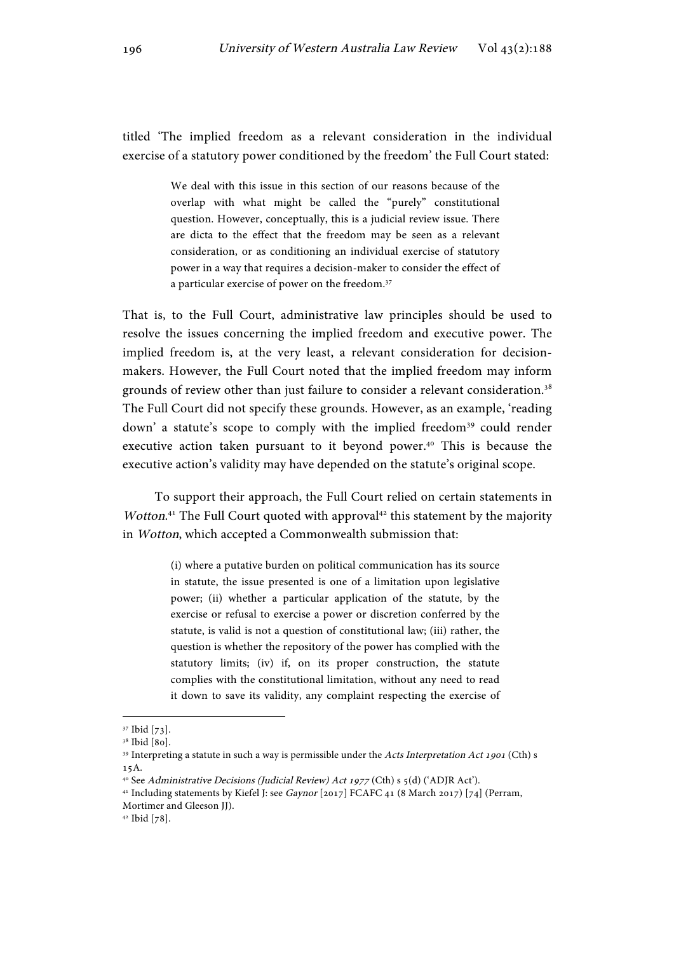titled 'The implied freedom as a relevant consideration in the individual exercise of a statutory power conditioned by the freedom' the Full Court stated:

> We deal with this issue in this section of our reasons because of the overlap with what might be called the "purely" constitutional question. However, conceptually, this is a judicial review issue. There are dicta to the effect that the freedom may be seen as a relevant consideration, or as conditioning an individual exercise of statutory power in a way that requires a decision-maker to consider the effect of a particular exercise of power on the freedom.<sup>37</sup>

That is, to the Full Court, administrative law principles should be used to resolve the issues concerning the implied freedom and executive power. The implied freedom is, at the very least, a relevant consideration for decisionmakers. However, the Full Court noted that the implied freedom may inform grounds of review other than just failure to consider a relevant consideration.38 The Full Court did not specify these grounds. However, as an example, 'reading down' a statute's scope to comply with the implied freedom<sup>39</sup> could render executive action taken pursuant to it beyond power.<sup>40</sup> This is because the executive action's validity may have depended on the statute's original scope.

To support their approach, the Full Court relied on certain statements in Wotton.<sup>41</sup> The Full Court quoted with approval<sup>42</sup> this statement by the majority in Wotton, which accepted a Commonwealth submission that:

> (i) where a putative burden on political communication has its source in statute, the issue presented is one of a limitation upon legislative power; (ii) whether a particular application of the statute, by the exercise or refusal to exercise a power or discretion conferred by the statute, is valid is not a question of constitutional law; (iii) rather, the question is whether the repository of the power has complied with the statutory limits; (iv) if, on its proper construction, the statute complies with the constitutional limitation, without any need to read it down to save its validity, any complaint respecting the exercise of

<sup>37</sup> Ibid [73].

<sup>&</sup>lt;sup>38</sup> Ibid [80].

<sup>&</sup>lt;sup>39</sup> Interpreting a statute in such a way is permissible under the Acts Interpretation Act 1901 (Cth) s 15A.

<sup>&</sup>lt;sup>40</sup> See Administrative Decisions (Judicial Review) Act 1977 (Cth) s 5(d) ('ADJR Act').

<sup>&</sup>lt;sup>41</sup> Including statements by Kiefel J: see Gaynor [2017] FCAFC 41 (8 March 2017) [74] (Perram, Mortimer and Gleeson JJ).

<sup>42</sup> Ibid [78].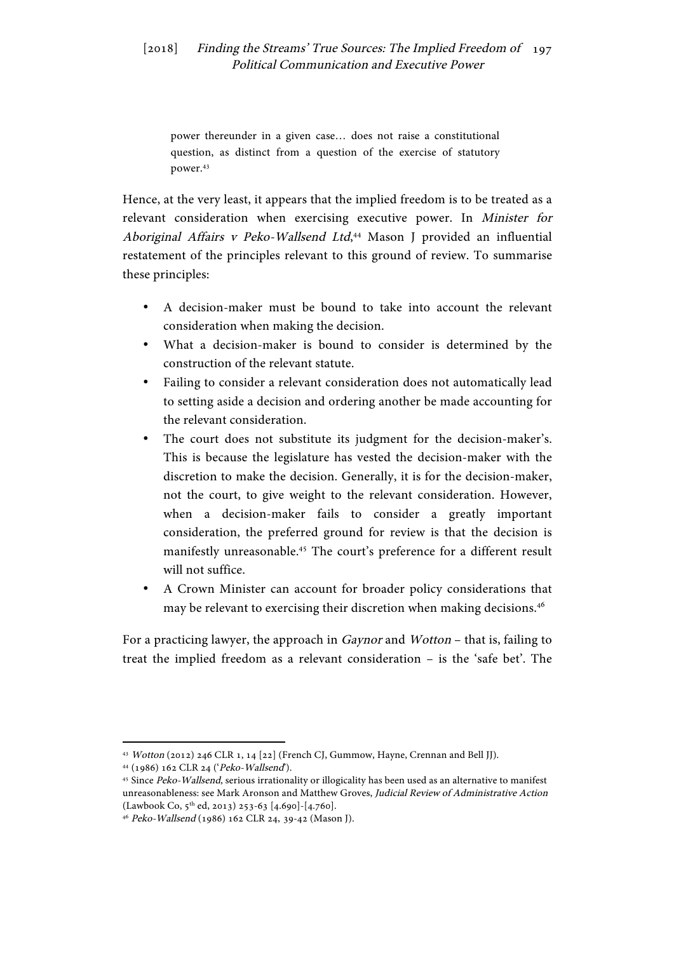power thereunder in a given case… does not raise a constitutional question, as distinct from a question of the exercise of statutory power.43

Hence, at the very least, it appears that the implied freedom is to be treated as a relevant consideration when exercising executive power. In Minister for Aboriginal Affairs v Peko-Wallsend Ltd,<sup>44</sup> Mason J provided an influential restatement of the principles relevant to this ground of review. To summarise these principles:

- A decision-maker must be bound to take into account the relevant consideration when making the decision.
- What a decision-maker is bound to consider is determined by the construction of the relevant statute.
- Failing to consider a relevant consideration does not automatically lead to setting aside a decision and ordering another be made accounting for the relevant consideration.
- The court does not substitute its judgment for the decision-maker's. This is because the legislature has vested the decision-maker with the discretion to make the decision. Generally, it is for the decision-maker, not the court, to give weight to the relevant consideration. However, when a decision-maker fails to consider a greatly important consideration, the preferred ground for review is that the decision is manifestly unreasonable.45 The court's preference for a different result will not suffice.
- A Crown Minister can account for broader policy considerations that may be relevant to exercising their discretion when making decisions.<sup>46</sup>

For a practicing lawyer, the approach in Gaynor and Wotton – that is, failing to treat the implied freedom as a relevant consideration – is the 'safe bet'. The

<sup>43</sup> Wotton (2012) 246 CLR 1, 14 [22] (French CJ, Gummow, Hayne, Crennan and Bell JJ).

<sup>&</sup>lt;sup>44</sup> (1986) 162 CLR 24 (*'Peko-Wallsend*').<br><sup>45</sup> Since *Peko-Wallsend*, serious irrationality or illogicality has been used as an alternative to manifest unreasonableness: see Mark Aronson and Matthew Groves, Judicial Review of Administrative Action  $(Lawbook Co, 5<sup>th</sup> ed, 2013) 253-63 [4.690] - [4.760].$ 

<sup>46</sup> Peko-Wallsend (1986) 162 CLR 24, 39-42 (Mason J).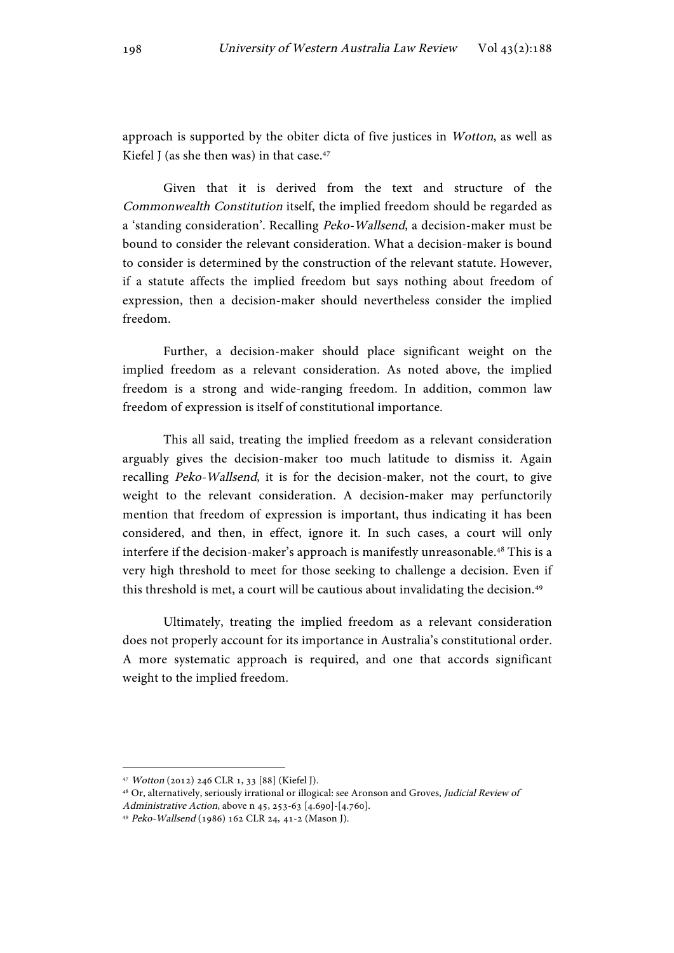approach is supported by the obiter dicta of five justices in Wotton, as well as Kiefel I (as she then was) in that case. $47$ 

Given that it is derived from the text and structure of the Commonwealth Constitution itself, the implied freedom should be regarded as a 'standing consideration'. Recalling Peko-Wallsend, a decision-maker must be bound to consider the relevant consideration. What a decision-maker is bound to consider is determined by the construction of the relevant statute. However, if a statute affects the implied freedom but says nothing about freedom of expression, then a decision-maker should nevertheless consider the implied freedom.

Further, a decision-maker should place significant weight on the implied freedom as a relevant consideration. As noted above, the implied freedom is a strong and wide-ranging freedom. In addition, common law freedom of expression is itself of constitutional importance.

This all said, treating the implied freedom as a relevant consideration arguably gives the decision-maker too much latitude to dismiss it. Again recalling Peko-Wallsend, it is for the decision-maker, not the court, to give weight to the relevant consideration. A decision-maker may perfunctorily mention that freedom of expression is important, thus indicating it has been considered, and then, in effect, ignore it. In such cases, a court will only interfere if the decision-maker's approach is manifestly unreasonable.<sup>48</sup> This is a very high threshold to meet for those seeking to challenge a decision. Even if this threshold is met, a court will be cautious about invalidating the decision.<sup>49</sup>

Ultimately, treating the implied freedom as a relevant consideration does not properly account for its importance in Australia's constitutional order. A more systematic approach is required, and one that accords significant weight to the implied freedom.

<sup>47</sup> Wotton (2012) 246 CLR 1, 33 [88] (Kiefel J).

<sup>&</sup>lt;sup>48</sup> Or, alternatively, seriously irrational or illogical: see Aronson and Groves, Judicial Review of Administrative Action, above n 45, 253-63 [4.690]-[4.760].

<sup>49</sup> Peko-Wallsend (1986) 162 CLR 24, 41-2 (Mason J).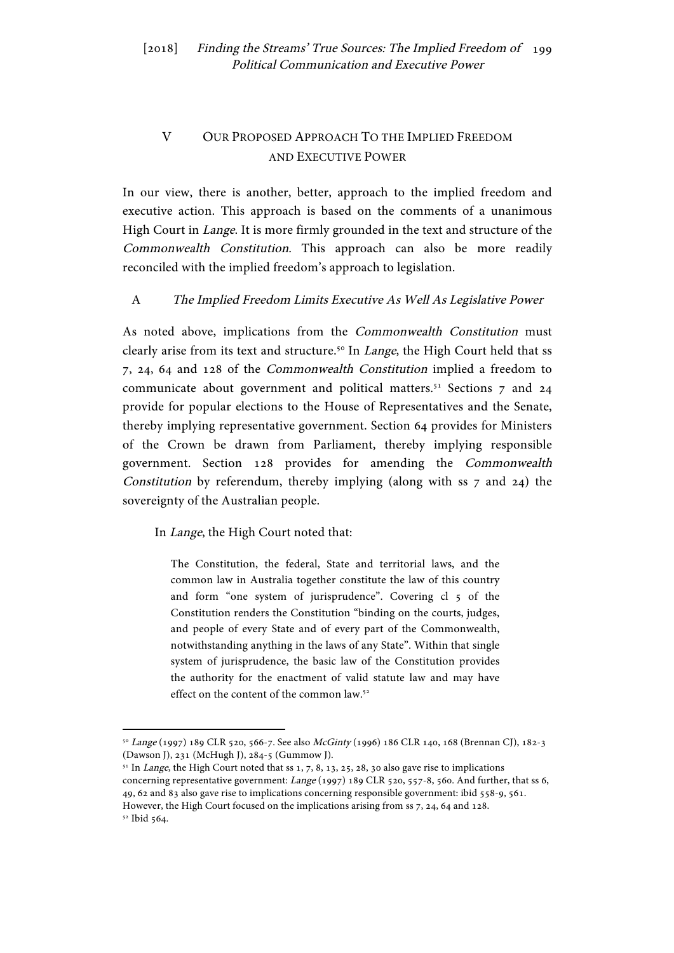# V OUR PROPOSED APPROACH TO THE IMPLIED FREEDOM AND EXECUTIVE POWER

In our view, there is another, better, approach to the implied freedom and executive action. This approach is based on the comments of a unanimous High Court in Lange. It is more firmly grounded in the text and structure of the Commonwealth Constitution. This approach can also be more readily reconciled with the implied freedom's approach to legislation.

## A The Implied Freedom Limits Executive As Well As Legislative Power

As noted above, implications from the Commonwealth Constitution must clearly arise from its text and structure.<sup>50</sup> In *Lange*, the High Court held that ss 7, 24, 64 and 128 of the Commonwealth Constitution implied a freedom to communicate about government and political matters.<sup>51</sup> Sections 7 and 24 provide for popular elections to the House of Representatives and the Senate, thereby implying representative government. Section 64 provides for Ministers of the Crown be drawn from Parliament, thereby implying responsible government. Section 128 provides for amending the Commonwealth Constitution by referendum, thereby implying (along with ss 7 and 24) the sovereignty of the Australian people.

#### In Lange, the High Court noted that:

 

The Constitution, the federal, State and territorial laws, and the common law in Australia together constitute the law of this country and form "one system of jurisprudence". Covering cl 5 of the Constitution renders the Constitution "binding on the courts, judges, and people of every State and of every part of the Commonwealth, notwithstanding anything in the laws of any State". Within that single system of jurisprudence, the basic law of the Constitution provides the authority for the enactment of valid statute law and may have effect on the content of the common law.<sup>52</sup>

<sup>50</sup> Lange (1997) 189 CLR 520, 566-7. See also McGinty (1996) 186 CLR 140, 168 (Brennan CJ), 182-3 (Dawson J), 231 (McHugh J), 284-5 (Gummow J).

 $51$  In *Lange*, the High Court noted that ss 1, 7, 8, 13, 25, 28, 30 also gave rise to implications concerning representative government: Lange (1997) 189 CLR 520, 557-8, 560. And further, that ss 6, 49, 62 and 83 also gave rise to implications concerning responsible government: ibid 558-9, 561. However, the High Court focused on the implications arising from ss 7, 24, 64 and 128. <sup>52</sup> Ibid 564.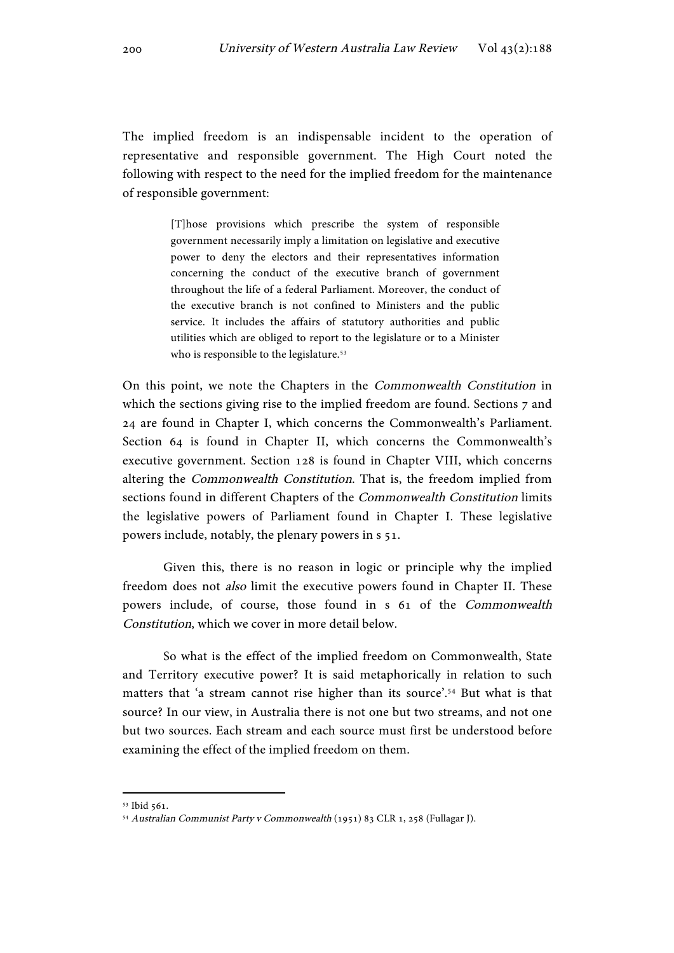The implied freedom is an indispensable incident to the operation of representative and responsible government. The High Court noted the following with respect to the need for the implied freedom for the maintenance of responsible government:

> [T]hose provisions which prescribe the system of responsible government necessarily imply a limitation on legislative and executive power to deny the electors and their representatives information concerning the conduct of the executive branch of government throughout the life of a federal Parliament. Moreover, the conduct of the executive branch is not confined to Ministers and the public service. It includes the affairs of statutory authorities and public utilities which are obliged to report to the legislature or to a Minister who is responsible to the legislature.<sup>53</sup>

On this point, we note the Chapters in the Commonwealth Constitution in which the sections giving rise to the implied freedom are found. Sections 7 and 24 are found in Chapter I, which concerns the Commonwealth's Parliament. Section 64 is found in Chapter II, which concerns the Commonwealth's executive government. Section 128 is found in Chapter VIII, which concerns altering the Commonwealth Constitution. That is, the freedom implied from sections found in different Chapters of the Commonwealth Constitution limits the legislative powers of Parliament found in Chapter I. These legislative powers include, notably, the plenary powers in s 51.

Given this, there is no reason in logic or principle why the implied freedom does not also limit the executive powers found in Chapter II. These powers include, of course, those found in s 61 of the Commonwealth Constitution, which we cover in more detail below.

So what is the effect of the implied freedom on Commonwealth, State and Territory executive power? It is said metaphorically in relation to such matters that 'a stream cannot rise higher than its source'.54 But what is that source? In our view, in Australia there is not one but two streams, and not one but two sources. Each stream and each source must first be understood before examining the effect of the implied freedom on them.

<sup>53</sup> Ibid 561.

<sup>54</sup> Australian Communist Party v Commonwealth (1951) 83 CLR 1, 258 (Fullagar J).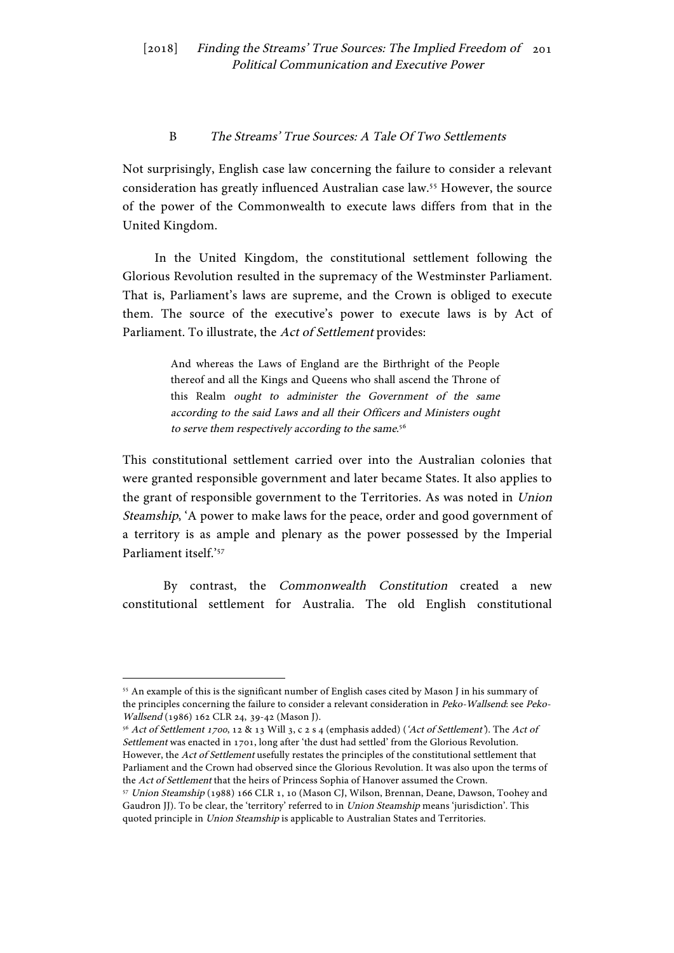#### B The Streams' True Sources: A Tale Of Two Settlements

Not surprisingly, English case law concerning the failure to consider a relevant consideration has greatly influenced Australian case law.55 However, the source of the power of the Commonwealth to execute laws differs from that in the United Kingdom.

In the United Kingdom, the constitutional settlement following the Glorious Revolution resulted in the supremacy of the Westminster Parliament. That is, Parliament's laws are supreme, and the Crown is obliged to execute them. The source of the executive's power to execute laws is by Act of Parliament. To illustrate, the Act of Settlement provides:

> And whereas the Laws of England are the Birthright of the People thereof and all the Kings and Queens who shall ascend the Throne of this Realm ought to administer the Government of the same according to the said Laws and all their Officers and Ministers ought to serve them respectively according to the same.<sup>56</sup>

This constitutional settlement carried over into the Australian colonies that were granted responsible government and later became States. It also applies to the grant of responsible government to the Territories. As was noted in Union Steamship, 'A power to make laws for the peace, order and good government of a territory is as ample and plenary as the power possessed by the Imperial Parliament itself.'57

By contrast, the Commonwealth Constitution created a new constitutional settlement for Australia. The old English constitutional

<sup>55</sup> An example of this is the significant number of English cases cited by Mason J in his summary of the principles concerning the failure to consider a relevant consideration in Peko-Wallsend: see Peko-Wallsend (1986) 162 CLR 24, 39-42 (Mason J).

<sup>56</sup> Act of Settlement <sup>1700</sup>, 12 & 13 Will 3, c 2 s 4 (emphasis added) ('Act of Settlement'). The Act of Settlement was enacted in 1701, long after 'the dust had settled' from the Glorious Revolution. However, the Act of Settlement usefully restates the principles of the constitutional settlement that Parliament and the Crown had observed since the Glorious Revolution. It was also upon the terms of the Act of Settlement that the heirs of Princess Sophia of Hanover assumed the Crown.<br><sup>57</sup> Union Steamship (1988) 166 CLR 1, 10 (Mason CJ, Wilson, Brennan, Deane, Dawson, Toohey and

Gaudron JJ). To be clear, the 'territory' referred to in *Union Steamship* means 'jurisdiction'. This quoted principle in Union Steamship is applicable to Australian States and Territories.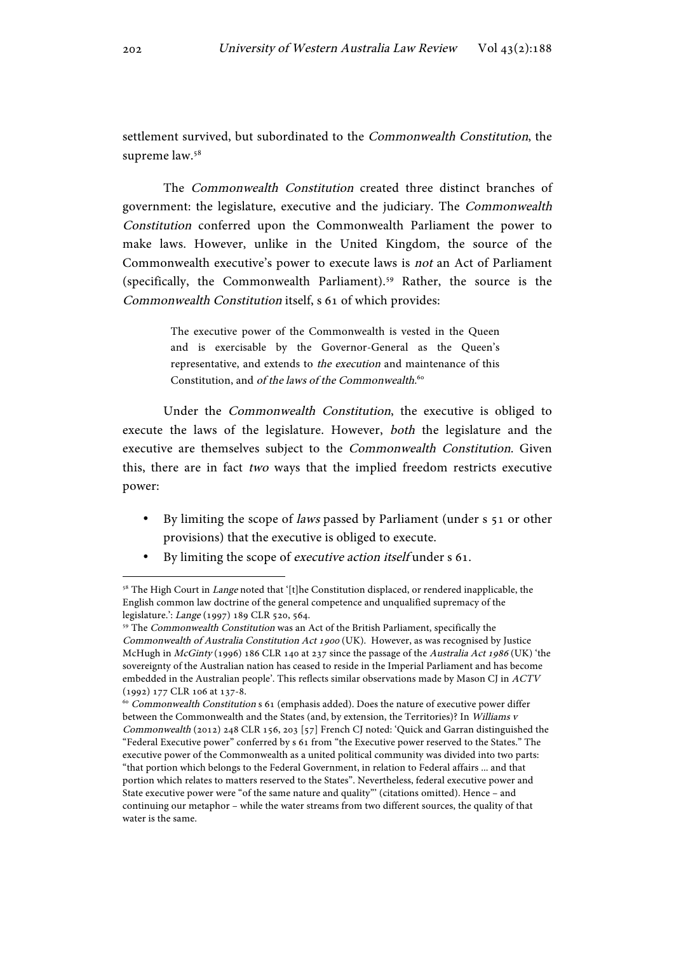settlement survived, but subordinated to the Commonwealth Constitution, the supreme law.58

The Commonwealth Constitution created three distinct branches of government: the legislature, executive and the judiciary. The Commonwealth Constitution conferred upon the Commonwealth Parliament the power to make laws. However, unlike in the United Kingdom, the source of the Commonwealth executive's power to execute laws is not an Act of Parliament (specifically, the Commonwealth Parliament).59 Rather, the source is the Commonwealth Constitution itself, s 61 of which provides:

> The executive power of the Commonwealth is vested in the Queen and is exercisable by the Governor-General as the Queen's representative, and extends to the execution and maintenance of this Constitution, and of the laws of the Commonwealth.<sup>60</sup>

Under the Commonwealth Constitution, the executive is obliged to execute the laws of the legislature. However, both the legislature and the executive are themselves subject to the Commonwealth Constitution. Given this, there are in fact two ways that the implied freedom restricts executive power:

- By limiting the scope of *laws* passed by Parliament (under s 51 or other provisions) that the executive is obliged to execute.
- By limiting the scope of executive action itself under s 61.

<sup>&</sup>lt;sup>58</sup> The High Court in *Lange* noted that '[t]he Constitution displaced, or rendered inapplicable, the English common law doctrine of the general competence and unqualified supremacy of the legislature.': Lange (1997) 189 CLR 520, 564.

<sup>59</sup> The Commonwealth Constitution was an Act of the British Parliament, specifically the Commonwealth of Australia Constitution Act 1900 (UK). However, as was recognised by Justice McHugh in McGinty (1996) 186 CLR 140 at 237 since the passage of the Australia Act 1986 (UK) 'the sovereignty of the Australian nation has ceased to reside in the Imperial Parliament and has become embedded in the Australian people'. This reflects similar observations made by Mason CJ in ACTV (1992) 177 CLR 106 at 137-8.

 $^{60}$  Commonwealth Constitution s 61 (emphasis added). Does the nature of executive power differ between the Commonwealth and the States (and, by extension, the Territories)? In Williams v Commonwealth (2012) 248 CLR 156, 203 [57] French CJ noted: 'Quick and Garran distinguished the "Federal Executive power" conferred by s 61 from "the Executive power reserved to the States." The executive power of the Commonwealth as a united political community was divided into two parts: "that portion which belongs to the Federal Government, in relation to Federal affairs ... and that portion which relates to matters reserved to the States". Nevertheless, federal executive power and State executive power were "of the same nature and quality"' (citations omitted). Hence – and continuing our metaphor – while the water streams from two different sources, the quality of that water is the same.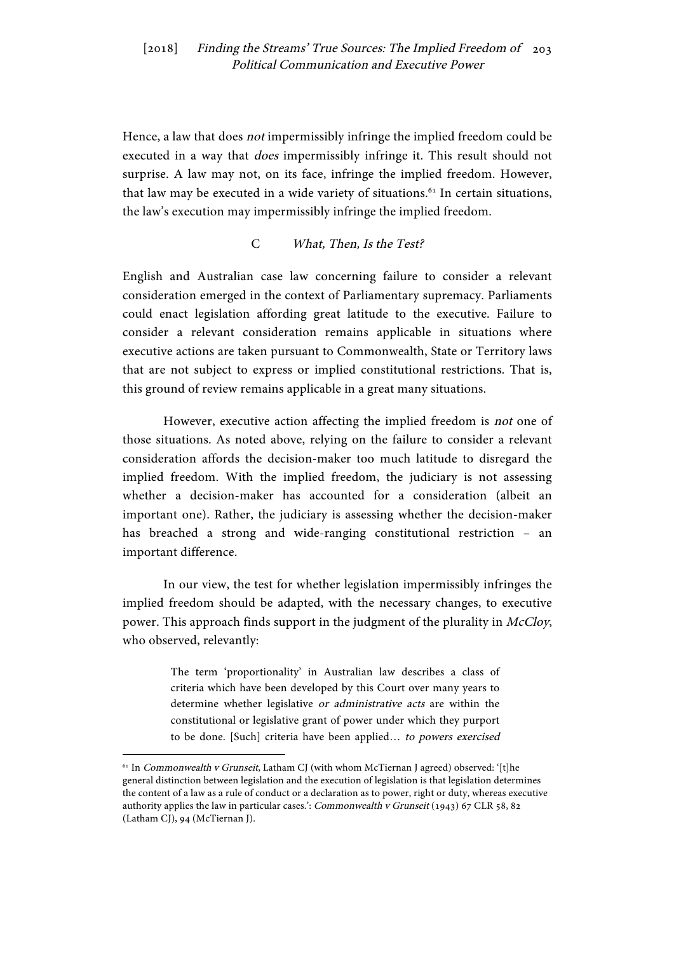Hence, a law that does not impermissibly infringe the implied freedom could be executed in a way that *does* impermissibly infringe it. This result should not surprise. A law may not, on its face, infringe the implied freedom. However, that law may be executed in a wide variety of situations.<sup>61</sup> In certain situations, the law's execution may impermissibly infringe the implied freedom.

#### C What, Then, Is the Test?

English and Australian case law concerning failure to consider a relevant consideration emerged in the context of Parliamentary supremacy. Parliaments could enact legislation affording great latitude to the executive. Failure to consider a relevant consideration remains applicable in situations where executive actions are taken pursuant to Commonwealth, State or Territory laws that are not subject to express or implied constitutional restrictions. That is, this ground of review remains applicable in a great many situations.

However, executive action affecting the implied freedom is not one of those situations. As noted above, relying on the failure to consider a relevant consideration affords the decision-maker too much latitude to disregard the implied freedom. With the implied freedom, the judiciary is not assessing whether a decision-maker has accounted for a consideration (albeit an important one). Rather, the judiciary is assessing whether the decision-maker has breached a strong and wide-ranging constitutional restriction – an important difference.

In our view, the test for whether legislation impermissibly infringes the implied freedom should be adapted, with the necessary changes, to executive power. This approach finds support in the judgment of the plurality in McCloy, who observed, relevantly:

> The term 'proportionality' in Australian law describes a class of criteria which have been developed by this Court over many years to determine whether legislative or administrative acts are within the constitutional or legislative grant of power under which they purport to be done. [Such] criteria have been applied… to powers exercised

<sup>&</sup>lt;sup>61</sup> In Commonwealth v Grunseit, Latham CJ (with whom McTiernan J agreed) observed: '[t]he general distinction between legislation and the execution of legislation is that legislation determines the content of a law as a rule of conduct or a declaration as to power, right or duty, whereas executive authority applies the law in particular cases.': Commonwealth v Grunseit (1943) 67 CLR 58, 82 (Latham CJ), 94 (McTiernan J).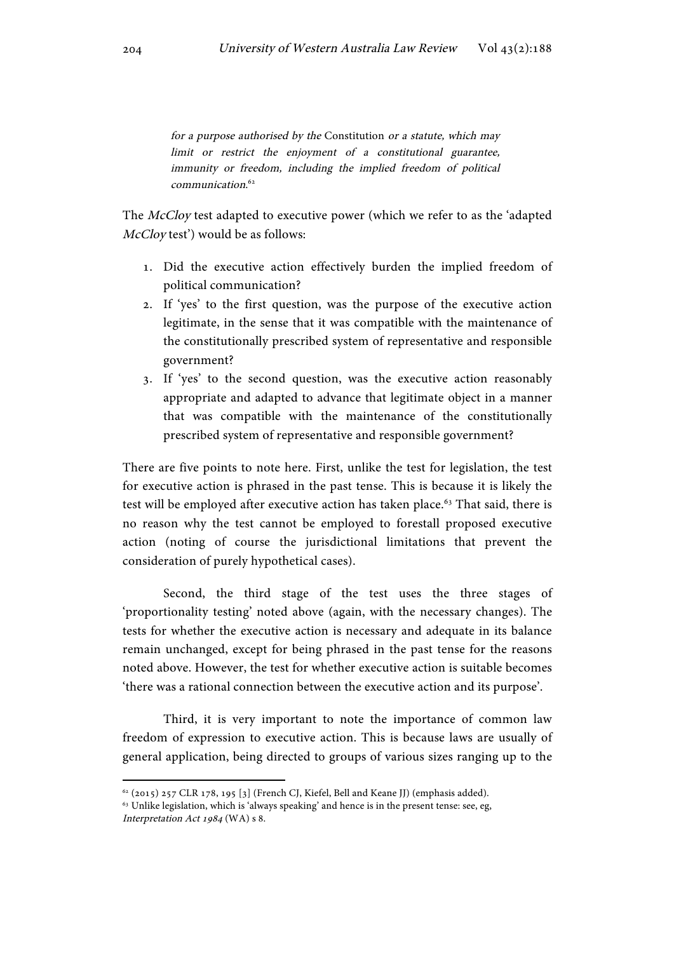for a purpose authorised by the Constitution or a statute, which may limit or restrict the enjoyment of a constitutional guarantee, immunity or freedom, including the implied freedom of political communication. 62

The McCloy test adapted to executive power (which we refer to as the 'adapted McCloy test') would be as follows:

- 1. Did the executive action effectively burden the implied freedom of political communication?
- 2. If 'yes' to the first question, was the purpose of the executive action legitimate, in the sense that it was compatible with the maintenance of the constitutionally prescribed system of representative and responsible government?
- 3. If 'yes' to the second question, was the executive action reasonably appropriate and adapted to advance that legitimate object in a manner that was compatible with the maintenance of the constitutionally prescribed system of representative and responsible government?

There are five points to note here. First, unlike the test for legislation, the test for executive action is phrased in the past tense. This is because it is likely the test will be employed after executive action has taken place.<sup>63</sup> That said, there is no reason why the test cannot be employed to forestall proposed executive action (noting of course the jurisdictional limitations that prevent the consideration of purely hypothetical cases).

Second, the third stage of the test uses the three stages of 'proportionality testing' noted above (again, with the necessary changes). The tests for whether the executive action is necessary and adequate in its balance remain unchanged, except for being phrased in the past tense for the reasons noted above. However, the test for whether executive action is suitable becomes 'there was a rational connection between the executive action and its purpose'.

Third, it is very important to note the importance of common law freedom of expression to executive action. This is because laws are usually of general application, being directed to groups of various sizes ranging up to the

 $62$  (2015) 257 CLR 178, 195 [3] (French CJ, Kiefel, Bell and Keane JJ) (emphasis added).

<sup>&</sup>lt;sup>63</sup> Unlike legislation, which is 'always speaking' and hence is in the present tense: see, eg, Interpretation Act 1984 (WA) s 8.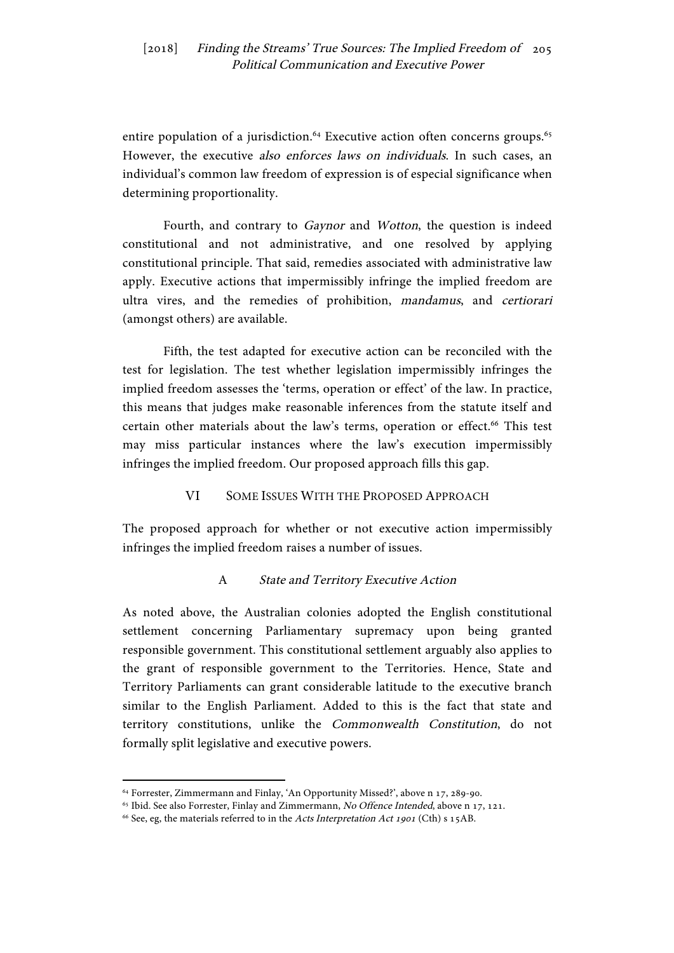entire population of a jurisdiction.<sup>64</sup> Executive action often concerns groups.<sup>65</sup> However, the executive *also enforces laws on individuals*. In such cases, an individual's common law freedom of expression is of especial significance when determining proportionality.

Fourth, and contrary to Gaynor and Wotton, the question is indeed constitutional and not administrative, and one resolved by applying constitutional principle. That said, remedies associated with administrative law apply. Executive actions that impermissibly infringe the implied freedom are ultra vires, and the remedies of prohibition, mandamus, and certiorari (amongst others) are available.

Fifth, the test adapted for executive action can be reconciled with the test for legislation. The test whether legislation impermissibly infringes the implied freedom assesses the 'terms, operation or effect' of the law. In practice, this means that judges make reasonable inferences from the statute itself and certain other materials about the law's terms, operation or effect.<sup>66</sup> This test may miss particular instances where the law's execution impermissibly infringes the implied freedom. Our proposed approach fills this gap.

# VI SOME ISSUES WITH THE PROPOSED APPROACH

The proposed approach for whether or not executive action impermissibly infringes the implied freedom raises a number of issues.

# A State and Territory Executive Action

As noted above, the Australian colonies adopted the English constitutional settlement concerning Parliamentary supremacy upon being granted responsible government. This constitutional settlement arguably also applies to the grant of responsible government to the Territories. Hence, State and Territory Parliaments can grant considerable latitude to the executive branch similar to the English Parliament. Added to this is the fact that state and territory constitutions, unlike the Commonwealth Constitution, do not formally split legislative and executive powers.

<sup>&</sup>lt;sup>64</sup> Forrester, Zimmermann and Finlay, 'An Opportunity Missed?', above n 17, 289-90.<br><sup>65</sup> Ibid. See also Forrester, Finlay and Zimmermann, *No Offence Intended*, above n 17, 121.

<sup>&</sup>lt;sup>66</sup> See, eg, the materials referred to in the Acts Interpretation Act 1901 (Cth) s 15AB.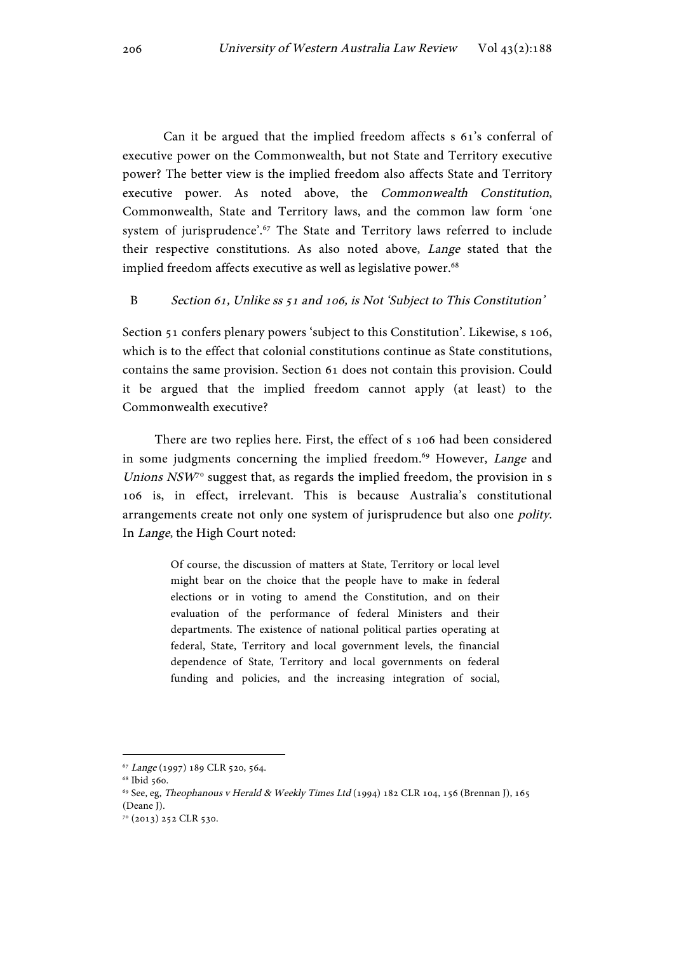Can it be argued that the implied freedom affects s 61's conferral of executive power on the Commonwealth, but not State and Territory executive power? The better view is the implied freedom also affects State and Territory executive power. As noted above, the Commonwealth Constitution, Commonwealth, State and Territory laws, and the common law form 'one system of jurisprudence'.<sup>67</sup> The State and Territory laws referred to include their respective constitutions. As also noted above, Lange stated that the implied freedom affects executive as well as legislative power.<sup>68</sup>

#### B Section 61, Unlike ss 51 and 106, is Not 'Subject to This Constitution'

Section 51 confers plenary powers 'subject to this Constitution'. Likewise, s 106, which is to the effect that colonial constitutions continue as State constitutions, contains the same provision. Section 61 does not contain this provision. Could it be argued that the implied freedom cannot apply (at least) to the Commonwealth executive?

There are two replies here. First, the effect of s 106 had been considered in some judgments concerning the implied freedom.<sup>69</sup> However, *Lange* and Unions  $NSW<sup>70</sup>$  suggest that, as regards the implied freedom, the provision in s 106 is, in effect, irrelevant. This is because Australia's constitutional arrangements create not only one system of jurisprudence but also one polity. In Lange, the High Court noted:

> Of course, the discussion of matters at State, Territory or local level might bear on the choice that the people have to make in federal elections or in voting to amend the Constitution, and on their evaluation of the performance of federal Ministers and their departments. The existence of national political parties operating at federal, State, Territory and local government levels, the financial dependence of State, Territory and local governments on federal funding and policies, and the increasing integration of social,

<sup>67</sup> Lange (1997) 189 CLR 520, 564.

<sup>&</sup>lt;sup>68</sup> Ibid 560.

<sup>69</sup> See, eg, Theophanous v Herald & Weekly Times Ltd (1994) 182 CLR 104, 156 (Brennan J), 165 (Deane J).

<sup>70</sup> (2013) 252 CLR 530.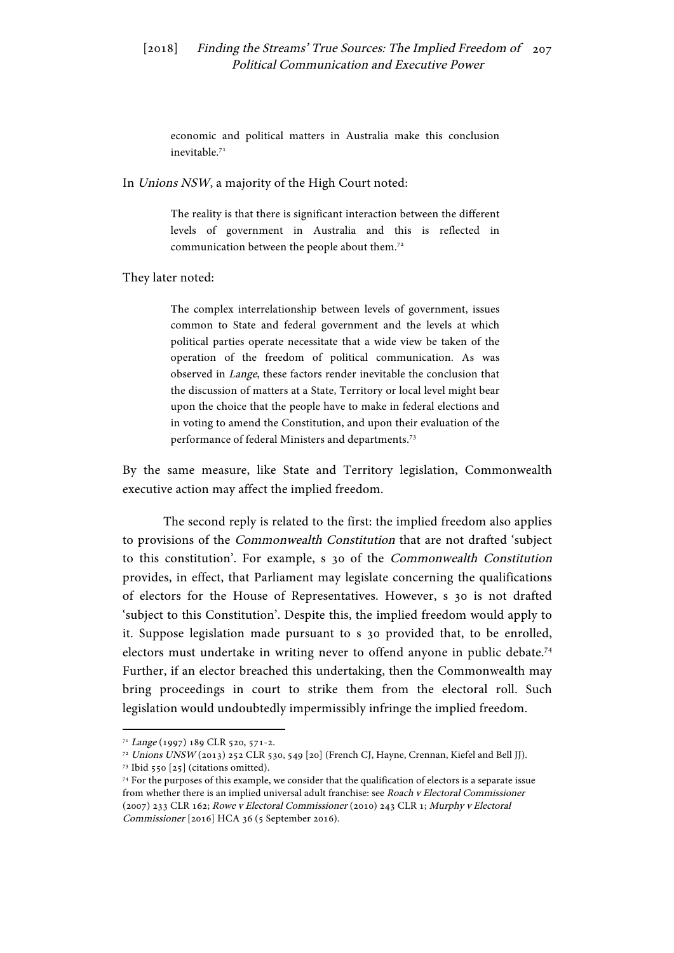economic and political matters in Australia make this conclusion inevitable.71

In Unions NSW, a majority of the High Court noted:

The reality is that there is significant interaction between the different levels of government in Australia and this is reflected in communication between the people about them.<sup>72</sup>

They later noted:

The complex interrelationship between levels of government, issues common to State and federal government and the levels at which political parties operate necessitate that a wide view be taken of the operation of the freedom of political communication. As was observed in Lange, these factors render inevitable the conclusion that the discussion of matters at a State, Territory or local level might bear upon the choice that the people have to make in federal elections and in voting to amend the Constitution, and upon their evaluation of the performance of federal Ministers and departments. 73

By the same measure, like State and Territory legislation, Commonwealth executive action may affect the implied freedom.

The second reply is related to the first: the implied freedom also applies to provisions of the Commonwealth Constitution that are not drafted 'subject to this constitution'. For example, s 30 of the Commonwealth Constitution provides, in effect, that Parliament may legislate concerning the qualifications of electors for the House of Representatives. However, s 30 is not drafted 'subject to this Constitution'. Despite this, the implied freedom would apply to it. Suppose legislation made pursuant to s 30 provided that, to be enrolled, electors must undertake in writing never to offend anyone in public debate.74 Further, if an elector breached this undertaking, then the Commonwealth may bring proceedings in court to strike them from the electoral roll. Such legislation would undoubtedly impermissibly infringe the implied freedom.

 <sup>71</sup> Lange (1997) 189 CLR 520, 571-2.

<sup>72</sup> Unions UNSW (2013) 252 CLR 530, 549 [20] (French CJ, Hayne, Crennan, Kiefel and Bell JJ).

 $73$  Ibid 550 [25] (citations omitted).

<sup>74</sup> For the purposes of this example, we consider that the qualification of electors is a separate issue from whether there is an implied universal adult franchise: see Roach v Electoral Commissioner (2007) 233 CLR 162; Rowe v Electoral Commissioner (2010) 243 CLR 1; Murphy v Electoral Commissioner [2016] HCA 36 (5 September 2016).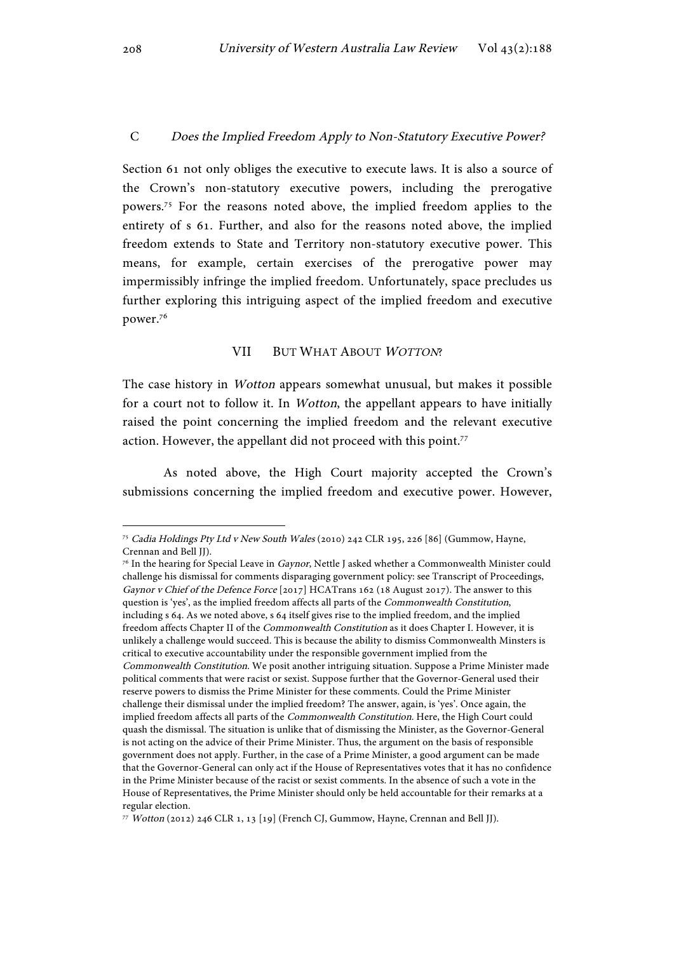#### C Does the Implied Freedom Apply to Non-Statutory Executive Power?

Section 61 not only obliges the executive to execute laws. It is also a source of the Crown's non-statutory executive powers, including the prerogative powers.75 For the reasons noted above, the implied freedom applies to the entirety of s 61. Further, and also for the reasons noted above, the implied freedom extends to State and Territory non-statutory executive power. This means, for example, certain exercises of the prerogative power may impermissibly infringe the implied freedom. Unfortunately, space precludes us further exploring this intriguing aspect of the implied freedom and executive power.76

#### VII BUT WHAT ABOUT WOTTON?

The case history in Wotton appears somewhat unusual, but makes it possible for a court not to follow it. In Wotton, the appellant appears to have initially raised the point concerning the implied freedom and the relevant executive action. However, the appellant did not proceed with this point.<sup>77</sup>

As noted above, the High Court majority accepted the Crown's submissions concerning the implied freedom and executive power. However,

<sup>75</sup> Cadia Holdings Pty Ltd v New South Wales (2010) 242 CLR 195, 226 [86] (Gummow, Hayne, Crennan and Bell JJ).

<sup>&</sup>lt;sup>76</sup> In the hearing for Special Leave in Gaynor, Nettle J asked whether a Commonwealth Minister could challenge his dismissal for comments disparaging government policy: see Transcript of Proceedings, Gaynor v Chief of the Defence Force [2017] HCATrans 162 (18 August 2017). The answer to this question is 'yes', as the implied freedom affects all parts of the Commonwealth Constitution, including s 64. As we noted above, s 64 itself gives rise to the implied freedom, and the implied freedom affects Chapter II of the Commonwealth Constitution as it does Chapter I. However, it is unlikely a challenge would succeed. This is because the ability to dismiss Commonwealth Minsters is critical to executive accountability under the responsible government implied from the Commonwealth Constitution. We posit another intriguing situation. Suppose a Prime Minister made political comments that were racist or sexist. Suppose further that the Governor-General used their reserve powers to dismiss the Prime Minister for these comments. Could the Prime Minister challenge their dismissal under the implied freedom? The answer, again, is 'yes'. Once again, the implied freedom affects all parts of the Commonwealth Constitution. Here, the High Court could quash the dismissal. The situation is unlike that of dismissing the Minister, as the Governor-General is not acting on the advice of their Prime Minister. Thus, the argument on the basis of responsible government does not apply. Further, in the case of a Prime Minister, a good argument can be made that the Governor-General can only act if the House of Representatives votes that it has no confidence in the Prime Minister because of the racist or sexist comments. In the absence of such a vote in the House of Representatives, the Prime Minister should only be held accountable for their remarks at a regular election.

<sup>77</sup> Wotton (2012) 246 CLR 1, 13 [19] (French CJ, Gummow, Hayne, Crennan and Bell JJ).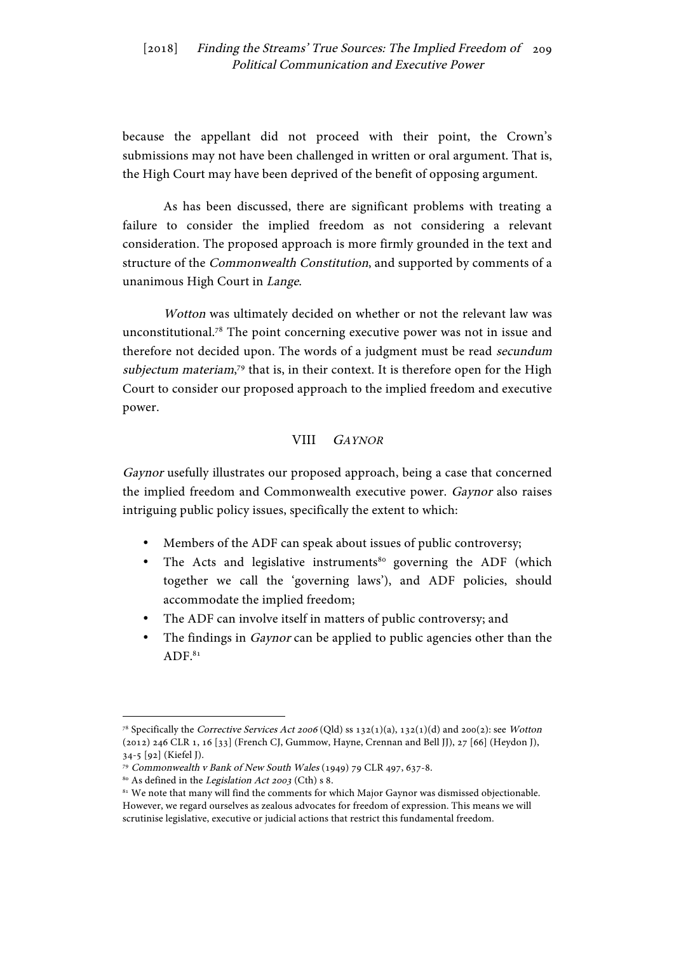because the appellant did not proceed with their point, the Crown's submissions may not have been challenged in written or oral argument. That is, the High Court may have been deprived of the benefit of opposing argument.

As has been discussed, there are significant problems with treating a failure to consider the implied freedom as not considering a relevant consideration. The proposed approach is more firmly grounded in the text and structure of the Commonwealth Constitution, and supported by comments of a unanimous High Court in Lange.

Wotton was ultimately decided on whether or not the relevant law was unconstitutional.78 The point concerning executive power was not in issue and therefore not decided upon. The words of a judgment must be read *secundum* subjectum materiam,<sup>79</sup> that is, in their context. It is therefore open for the High Court to consider our proposed approach to the implied freedom and executive power.

## VIII GAYNOR

Gaynor usefully illustrates our proposed approach, being a case that concerned the implied freedom and Commonwealth executive power. Gaynor also raises intriguing public policy issues, specifically the extent to which:

- Members of the ADF can speak about issues of public controversy;
- The Acts and legislative instruments<sup>80</sup> governing the ADF (which together we call the 'governing laws'), and ADF policies, should accommodate the implied freedom;
- The ADF can involve itself in matters of public controversy; and
- The findings in *Gaynor* can be applied to public agencies other than the  $ADF<sup>81</sup>$

<sup>&</sup>lt;sup>78</sup> Specifically the *Corrective Services Act 2006* (Qld) ss  $132(1)(a)$ ,  $132(1)(d)$  and 200(2): see Wotton (2012) 246 CLR 1, 16 [33] (French CJ, Gummow, Hayne, Crennan and Bell JJ), 27 [66] (Heydon J), 34-5 [92] (Kiefel J).

<sup>79</sup> Commonwealth v Bank of New South Wales (1949) 79 CLR 497, 637-8.

 $80$  As defined in the *Legislation Act 2003* (Cth) s 8.

<sup>&</sup>lt;sup>81</sup> We note that many will find the comments for which Major Gaynor was dismissed objectionable. However, we regard ourselves as zealous advocates for freedom of expression. This means we will scrutinise legislative, executive or judicial actions that restrict this fundamental freedom.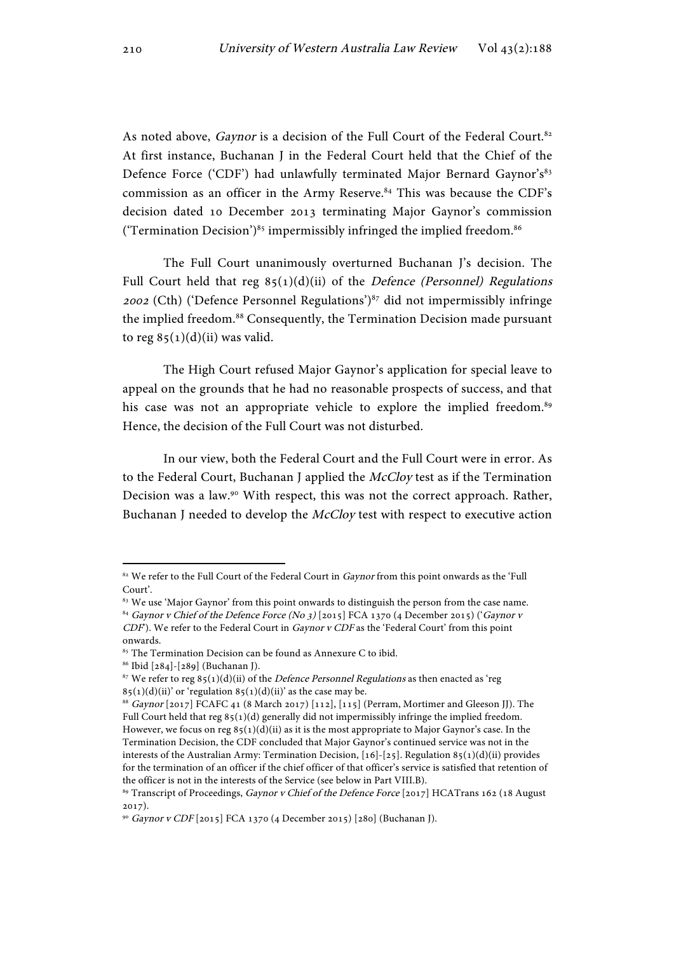As noted above, Gaynor is a decision of the Full Court of the Federal Court.<sup>82</sup> At first instance, Buchanan J in the Federal Court held that the Chief of the Defence Force ('CDF') had unlawfully terminated Major Bernard Gaynor's<sup>83</sup> commission as an officer in the Army Reserve.<sup>84</sup> This was because the CDF's decision dated 10 December 2013 terminating Major Gaynor's commission ('Termination Decision') $85$  impermissibly infringed the implied freedom. $86$ 

The Full Court unanimously overturned Buchanan J's decision. The Full Court held that reg  $85(1)(d)(ii)$  of the *Defence (Personnel) Regulations* <sup>2002</sup> (Cth) ('Defence Personnel Regulations')87 did not impermissibly infringe the implied freedom.<sup>88</sup> Consequently, the Termination Decision made pursuant to reg  $85(1)(d)(ii)$  was valid.

The High Court refused Major Gaynor's application for special leave to appeal on the grounds that he had no reasonable prospects of success, and that his case was not an appropriate vehicle to explore the implied freedom.<sup>89</sup> Hence, the decision of the Full Court was not disturbed.

In our view, both the Federal Court and the Full Court were in error. As to the Federal Court, Buchanan J applied the McCloy test as if the Termination Decision was a law.90 With respect, this was not the correct approach. Rather, Buchanan J needed to develop the McCloy test with respect to executive action

<sup>&</sup>lt;sup>82</sup> We refer to the Full Court of the Federal Court in Gaynor from this point onwards as the 'Full Court'.

<sup>&</sup>lt;sup>83</sup> We use 'Major Gaynor' from this point onwards to distinguish the person from the case name. 84 Gaynor v Chief of the Defence Force (No 3) [2015] FCA 1370 (4 December 2015) ('Gaynor v CDF). We refer to the Federal Court in Gaynor v CDF as the 'Federal Court' from this point onwards.

<sup>&</sup>lt;sup>85</sup> The Termination Decision can be found as Annexure C to ibid.

<sup>86</sup> Ibid [284]-[289] (Buchanan J).

 $^{87}$  We refer to reg 85(1)(d)(ii) of the *Defence Personnel Regulations* as then enacted as 'reg  $85(1)(d)(ii)'$  or 'regulation  $85(1)(d)(ii)'$  as the case may be.

<sup>88</sup> Gaynor [2017] FCAFC 41 (8 March 2017) [112], [115] (Perram, Mortimer and Gleeson JJ). The Full Court held that reg 85(1)(d) generally did not impermissibly infringe the implied freedom. However, we focus on reg  $85(1)(d)(ii)$  as it is the most appropriate to Major Gaynor's case. In the Termination Decision, the CDF concluded that Major Gaynor's continued service was not in the interests of the Australian Army: Termination Decision,  $[16]$ - $[25]$ . Regulation 85(1)(d)(ii) provides for the termination of an officer if the chief officer of that officer's service is satisfied that retention of the officer is not in the interests of the Service (see below in Part VIII.B).

<sup>&</sup>lt;sup>89</sup> Transcript of Proceedings, Gaynor v Chief of the Defence Force [2017] HCATrans 162 (18 August 2017).

<sup>90</sup> Gaynor v CDF [2015] FCA 1370 (4 December 2015) [280] (Buchanan J).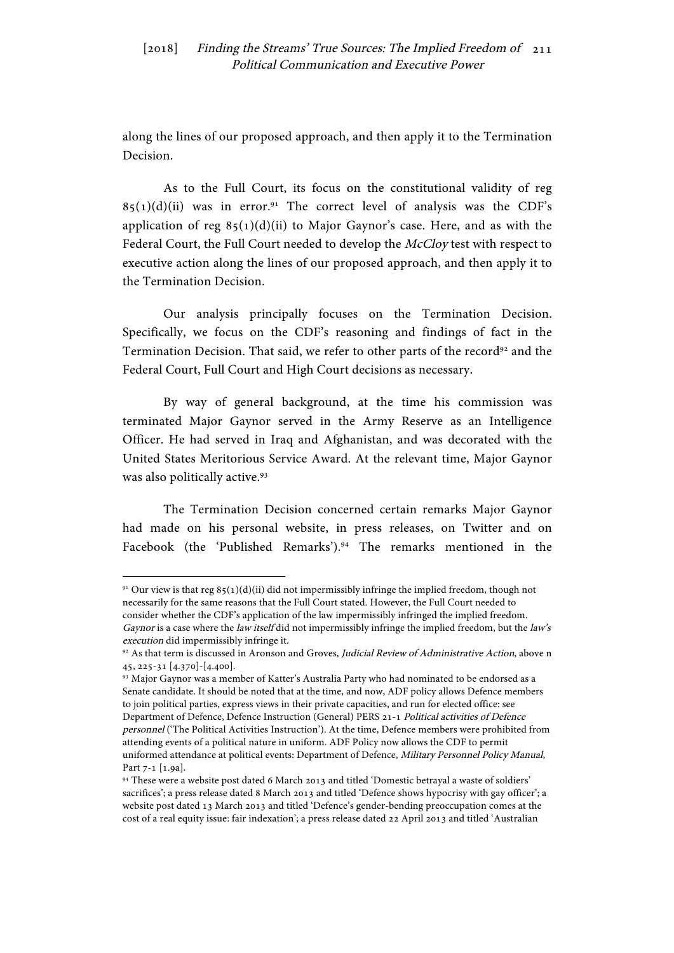along the lines of our proposed approach, and then apply it to the Termination Decision.

As to the Full Court, its focus on the constitutional validity of reg  $85(1)(d)(ii)$  was in error.<sup>91</sup> The correct level of analysis was the CDF's application of reg  $85(1)(d)(ii)$  to Major Gaynor's case. Here, and as with the Federal Court, the Full Court needed to develop the McCloy test with respect to executive action along the lines of our proposed approach, and then apply it to the Termination Decision.

Our analysis principally focuses on the Termination Decision. Specifically, we focus on the CDF's reasoning and findings of fact in the Termination Decision. That said, we refer to other parts of the record<sup>92</sup> and the Federal Court, Full Court and High Court decisions as necessary.

By way of general background, at the time his commission was terminated Major Gaynor served in the Army Reserve as an Intelligence Officer. He had served in Iraq and Afghanistan, and was decorated with the United States Meritorious Service Award. At the relevant time, Major Gaynor was also politically active.<sup>93</sup>

The Termination Decision concerned certain remarks Major Gaynor had made on his personal website, in press releases, on Twitter and on Facebook (the 'Published Remarks').<sup>94</sup> The remarks mentioned in the

 $91$  Our view is that reg  $85(1)(d)(ii)$  did not impermissibly infringe the implied freedom, though not necessarily for the same reasons that the Full Court stated. However, the Full Court needed to consider whether the CDF's application of the law impermissibly infringed the implied freedom. Gaynor is a case where the law itself did not impermissibly infringe the implied freedom, but the law's execution did impermissibly infringe it.

<sup>92</sup> As that term is discussed in Aronson and Groves, Judicial Review of Administrative Action, above n 45, 225-31 [4.370]-[4.400].

<sup>93</sup> Major Gaynor was a member of Katter's Australia Party who had nominated to be endorsed as a Senate candidate. It should be noted that at the time, and now, ADF policy allows Defence members to join political parties, express views in their private capacities, and run for elected office: see Department of Defence, Defence Instruction (General) PERS 21-1 Political activities of Defence personnel ('The Political Activities Instruction'). At the time, Defence members were prohibited from attending events of a political nature in uniform. ADF Policy now allows the CDF to permit uniformed attendance at political events: Department of Defence, Military Personnel Policy Manual, Part 7-1 [1.9a].

<sup>94</sup> These were a website post dated 6 March 2013 and titled 'Domestic betrayal a waste of soldiers' sacrifices'; a press release dated 8 March 2013 and titled 'Defence shows hypocrisy with gay officer'; a website post dated 13 March 2013 and titled 'Defence's gender-bending preoccupation comes at the cost of a real equity issue: fair indexation'; a press release dated 22 April 2013 and titled 'Australian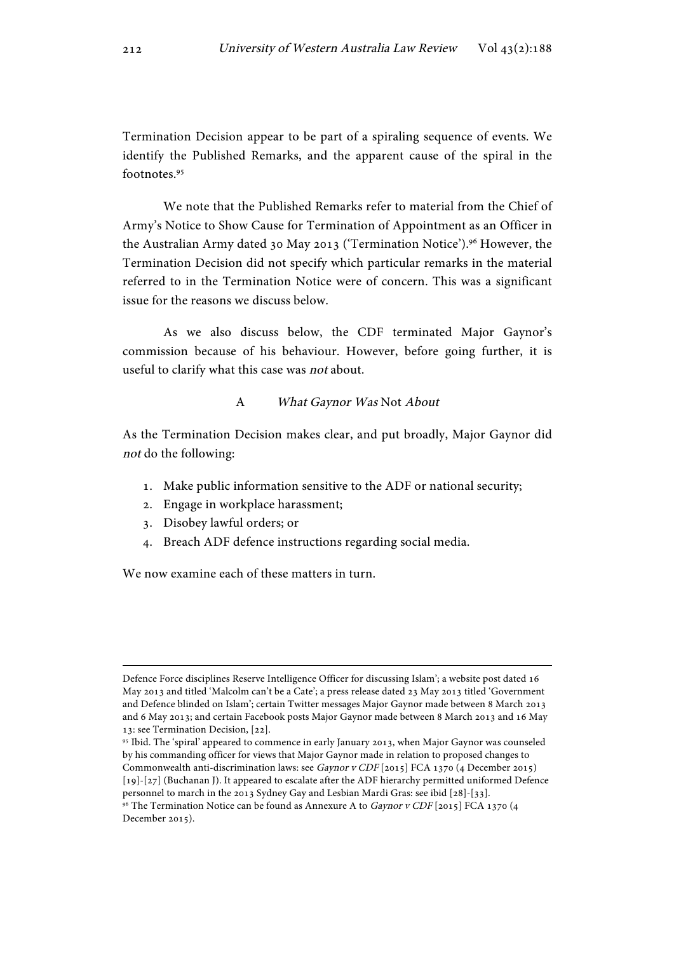Termination Decision appear to be part of a spiraling sequence of events. We identify the Published Remarks, and the apparent cause of the spiral in the footnotes<sup>95</sup>

We note that the Published Remarks refer to material from the Chief of Army's Notice to Show Cause for Termination of Appointment as an Officer in the Australian Army dated 30 May 2013 ('Termination Notice').<sup>96</sup> However, the Termination Decision did not specify which particular remarks in the material referred to in the Termination Notice were of concern. This was a significant issue for the reasons we discuss below.

As we also discuss below, the CDF terminated Major Gaynor's commission because of his behaviour. However, before going further, it is useful to clarify what this case was not about.

#### A What Gaynor Was Not About

As the Termination Decision makes clear, and put broadly, Major Gaynor did not do the following:

- 1. Make public information sensitive to the ADF or national security;
- 2. Engage in workplace harassment;
- 3. Disobey lawful orders; or
- 4. Breach ADF defence instructions regarding social media.

We now examine each of these matters in turn.

<u> 1989 - Jan Samuel Barbara, martxa eta batarra (h. 1989).</u>

Defence Force disciplines Reserve Intelligence Officer for discussing Islam'; a website post dated 16 May 2013 and titled 'Malcolm can't be a Cate'; a press release dated 23 May 2013 titled 'Government and Defence blinded on Islam'; certain Twitter messages Major Gaynor made between 8 March 2013 and 6 May 2013; and certain Facebook posts Major Gaynor made between 8 March 2013 and 16 May 13: see Termination Decision, [22].

<sup>95</sup> Ibid. The 'spiral' appeared to commence in early January 2013, when Major Gaynor was counseled by his commanding officer for views that Major Gaynor made in relation to proposed changes to Commonwealth anti-discrimination laws: see Gaynor v CDF [2015] FCA 1370 (4 December 2015) [19]-[27] (Buchanan J). It appeared to escalate after the ADF hierarchy permitted uniformed Defence personnel to march in the 2013 Sydney Gay and Lesbian Mardi Gras: see ibid [28]-[33].

<sup>&</sup>lt;sup>96</sup> The Termination Notice can be found as Annexure A to *Gaynor v CDF* [2015] FCA 1370 (4 December 2015).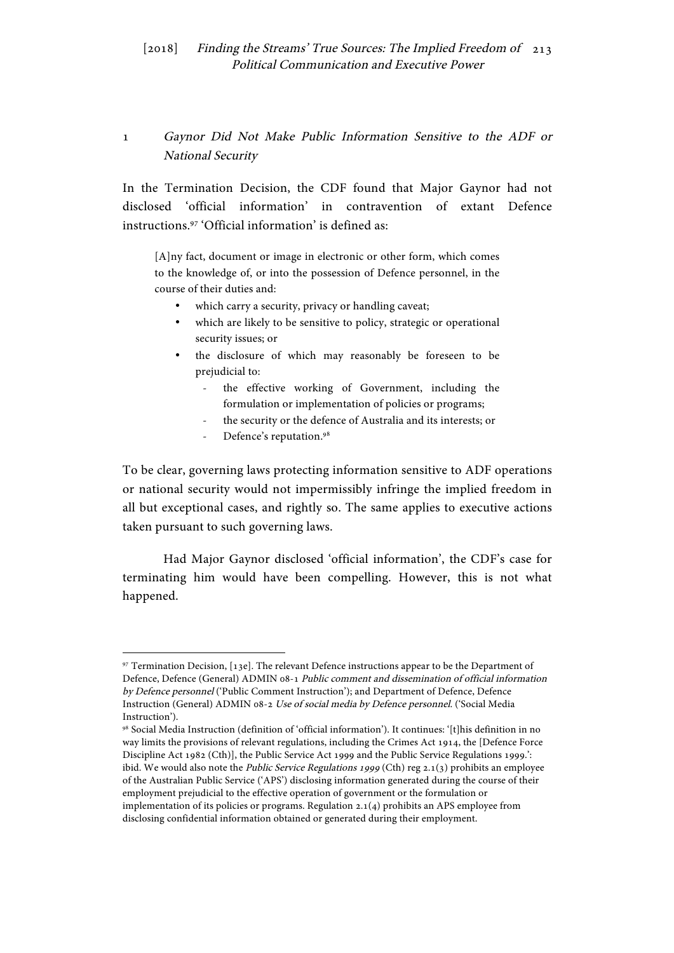# 1 Gaynor Did Not Make Public Information Sensitive to the ADF or National Security

In the Termination Decision, the CDF found that Major Gaynor had not disclosed 'official information' in contravention of extant Defence instructions.97 'Official information' is defined as:

[A]ny fact, document or image in electronic or other form, which comes to the knowledge of, or into the possession of Defence personnel, in the course of their duties and:

- which carry a security, privacy or handling caveat;
- which are likely to be sensitive to policy, strategic or operational security issues; or
- the disclosure of which may reasonably be foreseen to be prejudicial to:
	- the effective working of Government, including the formulation or implementation of policies or programs;
	- the security or the defence of Australia and its interests; or
	- Defence's reputation.<sup>98</sup>

 

To be clear, governing laws protecting information sensitive to ADF operations or national security would not impermissibly infringe the implied freedom in all but exceptional cases, and rightly so. The same applies to executive actions taken pursuant to such governing laws.

Had Major Gaynor disclosed 'official information', the CDF's case for terminating him would have been compelling. However, this is not what happened.

<sup>97</sup> Termination Decision, [13e]. The relevant Defence instructions appear to be the Department of Defence, Defence (General) ADMIN 08-1 Public comment and dissemination of official information by Defence personnel ('Public Comment Instruction'); and Department of Defence, Defence Instruction (General) ADMIN 08-2 Use of social media by Defence personnel. ('Social Media Instruction').

<sup>98</sup> Social Media Instruction (definition of 'official information'). It continues: '[t]his definition in no way limits the provisions of relevant regulations, including the Crimes Act 1914, the [Defence Force Discipline Act 1982 (Cth)], the Public Service Act 1999 and the Public Service Regulations 1999.': ibid. We would also note the *Public Service Regulations 1999* (Cth) reg  $2.1(3)$  prohibits an employee of the Australian Public Service ('APS') disclosing information generated during the course of their employment prejudicial to the effective operation of government or the formulation or implementation of its policies or programs. Regulation 2.1(4) prohibits an APS employee from disclosing confidential information obtained or generated during their employment.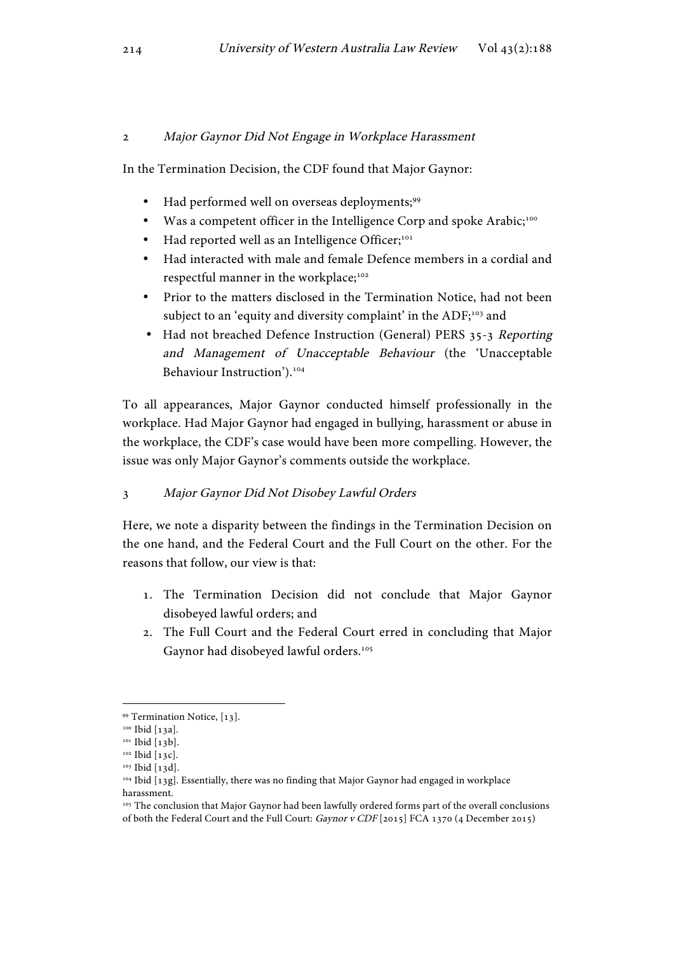### 2 Major Gaynor Did Not Engage in Workplace Harassment

In the Termination Decision, the CDF found that Major Gaynor:

- Had performed well on overseas deployments;<sup>99</sup>
- Was a competent officer in the Intelligence Corp and spoke Arabic;<sup>100</sup>
- Had reported well as an Intelligence Officer;<sup>101</sup>
- Had interacted with male and female Defence members in a cordial and respectful manner in the workplace;<sup>102</sup>
- Prior to the matters disclosed in the Termination Notice, had not been subject to an 'equity and diversity complaint' in the ADF;<sup>103</sup> and
- Had not breached Defence Instruction (General) PERS 35-3 Reporting and Management of Unacceptable Behaviour (the 'Unacceptable Behaviour Instruction').<sup>104</sup>

To all appearances, Major Gaynor conducted himself professionally in the workplace. Had Major Gaynor had engaged in bullying, harassment or abuse in the workplace, the CDF's case would have been more compelling. However, the issue was only Major Gaynor's comments outside the workplace.

# 3 Major Gaynor Did Not Disobey Lawful Orders

Here, we note a disparity between the findings in the Termination Decision on the one hand, and the Federal Court and the Full Court on the other. For the reasons that follow, our view is that:

- 1. The Termination Decision did not conclude that Major Gaynor disobeyed lawful orders; and
- 2. The Full Court and the Federal Court erred in concluding that Major Gaynor had disobeyed lawful orders.<sup>105</sup>

<sup>99</sup> Termination Notice, [13].

<sup>100</sup> Ibid [13a].

<sup>&</sup>lt;sup>101</sup> Ibid [13b].

<sup>&</sup>lt;sup>102</sup> Ibid [13c].

<sup>103</sup> Ibid [13d].

<sup>104</sup> Ibid [13g]. Essentially, there was no finding that Major Gaynor had engaged in workplace harassment.

<sup>&</sup>lt;sup>105</sup> The conclusion that Major Gaynor had been lawfully ordered forms part of the overall conclusions of both the Federal Court and the Full Court: Gaynor v CDF [2015] FCA 1370 (4 December 2015)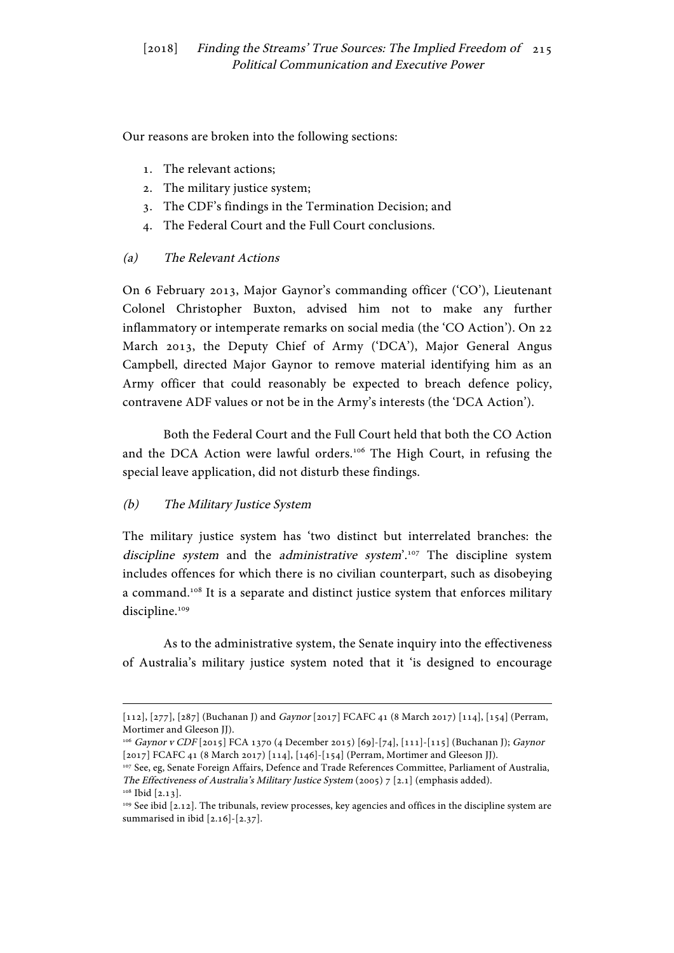Our reasons are broken into the following sections:

- 1. The relevant actions;
- 2. The military justice system;
- 3. The CDF's findings in the Termination Decision; and
- 4. The Federal Court and the Full Court conclusions.

# (a) The Relevant Actions

On 6 February 2013, Major Gaynor's commanding officer ('CO'), Lieutenant Colonel Christopher Buxton, advised him not to make any further inflammatory or intemperate remarks on social media (the 'CO Action'). On 22 March 2013, the Deputy Chief of Army ('DCA'), Major General Angus Campbell, directed Major Gaynor to remove material identifying him as an Army officer that could reasonably be expected to breach defence policy, contravene ADF values or not be in the Army's interests (the 'DCA Action').

Both the Federal Court and the Full Court held that both the CO Action and the DCA Action were lawful orders.106 The High Court, in refusing the special leave application, did not disturb these findings.

# (b) The Military Justice System

The military justice system has 'two distinct but interrelated branches: the discipline system and the administrative system'. $107$  The discipline system includes offences for which there is no civilian counterpart, such as disobeying a command.<sup>108</sup> It is a separate and distinct justice system that enforces military discipline.<sup>109</sup>

As to the administrative system, the Senate inquiry into the effectiveness of Australia's military justice system noted that it 'is designed to encourage

<sup>&</sup>lt;u> 1989 - Jan Samuel Barbara, martxa eta batarra (h. 1989).</u> [112], [277], [287] (Buchanan J) and Gaynor [2017] FCAFC 41 (8 March 2017) [114], [154] (Perram, Mortimer and Gleeson JJ).

<sup>106</sup> Gaynor v CDF [2015] FCA 1370 (4 December 2015) [69]-[74], [111]-[115] (Buchanan J); Gaynor [2017] FCAFC 41 (8 March 2017) [114], [146]-[154] (Perram, Mortimer and Gleeson JJ).

<sup>107</sup> See, eg, Senate Foreign Affairs, Defence and Trade References Committee, Parliament of Australia, The Effectiveness of Australia's Military Justice System (2005) 7 [2.1] (emphasis added). <sup>108</sup> Ibid [2.13].

<sup>&</sup>lt;sup>109</sup> See ibid [2.12]. The tribunals, review processes, key agencies and offices in the discipline system are summarised in ibid [2.16]-[2.37].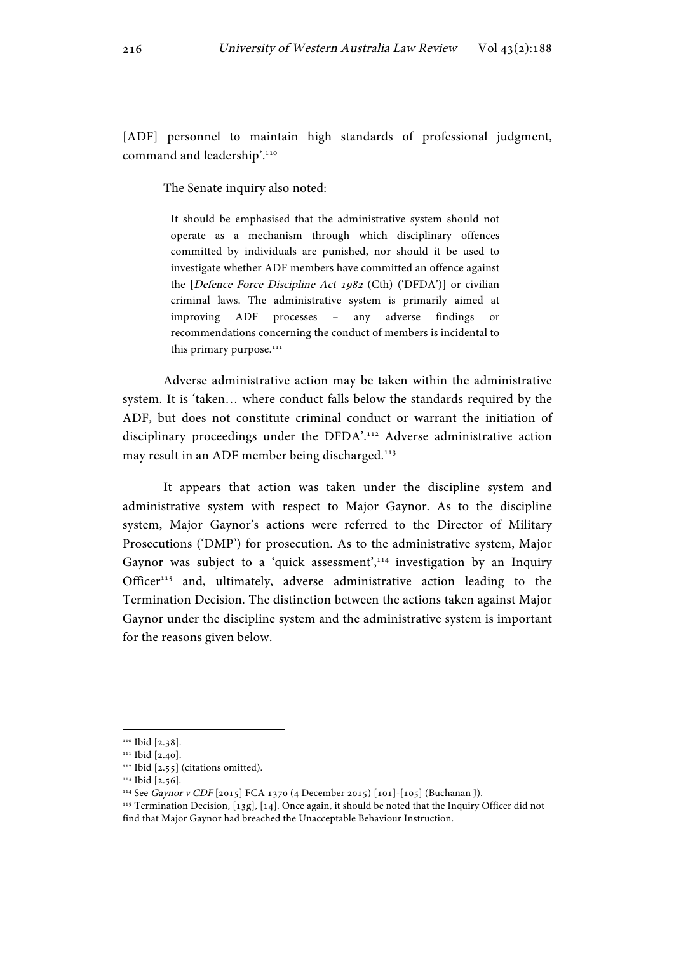[ADF] personnel to maintain high standards of professional judgment, command and leadership'.110

The Senate inquiry also noted:

It should be emphasised that the administrative system should not operate as a mechanism through which disciplinary offences committed by individuals are punished, nor should it be used to investigate whether ADF members have committed an offence against the [Defence Force Discipline Act 1982 (Cth) ('DFDA')] or civilian criminal laws. The administrative system is primarily aimed at improving ADF processes – any adverse findings or recommendations concerning the conduct of members is incidental to this primary purpose.<sup>111</sup>

Adverse administrative action may be taken within the administrative system. It is 'taken… where conduct falls below the standards required by the ADF, but does not constitute criminal conduct or warrant the initiation of disciplinary proceedings under the DFDA'.112 Adverse administrative action may result in an ADF member being discharged.<sup>113</sup>

It appears that action was taken under the discipline system and administrative system with respect to Major Gaynor. As to the discipline system, Major Gaynor's actions were referred to the Director of Military Prosecutions ('DMP') for prosecution. As to the administrative system, Major Gaynor was subject to a 'quick assessment',<sup>114</sup> investigation by an Inquiry Officer<sup>115</sup> and, ultimately, adverse administrative action leading to the Termination Decision. The distinction between the actions taken against Major Gaynor under the discipline system and the administrative system is important for the reasons given below.

<sup>&</sup>lt;sup>110</sup> Ibid [2.38].

<sup>&</sup>lt;sup>111</sup> Ibid [2.40].

<sup>&</sup>lt;sup>112</sup> Ibid [2.55] (citations omitted).

<sup>113</sup> Ibid [2.56].

<sup>114</sup> See Gaynor v CDF [2015] FCA 1370 (4 December 2015) [101]-[105] (Buchanan J).

<sup>115</sup> Termination Decision, [13g], [14]. Once again, it should be noted that the Inquiry Officer did not find that Major Gaynor had breached the Unacceptable Behaviour Instruction.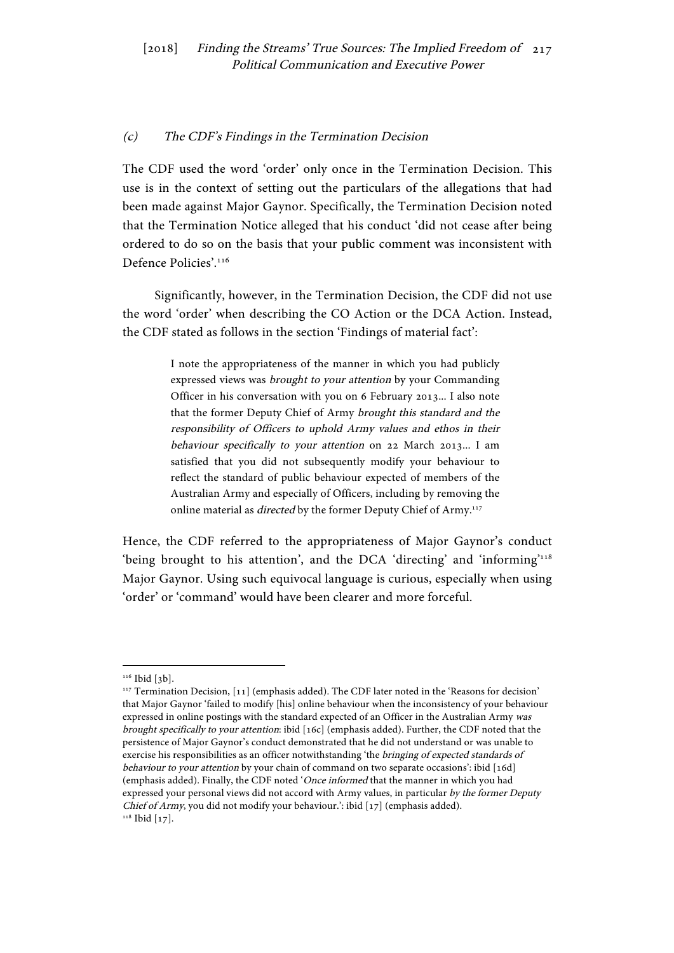## (c) The CDF's Findings in the Termination Decision

The CDF used the word 'order' only once in the Termination Decision. This use is in the context of setting out the particulars of the allegations that had been made against Major Gaynor. Specifically, the Termination Decision noted that the Termination Notice alleged that his conduct 'did not cease after being ordered to do so on the basis that your public comment was inconsistent with Defence Policies'.<sup>116</sup>

Significantly, however, in the Termination Decision, the CDF did not use the word 'order' when describing the CO Action or the DCA Action. Instead, the CDF stated as follows in the section 'Findings of material fact':

> I note the appropriateness of the manner in which you had publicly expressed views was brought to your attention by your Commanding Officer in his conversation with you on 6 February 2013... I also note that the former Deputy Chief of Army brought this standard and the responsibility of Officers to uphold Army values and ethos in their behaviour specifically to your attention on 22 March 2013... I am satisfied that you did not subsequently modify your behaviour to reflect the standard of public behaviour expected of members of the Australian Army and especially of Officers, including by removing the online material as *directed* by the former Deputy Chief of Army.<sup>117</sup>

Hence, the CDF referred to the appropriateness of Major Gaynor's conduct 'being brought to his attention', and the DCA 'directing' and 'informing'118 Major Gaynor. Using such equivocal language is curious, especially when using 'order' or 'command' would have been clearer and more forceful.

<sup>&</sup>lt;sup>116</sup> Ibid [3b].

<sup>&</sup>lt;sup>117</sup> Termination Decision, [11] (emphasis added). The CDF later noted in the 'Reasons for decision' that Major Gaynor 'failed to modify [his] online behaviour when the inconsistency of your behaviour expressed in online postings with the standard expected of an Officer in the Australian Army was brought specifically to your attention: ibid [16c] (emphasis added). Further, the CDF noted that the persistence of Major Gaynor's conduct demonstrated that he did not understand or was unable to exercise his responsibilities as an officer notwithstanding 'the bringing of expected standards of behaviour to your attention by your chain of command on two separate occasions': ibid [16d] (emphasis added). Finally, the CDF noted 'Once informed that the manner in which you had expressed your personal views did not accord with Army values, in particular by the former Deputy Chief of Army, you did not modify your behaviour.': ibid [17] (emphasis added).  $118$  Ibid [17].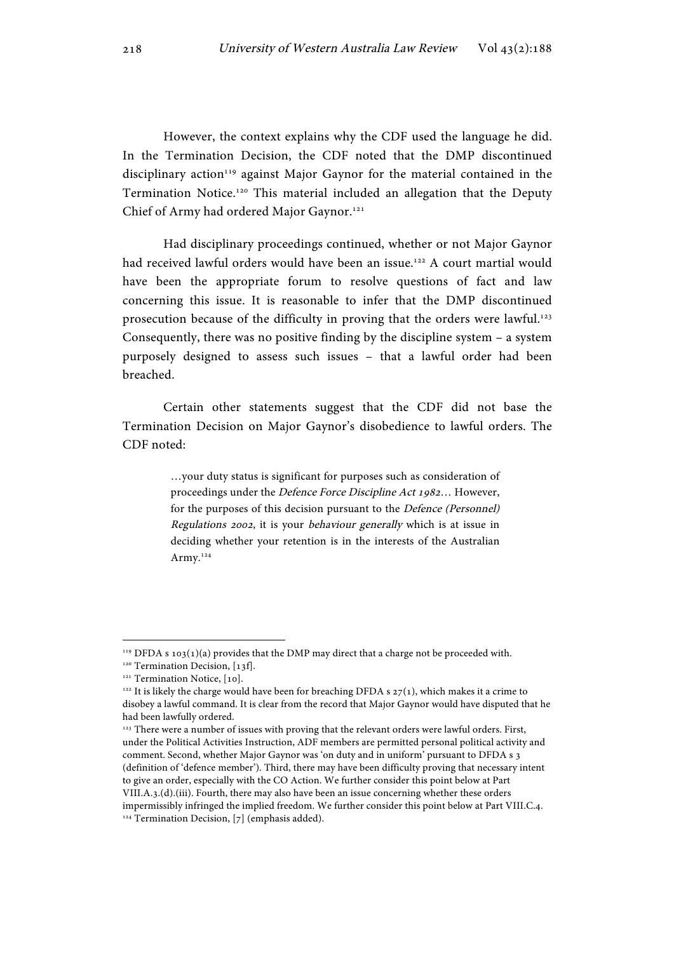However, the context explains why the CDF used the language he did. In the Termination Decision, the CDF noted that the DMP discontinued disciplinary action<sup>119</sup> against Major Gaynor for the material contained in the Termination Notice.120 This material included an allegation that the Deputy Chief of Army had ordered Major Gaynor.<sup>121</sup>

Had disciplinary proceedings continued, whether or not Major Gaynor had received lawful orders would have been an issue.<sup>122</sup> A court martial would have been the appropriate forum to resolve questions of fact and law concerning this issue. It is reasonable to infer that the DMP discontinued prosecution because of the difficulty in proving that the orders were lawful.<sup>123</sup> Consequently, there was no positive finding by the discipline system – a system purposely designed to assess such issues – that a lawful order had been breached.

Certain other statements suggest that the CDF did not base the Termination Decision on Major Gaynor's disobedience to lawful orders. The CDF noted:

> …your duty status is significant for purposes such as consideration of proceedings under the Defence Force Discipline Act 1982… However, for the purposes of this decision pursuant to the Defence (Personnel) Regulations 2002, it is your behaviour generally which is at issue in deciding whether your retention is in the interests of the Australian Army.<sup>124</sup>

<sup>&</sup>lt;sup>119</sup> DFDA s 103(1)(a) provides that the DMP may direct that a charge not be proceeded with.

<sup>&</sup>lt;sup>120</sup> Termination Decision, [13f].

<sup>&</sup>lt;sup>121</sup> Termination Notice, [10].

<sup>&</sup>lt;sup>122</sup> It is likely the charge would have been for breaching DFDA s  $27(1)$ , which makes it a crime to disobey a lawful command. It is clear from the record that Major Gaynor would have disputed that he had been lawfully ordered.

<sup>&</sup>lt;sup>123</sup> There were a number of issues with proving that the relevant orders were lawful orders. First, under the Political Activities Instruction, ADF members are permitted personal political activity and comment. Second, whether Major Gaynor was 'on duty and in uniform' pursuant to DFDA s 3 (definition of 'defence member'). Third, there may have been difficulty proving that necessary intent to give an order, especially with the CO Action. We further consider this point below at Part VIII.A.3.(d).(iii). Fourth, there may also have been an issue concerning whether these orders impermissibly infringed the implied freedom. We further consider this point below at Part VIII.C.4.  $124$  Termination Decision, [7] (emphasis added).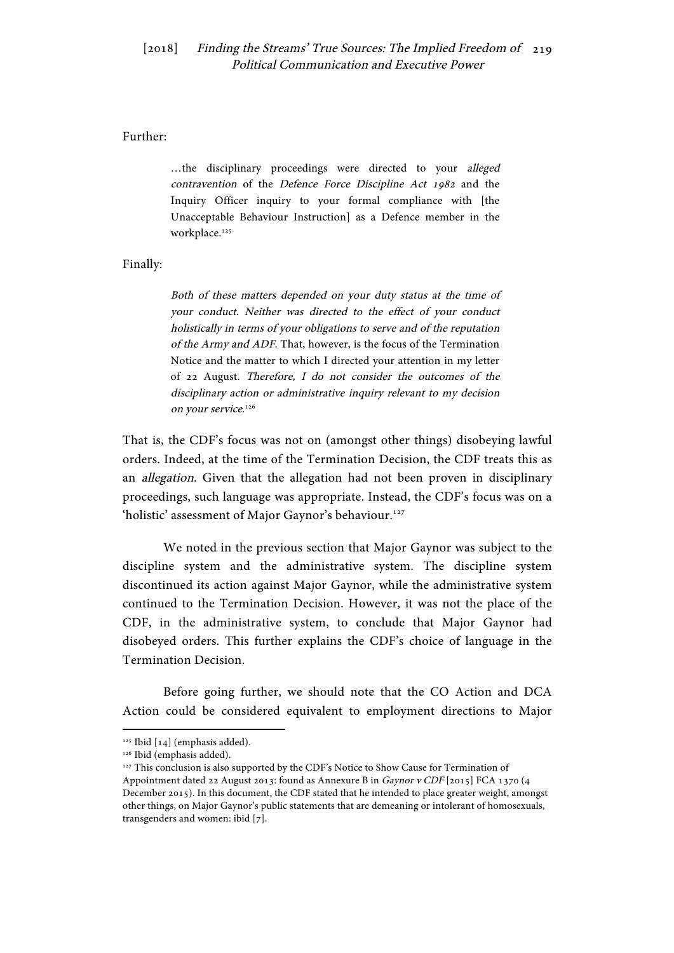#### Further:

…the disciplinary proceedings were directed to your alleged contravention of the Defence Force Discipline Act 1982 and the Inquiry Officer inquiry to your formal compliance with [the Unacceptable Behaviour Instruction] as a Defence member in the workplace.<sup>125</sup>

Finally:

Both of these matters depended on your duty status at the time of your conduct. Neither was directed to the effect of your conduct holistically in terms of your obligations to serve and of the reputation of the Army and ADF. That, however, is the focus of the Termination Notice and the matter to which I directed your attention in my letter of 22 August. Therefore, I do not consider the outcomes of the disciplinary action or administrative inquiry relevant to my decision on your service.<sup>126</sup>

That is, the CDF's focus was not on (amongst other things) disobeying lawful orders. Indeed, at the time of the Termination Decision, the CDF treats this as an allegation. Given that the allegation had not been proven in disciplinary proceedings, such language was appropriate. Instead, the CDF's focus was on a 'holistic' assessment of Major Gaynor's behaviour.<sup>127</sup>

We noted in the previous section that Major Gaynor was subject to the discipline system and the administrative system. The discipline system discontinued its action against Major Gaynor, while the administrative system continued to the Termination Decision. However, it was not the place of the CDF, in the administrative system, to conclude that Major Gaynor had disobeyed orders. This further explains the CDF's choice of language in the Termination Decision.

Before going further, we should note that the CO Action and DCA Action could be considered equivalent to employment directions to Major

<sup>&</sup>lt;sup>125</sup> Ibid [14] (emphasis added).

<sup>&</sup>lt;sup>126</sup> Ibid (emphasis added).

<sup>&</sup>lt;sup>127</sup> This conclusion is also supported by the CDF's Notice to Show Cause for Termination of Appointment dated 22 August 2013: found as Annexure B in Gaynor v CDF [2015] FCA 1370 (4 December 2015). In this document, the CDF stated that he intended to place greater weight, amongst other things, on Major Gaynor's public statements that are demeaning or intolerant of homosexuals, transgenders and women: ibid [7].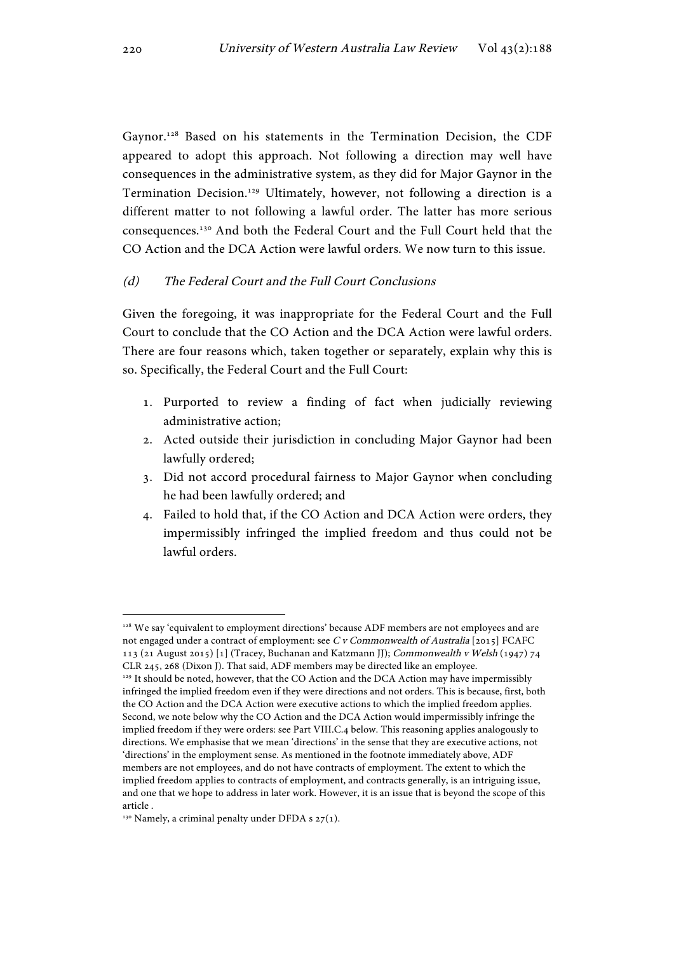Gaynor.<sup>128</sup> Based on his statements in the Termination Decision, the CDF appeared to adopt this approach. Not following a direction may well have consequences in the administrative system, as they did for Major Gaynor in the Termination Decision.129 Ultimately, however, not following a direction is a different matter to not following a lawful order. The latter has more serious consequences.130 And both the Federal Court and the Full Court held that the CO Action and the DCA Action were lawful orders. We now turn to this issue.

### (d) The Federal Court and the Full Court Conclusions

Given the foregoing, it was inappropriate for the Federal Court and the Full Court to conclude that the CO Action and the DCA Action were lawful orders. There are four reasons which, taken together or separately, explain why this is so. Specifically, the Federal Court and the Full Court:

- 1. Purported to review a finding of fact when judicially reviewing administrative action;
- 2. Acted outside their jurisdiction in concluding Major Gaynor had been lawfully ordered;
- 3. Did not accord procedural fairness to Major Gaynor when concluding he had been lawfully ordered; and
- 4. Failed to hold that, if the CO Action and DCA Action were orders, they impermissibly infringed the implied freedom and thus could not be lawful orders.

<sup>&</sup>lt;sup>128</sup> We say 'equivalent to employment directions' because ADF members are not employees and are not engaged under a contract of employment: see C v Commonwealth of Australia [2015] FCAFC 113 (21 August 2015) [1] (Tracey, Buchanan and Katzmann JJ); Commonwealth v Welsh (1947) 74 CLR 245, 268 (Dixon J). That said, ADF members may be directed like an employee.

<sup>129</sup> It should be noted, however, that the CO Action and the DCA Action may have impermissibly infringed the implied freedom even if they were directions and not orders. This is because, first, both the CO Action and the DCA Action were executive actions to which the implied freedom applies. Second, we note below why the CO Action and the DCA Action would impermissibly infringe the implied freedom if they were orders: see Part VIII.C.4 below. This reasoning applies analogously to directions. We emphasise that we mean 'directions' in the sense that they are executive actions, not 'directions' in the employment sense. As mentioned in the footnote immediately above, ADF members are not employees, and do not have contracts of employment. The extent to which the implied freedom applies to contracts of employment, and contracts generally, is an intriguing issue, and one that we hope to address in later work. However, it is an issue that is beyond the scope of this article .

<sup>&</sup>lt;sup>130</sup> Namely, a criminal penalty under DFDA s  $27(1)$ .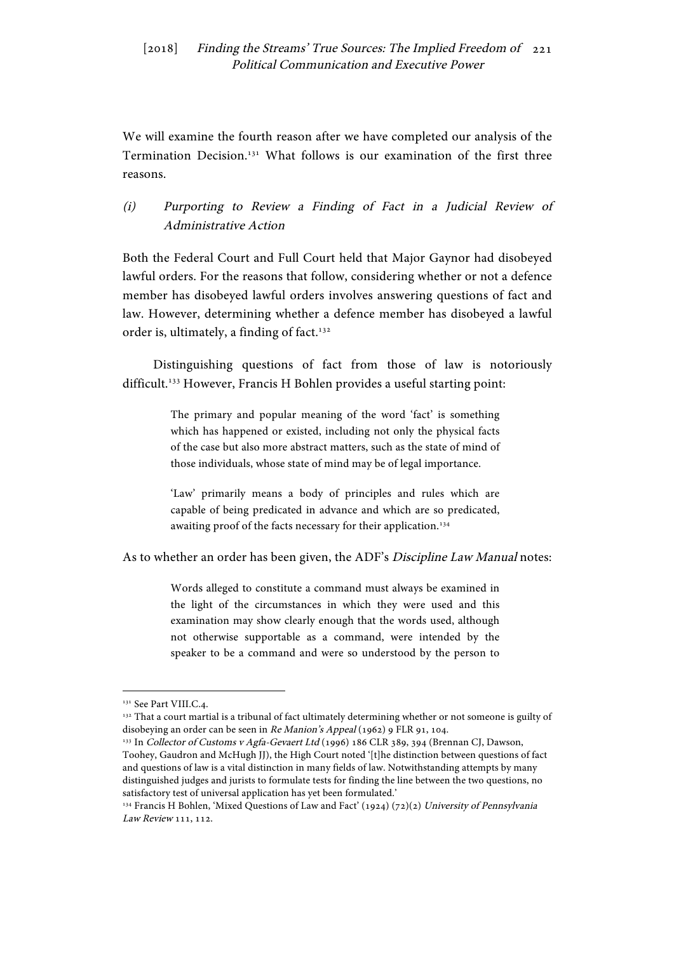We will examine the fourth reason after we have completed our analysis of the Termination Decision.131 What follows is our examination of the first three reasons.

(i) Purporting to Review a Finding of Fact in a Judicial Review of Administrative Action

Both the Federal Court and Full Court held that Major Gaynor had disobeyed lawful orders. For the reasons that follow, considering whether or not a defence member has disobeyed lawful orders involves answering questions of fact and law. However, determining whether a defence member has disobeyed a lawful order is, ultimately, a finding of fact.<sup>132</sup>

Distinguishing questions of fact from those of law is notoriously difficult.<sup>133</sup> However, Francis H Bohlen provides a useful starting point:

> The primary and popular meaning of the word 'fact' is something which has happened or existed, including not only the physical facts of the case but also more abstract matters, such as the state of mind of those individuals, whose state of mind may be of legal importance.

> 'Law' primarily means a body of principles and rules which are capable of being predicated in advance and which are so predicated, awaiting proof of the facts necessary for their application.<sup>134</sup>

As to whether an order has been given, the ADF's Discipline Law Manual notes:

Words alleged to constitute a command must always be examined in the light of the circumstances in which they were used and this examination may show clearly enough that the words used, although not otherwise supportable as a command, were intended by the speaker to be a command and were so understood by the person to

<sup>&</sup>lt;sup>131</sup> See Part VIII.C.4.

<sup>&</sup>lt;sup>132</sup> That a court martial is a tribunal of fact ultimately determining whether or not someone is guilty of disobeying an order can be seen in *Re Manion's Appeal* (1962) 9 FLR 91, 104.<br><sup>133</sup> In *Collector of Customs v Agfa-Gevaert Ltd* (1996) 186 CLR 389, 394 (Brennan CJ, Dawson,

Toohey, Gaudron and McHugh JJ), the High Court noted '[t]he distinction between questions of fact and questions of law is a vital distinction in many fields of law. Notwithstanding attempts by many distinguished judges and jurists to formulate tests for finding the line between the two questions, no satisfactory test of universal application has yet been formulated.'

<sup>&</sup>lt;sup>134</sup> Francis H Bohlen, 'Mixed Questions of Law and Fact' (1924) (72)(2) University of Pennsylvania Law Review 111, 112.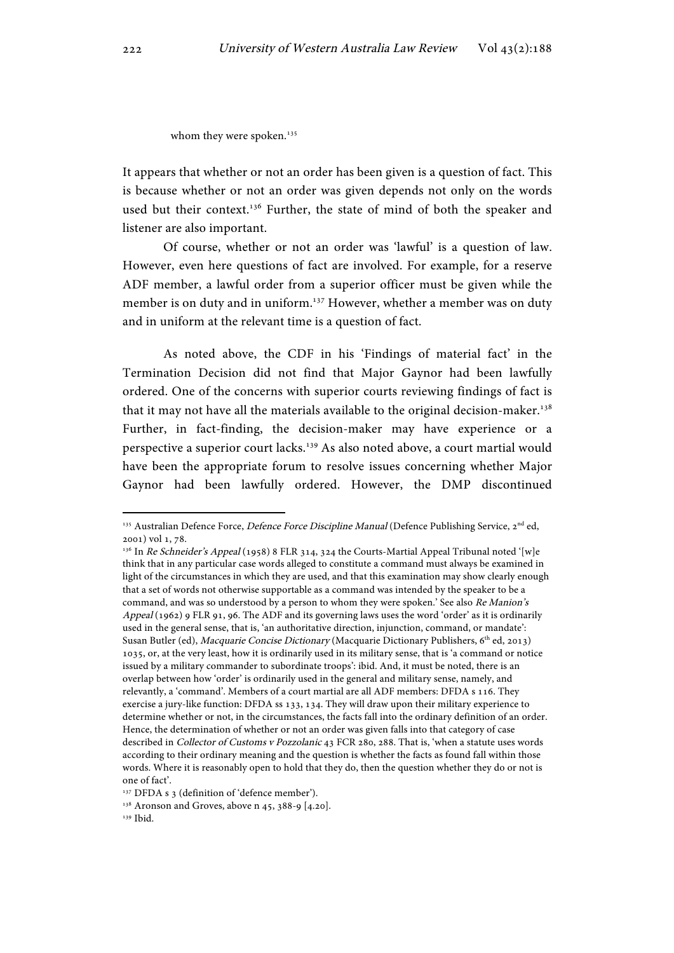whom they were spoken.<sup>135</sup>

It appears that whether or not an order has been given is a question of fact. This is because whether or not an order was given depends not only on the words used but their context.<sup>136</sup> Further, the state of mind of both the speaker and listener are also important.

Of course, whether or not an order was 'lawful' is a question of law. However, even here questions of fact are involved. For example, for a reserve ADF member, a lawful order from a superior officer must be given while the member is on duty and in uniform.<sup>137</sup> However, whether a member was on duty and in uniform at the relevant time is a question of fact.

As noted above, the CDF in his 'Findings of material fact' in the Termination Decision did not find that Major Gaynor had been lawfully ordered. One of the concerns with superior courts reviewing findings of fact is that it may not have all the materials available to the original decision-maker.138 Further, in fact-finding, the decision-maker may have experience or a perspective a superior court lacks.139 As also noted above, a court martial would have been the appropriate forum to resolve issues concerning whether Major Gaynor had been lawfully ordered. However, the DMP discontinued

<sup>&</sup>lt;sup>135</sup> Australian Defence Force, *Defence Force Discipline Manual* (Defence Publishing Service, 2<sup>nd</sup> ed, 2001) vol 1, 78.

<sup>&</sup>lt;sup>136</sup> In Re Schneider's Appeal (1958) 8 FLR 314, 324 the Courts-Martial Appeal Tribunal noted '[w]e think that in any particular case words alleged to constitute a command must always be examined in light of the circumstances in which they are used, and that this examination may show clearly enough that a set of words not otherwise supportable as a command was intended by the speaker to be a command, and was so understood by a person to whom they were spoken.' See also Re Manion's Appeal (1962) 9 FLR 91, 96. The ADF and its governing laws uses the word 'order' as it is ordinarily used in the general sense, that is, 'an authoritative direction, injunction, command, or mandate': Susan Butler (ed), Macquarie Concise Dictionary (Macquarie Dictionary Publishers, 6<sup>th</sup> ed, 2013) 1035, or, at the very least, how it is ordinarily used in its military sense, that is 'a command or notice issued by a military commander to subordinate troops': ibid. And, it must be noted, there is an overlap between how 'order' is ordinarily used in the general and military sense, namely, and relevantly, a 'command'. Members of a court martial are all ADF members: DFDA s 116. They exercise a jury-like function: DFDA ss 133, 134. They will draw upon their military experience to determine whether or not, in the circumstances, the facts fall into the ordinary definition of an order. Hence, the determination of whether or not an order was given falls into that category of case described in Collector of Customs v Pozzolanic 43 FCR 280, 288. That is, 'when a statute uses words according to their ordinary meaning and the question is whether the facts as found fall within those words. Where it is reasonably open to hold that they do, then the question whether they do or not is one of fact'.

<sup>&</sup>lt;sup>137</sup> DFDA s 3 (definition of 'defence member').

 $138$  Aronson and Groves, above n 45, 388-9 [4.20].

<sup>139</sup> Ibid.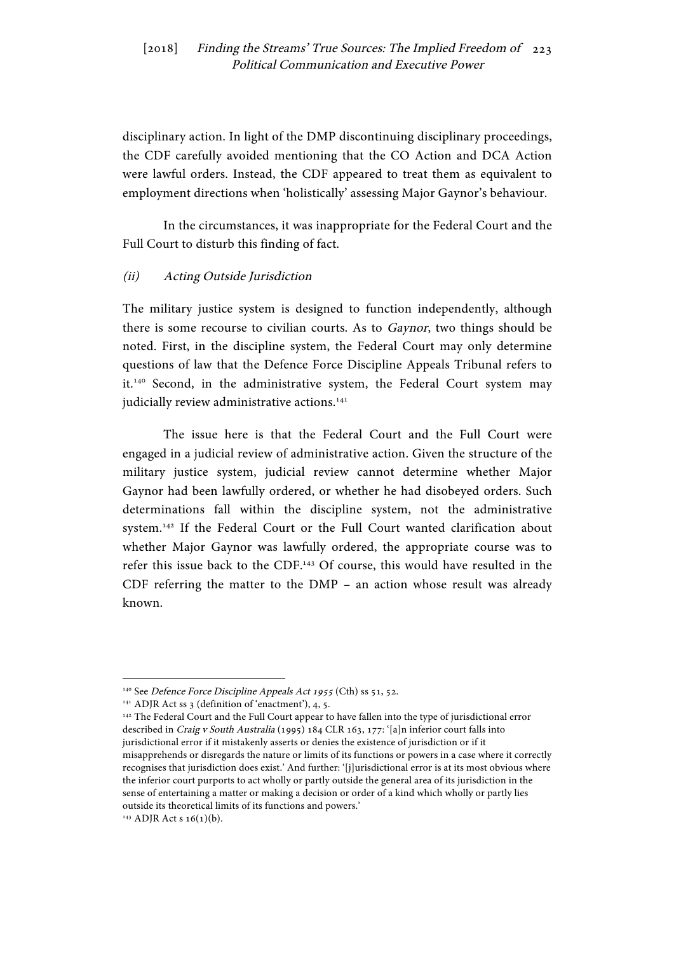disciplinary action. In light of the DMP discontinuing disciplinary proceedings, the CDF carefully avoided mentioning that the CO Action and DCA Action were lawful orders. Instead, the CDF appeared to treat them as equivalent to employment directions when 'holistically' assessing Major Gaynor's behaviour.

In the circumstances, it was inappropriate for the Federal Court and the Full Court to disturb this finding of fact.

#### (ii) Acting Outside Jurisdiction

The military justice system is designed to function independently, although there is some recourse to civilian courts. As to Gaynor, two things should be noted. First, in the discipline system, the Federal Court may only determine questions of law that the Defence Force Discipline Appeals Tribunal refers to it.140 Second, in the administrative system, the Federal Court system may judicially review administrative actions.<sup>141</sup>

The issue here is that the Federal Court and the Full Court were engaged in a judicial review of administrative action. Given the structure of the military justice system, judicial review cannot determine whether Major Gaynor had been lawfully ordered, or whether he had disobeyed orders. Such determinations fall within the discipline system, not the administrative system.142 If the Federal Court or the Full Court wanted clarification about whether Major Gaynor was lawfully ordered, the appropriate course was to refer this issue back to the CDF.143 Of course, this would have resulted in the CDF referring the matter to the DMP – an action whose result was already known.

<sup>140</sup> See Defence Force Discipline Appeals Act 1955 (Cth) ss 51, 52.

<sup>&</sup>lt;sup>141</sup> ADJR Act ss 3 (definition of 'enactment'), 4, 5.<br><sup>142</sup> The Federal Court and the Full Court appear to have fallen into the type of jurisdictional error described in Craig v South Australia (1995) 184 CLR 163, 177: '[a]n inferior court falls into jurisdictional error if it mistakenly asserts or denies the existence of jurisdiction or if it misapprehends or disregards the nature or limits of its functions or powers in a case where it correctly recognises that jurisdiction does exist.' And further: '[j]urisdictional error is at its most obvious where the inferior court purports to act wholly or partly outside the general area of its jurisdiction in the sense of entertaining a matter or making a decision or order of a kind which wholly or partly lies outside its theoretical limits of its functions and powers.'

 $143$  ADJR Act s 16(1)(b).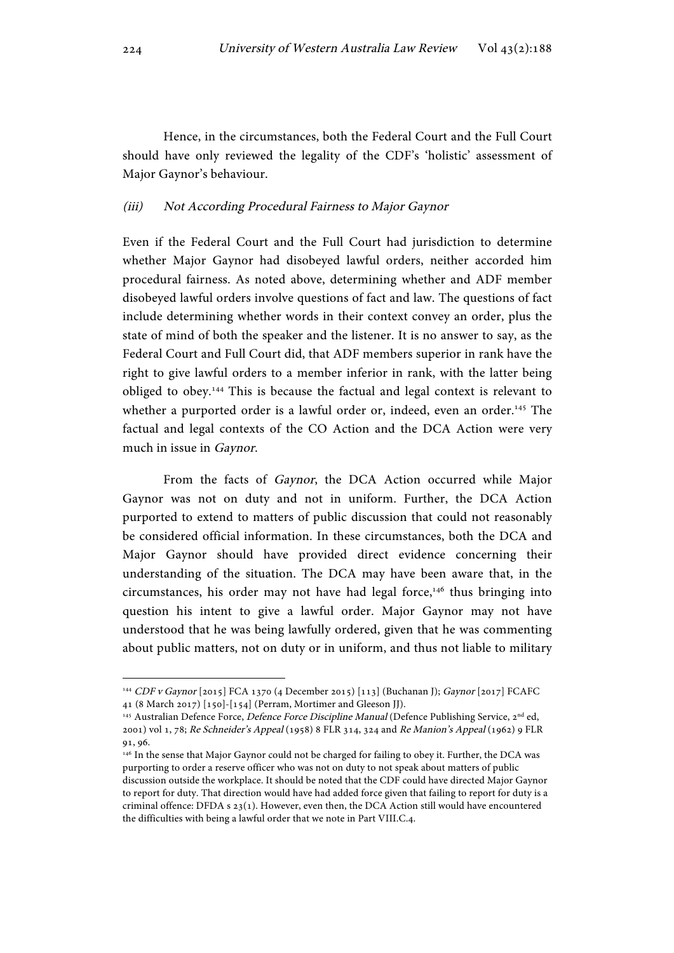Hence, in the circumstances, both the Federal Court and the Full Court should have only reviewed the legality of the CDF's 'holistic' assessment of Major Gaynor's behaviour.

#### (iii) Not According Procedural Fairness to Major Gaynor

Even if the Federal Court and the Full Court had jurisdiction to determine whether Major Gaynor had disobeyed lawful orders, neither accorded him procedural fairness. As noted above, determining whether and ADF member disobeyed lawful orders involve questions of fact and law. The questions of fact include determining whether words in their context convey an order, plus the state of mind of both the speaker and the listener. It is no answer to say, as the Federal Court and Full Court did, that ADF members superior in rank have the right to give lawful orders to a member inferior in rank, with the latter being obliged to obey.144 This is because the factual and legal context is relevant to whether a purported order is a lawful order or, indeed, even an order.<sup>145</sup> The factual and legal contexts of the CO Action and the DCA Action were very much in issue in Gaynor.

From the facts of Gaynor, the DCA Action occurred while Major Gaynor was not on duty and not in uniform. Further, the DCA Action purported to extend to matters of public discussion that could not reasonably be considered official information. In these circumstances, both the DCA and Major Gaynor should have provided direct evidence concerning their understanding of the situation. The DCA may have been aware that, in the circumstances, his order may not have had legal force,<sup>146</sup> thus bringing into question his intent to give a lawful order. Major Gaynor may not have understood that he was being lawfully ordered, given that he was commenting about public matters, not on duty or in uniform, and thus not liable to military

<sup>144</sup> CDF v Gaynor [2015] FCA 1370 (4 December 2015) [113] (Buchanan J); Gaynor [2017] FCAFC 41 (8 March 2017) [150]-[154] (Perram, Mortimer and Gleeson JJ).

<sup>145</sup> Australian Defence Force, Defence Force Discipline Manual (Defence Publishing Service, 2<sup>nd</sup> ed, 2001) vol 1, 78; Re Schneider's Appeal (1958) 8 FLR 314, 324 and Re Manion's Appeal (1962) 9 FLR 91, 96.

<sup>146</sup> In the sense that Major Gaynor could not be charged for failing to obey it. Further, the DCA was purporting to order a reserve officer who was not on duty to not speak about matters of public discussion outside the workplace. It should be noted that the CDF could have directed Major Gaynor to report for duty. That direction would have had added force given that failing to report for duty is a criminal offence: DFDA s  $23(1)$ . However, even then, the DCA Action still would have encountered the difficulties with being a lawful order that we note in Part VIII.C.4.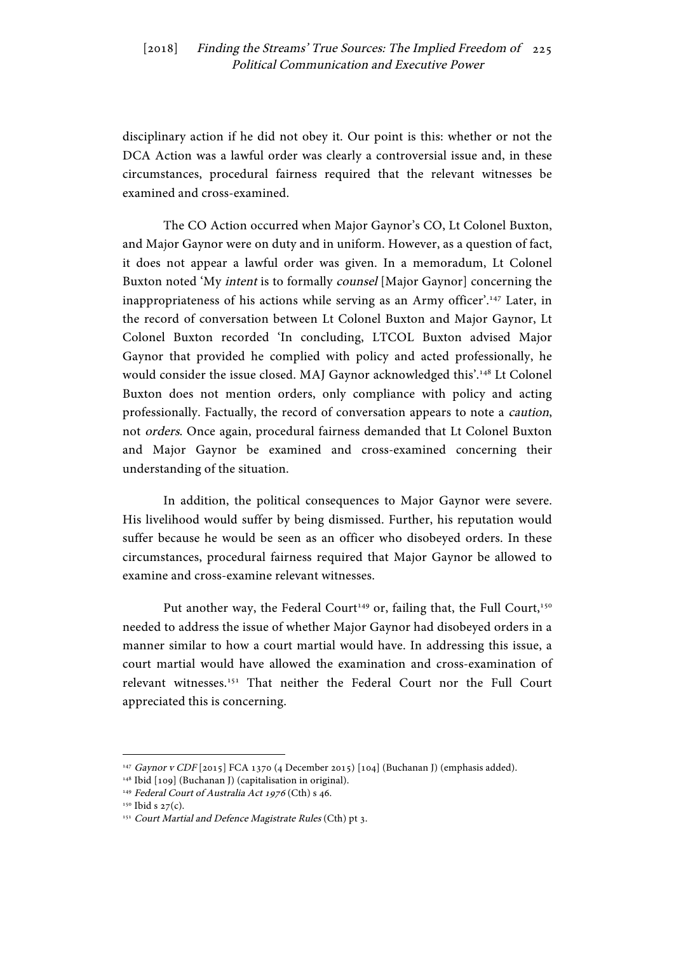disciplinary action if he did not obey it. Our point is this: whether or not the DCA Action was a lawful order was clearly a controversial issue and, in these circumstances, procedural fairness required that the relevant witnesses be examined and cross-examined.

The CO Action occurred when Major Gaynor's CO, Lt Colonel Buxton, and Major Gaynor were on duty and in uniform. However, as a question of fact, it does not appear a lawful order was given. In a memoradum, Lt Colonel Buxton noted 'My intent is to formally counsel [Major Gaynor] concerning the inappropriateness of his actions while serving as an Army officer'.<sup>147</sup> Later, in the record of conversation between Lt Colonel Buxton and Major Gaynor, Lt Colonel Buxton recorded 'In concluding, LTCOL Buxton advised Major Gaynor that provided he complied with policy and acted professionally, he would consider the issue closed. MAJ Gaynor acknowledged this'.148 Lt Colonel Buxton does not mention orders, only compliance with policy and acting professionally. Factually, the record of conversation appears to note a caution, not orders. Once again, procedural fairness demanded that Lt Colonel Buxton and Major Gaynor be examined and cross-examined concerning their understanding of the situation.

In addition, the political consequences to Major Gaynor were severe. His livelihood would suffer by being dismissed. Further, his reputation would suffer because he would be seen as an officer who disobeyed orders. In these circumstances, procedural fairness required that Major Gaynor be allowed to examine and cross-examine relevant witnesses.

Put another way, the Federal Court<sup>149</sup> or, failing that, the Full Court,<sup>150</sup> needed to address the issue of whether Major Gaynor had disobeyed orders in a manner similar to how a court martial would have. In addressing this issue, a court martial would have allowed the examination and cross-examination of relevant witnesses.151 That neither the Federal Court nor the Full Court appreciated this is concerning.

<sup>147</sup> Gaynor v CDF [2015] FCA 1370 (4 December 2015) [104] (Buchanan J) (emphasis added).

<sup>148</sup> Ibid [109] (Buchanan J) (capitalisation in original).

<sup>&</sup>lt;sup>149</sup> Federal Court of Australia Act 1976 (Cth) s 46.

<sup>&</sup>lt;sup>150</sup> Ibid s 27(c).<br><sup>151</sup> Court Martial and Defence Magistrate Rules (Cth) pt 3.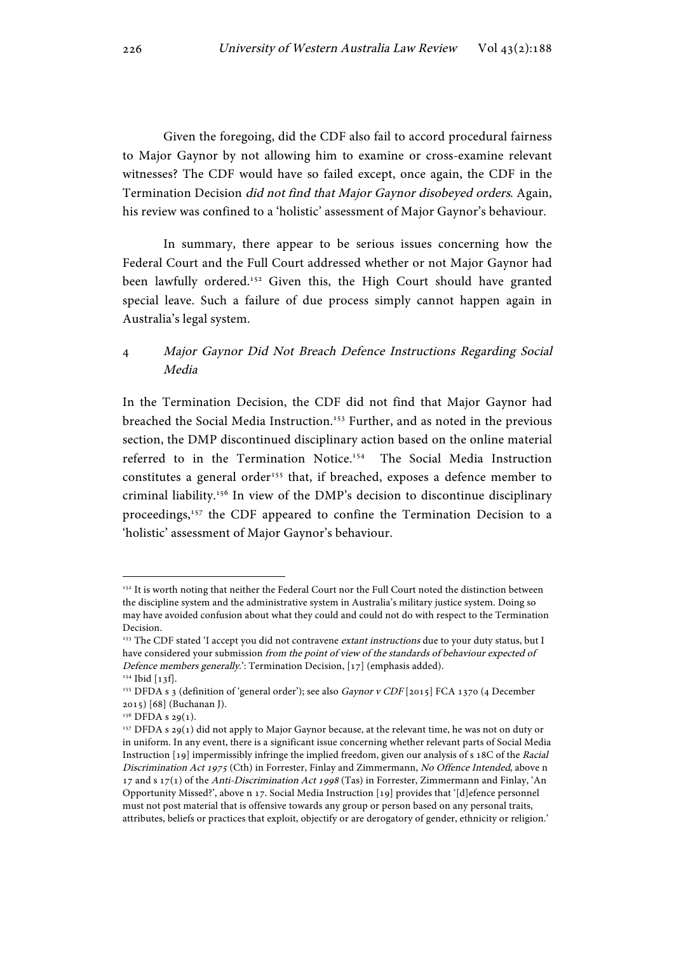Given the foregoing, did the CDF also fail to accord procedural fairness to Major Gaynor by not allowing him to examine or cross-examine relevant witnesses? The CDF would have so failed except, once again, the CDF in the Termination Decision did not find that Major Gaynor disobeyed orders. Again, his review was confined to a 'holistic' assessment of Major Gaynor's behaviour.

In summary, there appear to be serious issues concerning how the Federal Court and the Full Court addressed whether or not Major Gaynor had been lawfully ordered.<sup>152</sup> Given this, the High Court should have granted special leave. Such a failure of due process simply cannot happen again in Australia's legal system.

# 4 Major Gaynor Did Not Breach Defence Instructions Regarding Social Media

In the Termination Decision, the CDF did not find that Major Gaynor had breached the Social Media Instruction.153 Further, and as noted in the previous section, the DMP discontinued disciplinary action based on the online material referred to in the Termination Notice.154 The Social Media Instruction constitutes a general order<sup>155</sup> that, if breached, exposes a defence member to criminal liability.156 In view of the DMP's decision to discontinue disciplinary proceedings,<sup>157</sup> the CDF appeared to confine the Termination Decision to a 'holistic' assessment of Major Gaynor's behaviour.

<sup>&</sup>lt;sup>152</sup> It is worth noting that neither the Federal Court nor the Full Court noted the distinction between the discipline system and the administrative system in Australia's military justice system. Doing so may have avoided confusion about what they could and could not do with respect to the Termination Decision.

<sup>&</sup>lt;sup>153</sup> The CDF stated 'I accept you did not contravene extant instructions due to your duty status, but I have considered your submission from the point of view of the standards of behaviour expected of Defence members generally.': Termination Decision, [17] (emphasis added). <sup>154</sup> Ibid [13f].

<sup>&</sup>lt;sup>155</sup> DFDA s 3 (definition of 'general order'); see also Gaynor v CDF [2015] FCA 1370 (4 December 2015) [68] (Buchanan J).

<sup>&</sup>lt;sup>156</sup> DFDA s 29(1).

<sup>157</sup> DFDA s 29(1) did not apply to Major Gaynor because, at the relevant time, he was not on duty or in uniform. In any event, there is a significant issue concerning whether relevant parts of Social Media Instruction [19] impermissibly infringe the implied freedom, given our analysis of s 18C of the Racial Discrimination Act 1975 (Cth) in Forrester, Finlay and Zimmermann, No Offence Intended, above n 17 and s 17(1) of the Anti-Discrimination Act 1998 (Tas) in Forrester, Zimmermann and Finlay, 'An Opportunity Missed?', above n 17. Social Media Instruction [19] provides that '[d]efence personnel must not post material that is offensive towards any group or person based on any personal traits, attributes, beliefs or practices that exploit, objectify or are derogatory of gender, ethnicity or religion.'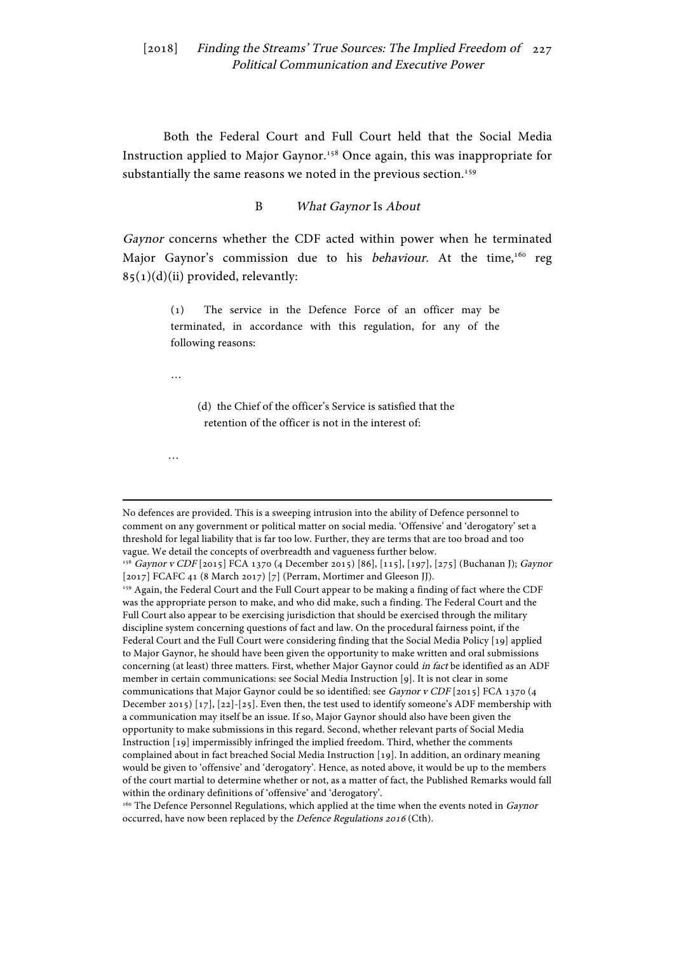Both the Federal Court and Full Court held that the Social Media Instruction applied to Major Gaynor.158 Once again, this was inappropriate for substantially the same reasons we noted in the previous section.<sup>159</sup>

B What Gaynor Is About

Gaynor concerns whether the CDF acted within power when he terminated Major Gaynor's commission due to his behaviour. At the time,<sup>160</sup> reg  $85(1)(d)(ii)$  provided, relevantly:

> (1) The service in the Defence Force of an officer may be terminated, in accordance with this regulation, for any of the following reasons:

…

…

 (d) the Chief of the officer's Service is satisfied that the retention of the officer is not in the interest of:

<u> 1989 - Johann Stein, marwolaethau a bhannaich an t-Amhair an t-Amhair an t-Amhair an t-Amhair an t-Amhair an</u>

No defences are provided. This is a sweeping intrusion into the ability of Defence personnel to comment on any government or political matter on social media. 'Offensive' and 'derogatory' set a threshold for legal liability that is far too low. Further, they are terms that are too broad and too vague. We detail the concepts of overbreadth and vagueness further below.

<sup>&</sup>lt;sup>158</sup> Gaynor v CDF [2015] FCA 1370 (4 December 2015) [86], [115], [197], [275] (Buchanan J); Gaynor [2017] FCAFC 41 (8 March 2017) [7] (Perram, Mortimer and Gleeson JJ).

<sup>159</sup> Again, the Federal Court and the Full Court appear to be making a finding of fact where the CDF was the appropriate person to make, and who did make, such a finding. The Federal Court and the Full Court also appear to be exercising jurisdiction that should be exercised through the military discipline system concerning questions of fact and law. On the procedural fairness point, if the Federal Court and the Full Court were considering finding that the Social Media Policy [19] applied to Major Gaynor, he should have been given the opportunity to make written and oral submissions concerning (at least) three matters. First, whether Major Gaynor could in fact be identified as an ADF member in certain communications: see Social Media Instruction [9]. It is not clear in some communications that Major Gaynor could be so identified: see Gaynor v CDF [2015] FCA 1370 (4 December 2015) [17], [22]-[25]. Even then, the test used to identify someone's ADF membership with a communication may itself be an issue. If so, Major Gaynor should also have been given the opportunity to make submissions in this regard. Second, whether relevant parts of Social Media Instruction [19] impermissibly infringed the implied freedom. Third, whether the comments complained about in fact breached Social Media Instruction [19]. In addition, an ordinary meaning would be given to 'offensive' and 'derogatory'. Hence, as noted above, it would be up to the members of the court martial to determine whether or not, as a matter of fact, the Published Remarks would fall within the ordinary definitions of 'offensive' and 'derogatory'.

<sup>&</sup>lt;sup>160</sup> The Defence Personnel Regulations, which applied at the time when the events noted in Gaynor occurred, have now been replaced by the Defence Regulations 2016 (Cth).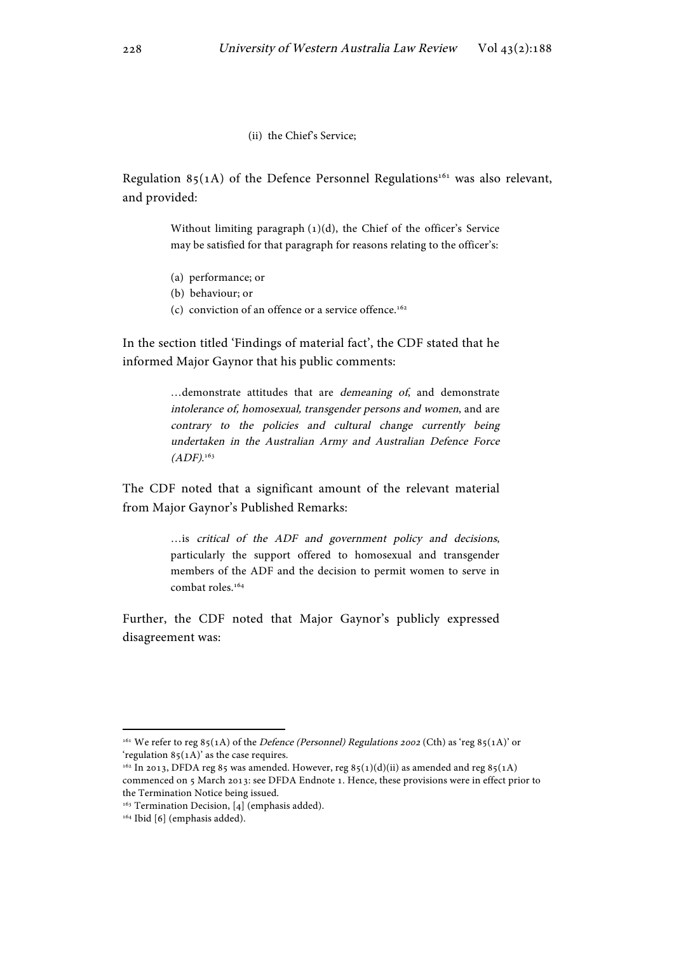#### (ii) the Chief's Service;

Regulation 85(1A) of the Defence Personnel Regulations<sup>161</sup> was also relevant, and provided:

> Without limiting paragraph  $(1)(d)$ , the Chief of the officer's Service may be satisfied for that paragraph for reasons relating to the officer's:

- (a) performance; or
- (b) behaviour; or
- (c) conviction of an offence or a service offence.<sup>162</sup>

In the section titled 'Findings of material fact', the CDF stated that he informed Major Gaynor that his public comments:

> …demonstrate attitudes that are demeaning of, and demonstrate intolerance of, homosexual, transgender persons and women, and are contrary to the policies and cultural change currently being undertaken in the Australian Army and Australian Defence Force  $(ADF).^{163}$

The CDF noted that a significant amount of the relevant material from Major Gaynor's Published Remarks:

> …is critical of the ADF and government policy and decisions, particularly the support offered to homosexual and transgender members of the ADF and the decision to permit women to serve in combat roles.<sup>164</sup>

Further, the CDF noted that Major Gaynor's publicly expressed disagreement was:

<sup>&</sup>lt;sup>161</sup> We refer to reg 85(1A) of the *Defence (Personnel) Regulations 2002* (Cth) as 'reg 85(1A)' or 'regulation  $85(1)$ ' as the case requires.

 $162$  In 2013, DFDA reg 85 was amended. However, reg 85(1)(d)(ii) as amended and reg 85(1A) commenced on 5 March 2013: see DFDA Endnote 1. Hence, these provisions were in effect prior to the Termination Notice being issued.

<sup>&</sup>lt;sup>163</sup> Termination Decision, [4] (emphasis added).

<sup>&</sup>lt;sup>164</sup> Ibid [6] (emphasis added).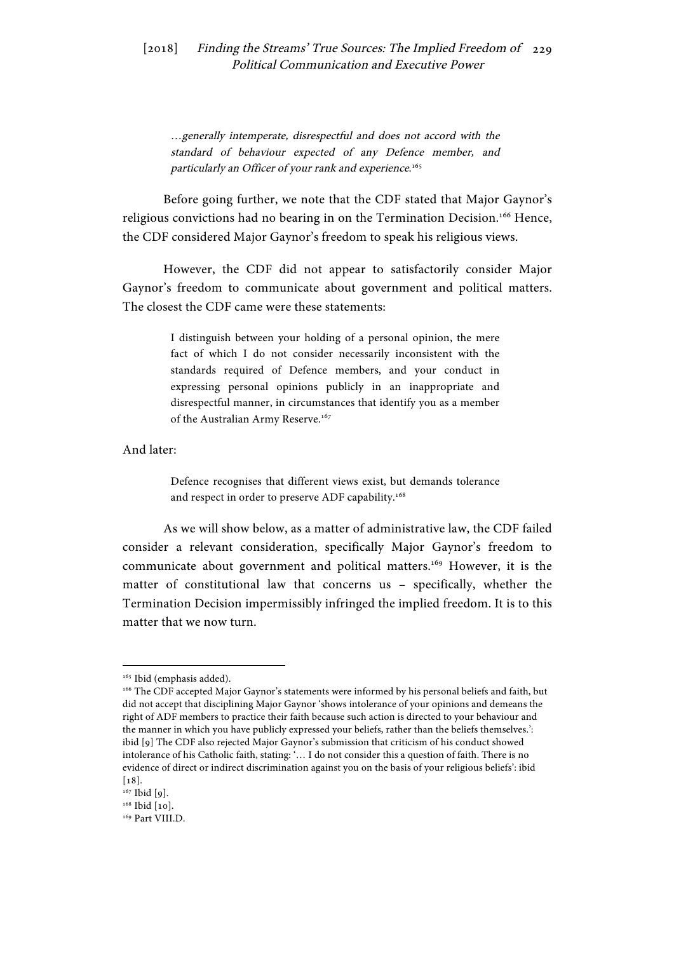…generally intemperate, disrespectful and does not accord with the standard of behaviour expected of any Defence member, and particularly an Officer of your rank and experience. 165

Before going further, we note that the CDF stated that Major Gaynor's religious convictions had no bearing in on the Termination Decision.<sup>166</sup> Hence, the CDF considered Major Gaynor's freedom to speak his religious views.

However, the CDF did not appear to satisfactorily consider Major Gaynor's freedom to communicate about government and political matters. The closest the CDF came were these statements:

> I distinguish between your holding of a personal opinion, the mere fact of which I do not consider necessarily inconsistent with the standards required of Defence members, and your conduct in expressing personal opinions publicly in an inappropriate and disrespectful manner, in circumstances that identify you as a member of the Australian Army Reserve.<sup>167</sup>

And later:

Defence recognises that different views exist, but demands tolerance and respect in order to preserve ADF capability.<sup>168</sup>

As we will show below, as a matter of administrative law, the CDF failed consider a relevant consideration, specifically Major Gaynor's freedom to communicate about government and political matters.<sup>169</sup> However, it is the matter of constitutional law that concerns us – specifically, whether the Termination Decision impermissibly infringed the implied freedom. It is to this matter that we now turn.

<sup>&</sup>lt;sup>165</sup> Ibid (emphasis added).

<sup>166</sup> The CDF accepted Major Gaynor's statements were informed by his personal beliefs and faith, but did not accept that disciplining Major Gaynor 'shows intolerance of your opinions and demeans the right of ADF members to practice their faith because such action is directed to your behaviour and the manner in which you have publicly expressed your beliefs, rather than the beliefs themselves.': ibid [9] The CDF also rejected Major Gaynor's submission that criticism of his conduct showed intolerance of his Catholic faith, stating: '… I do not consider this a question of faith. There is no evidence of direct or indirect discrimination against you on the basis of your religious beliefs': ibid [18].

 $167$  Ibid [9].

<sup>&</sup>lt;sup>168</sup> Ibid [10].

<sup>&</sup>lt;sup>169</sup> Part VIII.D.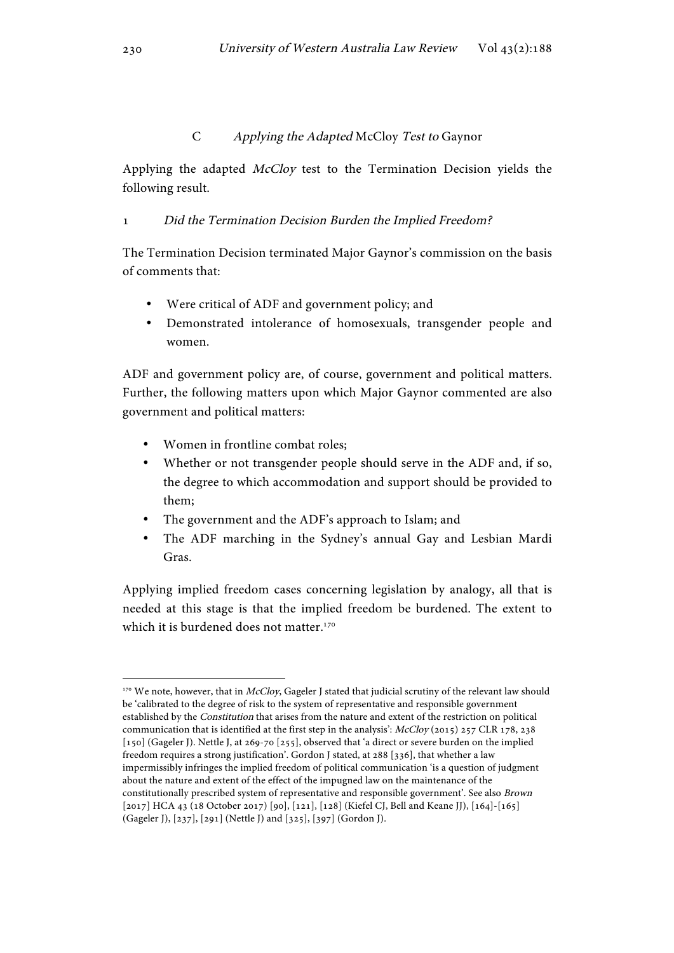## C Applying the Adapted McCloy Test to Gaynor

Applying the adapted McCloy test to the Termination Decision yields the following result.

# 1 Did the Termination Decision Burden the Implied Freedom?

The Termination Decision terminated Major Gaynor's commission on the basis of comments that:

- Were critical of ADF and government policy; and
- Demonstrated intolerance of homosexuals, transgender people and women.

ADF and government policy are, of course, government and political matters. Further, the following matters upon which Major Gaynor commented are also government and political matters:

• Women in frontline combat roles;

 

- Whether or not transgender people should serve in the ADF and, if so, the degree to which accommodation and support should be provided to them;
- The government and the ADF's approach to Islam; and
- The ADF marching in the Sydney's annual Gay and Lesbian Mardi Gras.

Applying implied freedom cases concerning legislation by analogy, all that is needed at this stage is that the implied freedom be burdened. The extent to which it is burdened does not matter.<sup>170</sup>

<sup>170</sup> We note, however, that in McCloy, Gageler J stated that judicial scrutiny of the relevant law should be 'calibrated to the degree of risk to the system of representative and responsible government established by the Constitution that arises from the nature and extent of the restriction on political communication that is identified at the first step in the analysis':  $\text{McCloy}(2015)$  257 CLR 178, 238 [150] (Gageler J). Nettle J, at 269-70 [255], observed that 'a direct or severe burden on the implied freedom requires a strong justification'. Gordon J stated, at 288 [336], that whether a law impermissibly infringes the implied freedom of political communication 'is a question of judgment about the nature and extent of the effect of the impugned law on the maintenance of the constitutionally prescribed system of representative and responsible government'. See also Brown [2017] HCA 43 (18 October 2017) [90], [121], [128] (Kiefel CJ, Bell and Keane JJ), [164]-[165] (Gageler J), [237], [291] (Nettle J) and [325], [397] (Gordon J).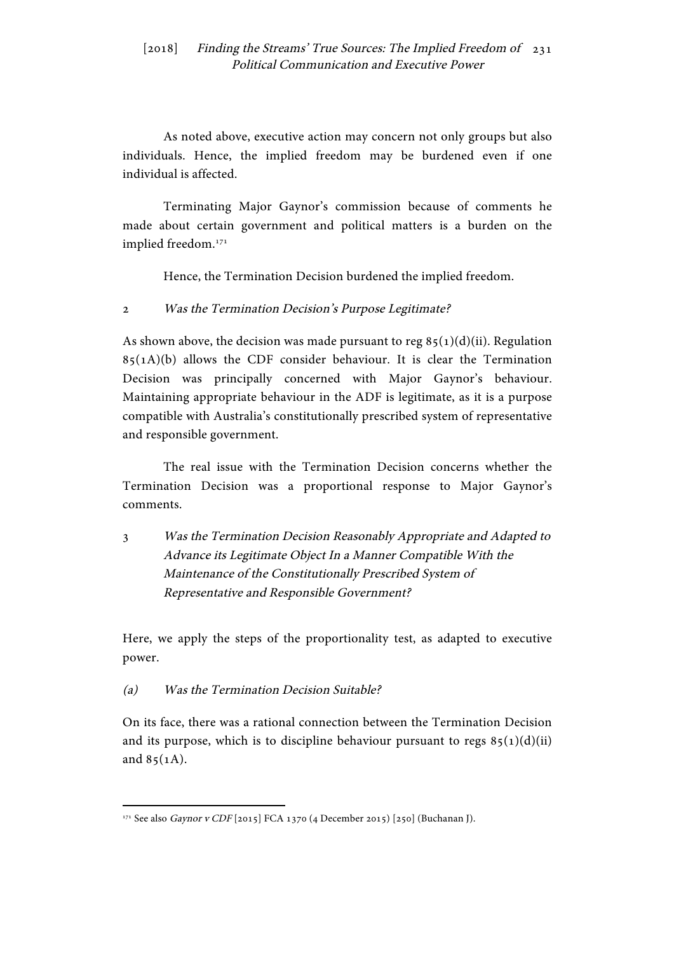As noted above, executive action may concern not only groups but also individuals. Hence, the implied freedom may be burdened even if one individual is affected.

Terminating Major Gaynor's commission because of comments he made about certain government and political matters is a burden on the implied freedom.171

Hence, the Termination Decision burdened the implied freedom.

2 Was the Termination Decision's Purpose Legitimate?

As shown above, the decision was made pursuant to reg  $85(1)(d)(ii)$ . Regulation  $85(1A)(b)$  allows the CDF consider behaviour. It is clear the Termination Decision was principally concerned with Major Gaynor's behaviour. Maintaining appropriate behaviour in the ADF is legitimate, as it is a purpose compatible with Australia's constitutionally prescribed system of representative and responsible government.

The real issue with the Termination Decision concerns whether the Termination Decision was a proportional response to Major Gaynor's comments.

3 Was the Termination Decision Reasonably Appropriate and Adapted to Advance its Legitimate Object In a Manner Compatible With the Maintenance of the Constitutionally Prescribed System of Representative and Responsible Government?

Here, we apply the steps of the proportionality test, as adapted to executive power.

(a) Was the Termination Decision Suitable?

 

On its face, there was a rational connection between the Termination Decision and its purpose, which is to discipline behaviour pursuant to regs  $85(1)(d)(ii)$ and  $85(1A)$ .

<sup>&</sup>lt;sup>171</sup> See also *Gaynor v CDF* [2015] FCA 1370 (4 December 2015) [250] (Buchanan J).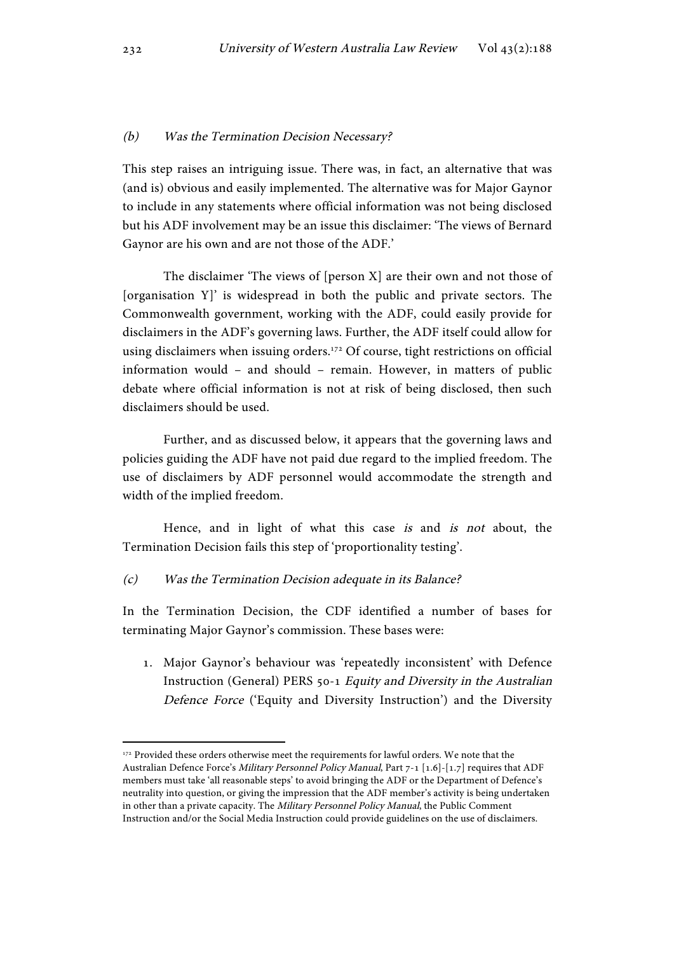#### (b) Was the Termination Decision Necessary?

This step raises an intriguing issue. There was, in fact, an alternative that was (and is) obvious and easily implemented. The alternative was for Major Gaynor to include in any statements where official information was not being disclosed but his ADF involvement may be an issue this disclaimer: 'The views of Bernard Gaynor are his own and are not those of the ADF.'

The disclaimer 'The views of [person X] are their own and not those of [organisation Y]' is widespread in both the public and private sectors. The Commonwealth government, working with the ADF, could easily provide for disclaimers in the ADF's governing laws. Further, the ADF itself could allow for using disclaimers when issuing orders.<sup>172</sup> Of course, tight restrictions on official information would – and should – remain. However, in matters of public debate where official information is not at risk of being disclosed, then such disclaimers should be used.

Further, and as discussed below, it appears that the governing laws and policies guiding the ADF have not paid due regard to the implied freedom. The use of disclaimers by ADF personnel would accommodate the strength and width of the implied freedom.

Hence, and in light of what this case is and is not about, the Termination Decision fails this step of 'proportionality testing'.

#### (c) Was the Termination Decision adequate in its Balance?

 

In the Termination Decision, the CDF identified a number of bases for terminating Major Gaynor's commission. These bases were:

1. Major Gaynor's behaviour was 'repeatedly inconsistent' with Defence Instruction (General) PERS 50-1 Equity and Diversity in the Australian Defence Force ('Equity and Diversity Instruction') and the Diversity

<sup>&</sup>lt;sup>172</sup> Provided these orders otherwise meet the requirements for lawful orders. We note that the Australian Defence Force's Military Personnel Policy Manual, Part 7-1 [1.6]-[1.7] requires that ADF members must take 'all reasonable steps' to avoid bringing the ADF or the Department of Defence's neutrality into question, or giving the impression that the ADF member's activity is being undertaken in other than a private capacity. The Military Personnel Policy Manual, the Public Comment Instruction and/or the Social Media Instruction could provide guidelines on the use of disclaimers.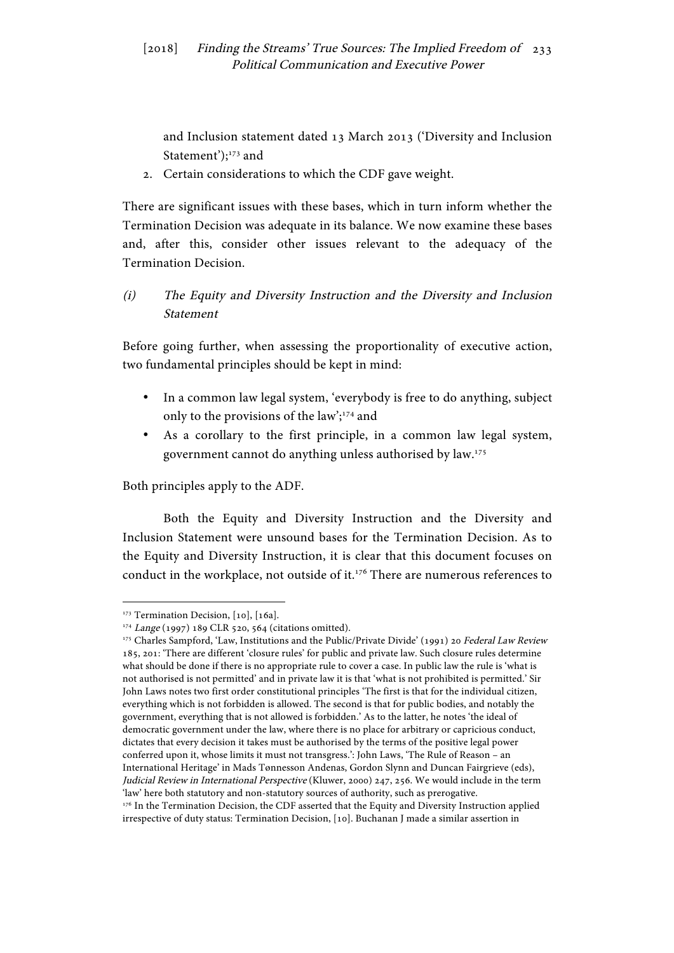and Inclusion statement dated 13 March 2013 ('Diversity and Inclusion Statement');<sup>173</sup> and

2. Certain considerations to which the CDF gave weight.

There are significant issues with these bases, which in turn inform whether the Termination Decision was adequate in its balance. We now examine these bases and, after this, consider other issues relevant to the adequacy of the Termination Decision.

(i) The Equity and Diversity Instruction and the Diversity and Inclusion Statement

Before going further, when assessing the proportionality of executive action, two fundamental principles should be kept in mind:

- In a common law legal system, 'everybody is free to do anything, subject only to the provisions of the law';<sup>174</sup> and
- As a corollary to the first principle, in a common law legal system, government cannot do anything unless authorised by law.175

Both principles apply to the ADF.

Both the Equity and Diversity Instruction and the Diversity and Inclusion Statement were unsound bases for the Termination Decision. As to the Equity and Diversity Instruction, it is clear that this document focuses on conduct in the workplace, not outside of it.176 There are numerous references to

 <sup>173</sup> Termination Decision, [10], [16a].

<sup>174</sup> Lange (1997) 189 CLR 520, 564 (citations omitted).

<sup>175</sup> Charles Sampford, 'Law, Institutions and the Public/Private Divide' (1991) 20 Federal Law Review 185, 201: 'There are different 'closure rules' for public and private law. Such closure rules determine what should be done if there is no appropriate rule to cover a case. In public law the rule is 'what is not authorised is not permitted' and in private law it is that 'what is not prohibited is permitted.' Sir John Laws notes two first order constitutional principles 'The first is that for the individual citizen, everything which is not forbidden is allowed. The second is that for public bodies, and notably the government, everything that is not allowed is forbidden.' As to the latter, he notes 'the ideal of democratic government under the law, where there is no place for arbitrary or capricious conduct, dictates that every decision it takes must be authorised by the terms of the positive legal power conferred upon it, whose limits it must not transgress.': John Laws, 'The Rule of Reason – an International Heritage' in Mads Tønnesson Andenas, Gordon Slynn and Duncan Fairgrieve (eds), Judicial Review in International Perspective (Kluwer, 2000) 247, 256. We would include in the term 'law' here both statutory and non-statutory sources of authority, such as prerogative. <sup>176</sup> In the Termination Decision, the CDF asserted that the Equity and Diversity Instruction applied irrespective of duty status: Termination Decision, [10]. Buchanan J made a similar assertion in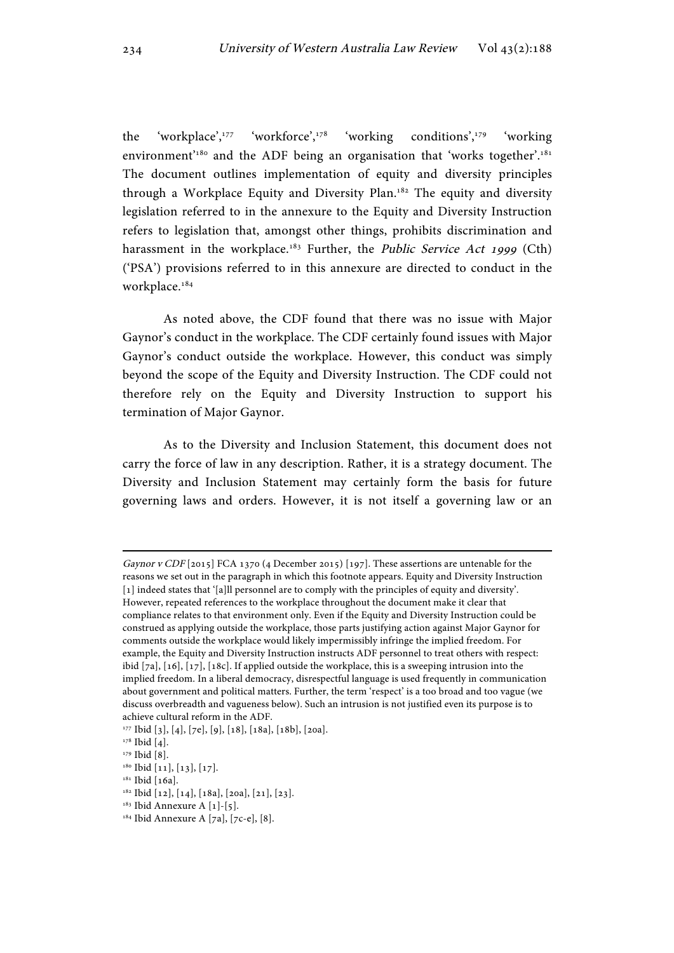the 'workplace',<sup>177</sup> 'workforce',<sup>178</sup> 'working conditions',<sup>179</sup> 'working environment<sup>'180</sup> and the ADF being an organisation that 'works together'.<sup>181</sup> The document outlines implementation of equity and diversity principles through a Workplace Equity and Diversity Plan.<sup>182</sup> The equity and diversity legislation referred to in the annexure to the Equity and Diversity Instruction refers to legislation that, amongst other things, prohibits discrimination and harassment in the workplace.<sup>183</sup> Further, the *Public Service Act 1999* (Cth) ('PSA') provisions referred to in this annexure are directed to conduct in the workplace.<sup>184</sup>

As noted above, the CDF found that there was no issue with Major Gaynor's conduct in the workplace. The CDF certainly found issues with Major Gaynor's conduct outside the workplace. However, this conduct was simply beyond the scope of the Equity and Diversity Instruction. The CDF could not therefore rely on the Equity and Diversity Instruction to support his termination of Major Gaynor.

As to the Diversity and Inclusion Statement, this document does not carry the force of law in any description. Rather, it is a strategy document. The Diversity and Inclusion Statement may certainly form the basis for future governing laws and orders. However, it is not itself a governing law or an

Gaynor v CDF [2015] FCA 1370 (4 December 2015) [197]. These assertions are untenable for the reasons we set out in the paragraph in which this footnote appears. Equity and Diversity Instruction [1] indeed states that '[a]ll personnel are to comply with the principles of equity and diversity'. However, repeated references to the workplace throughout the document make it clear that compliance relates to that environment only. Even if the Equity and Diversity Instruction could be construed as applying outside the workplace, those parts justifying action against Major Gaynor for comments outside the workplace would likely impermissibly infringe the implied freedom. For example, the Equity and Diversity Instruction instructs ADF personnel to treat others with respect: ibid [7a], [16], [17], [18c]. If applied outside the workplace, this is a sweeping intrusion into the implied freedom. In a liberal democracy, disrespectful language is used frequently in communication about government and political matters. Further, the term 'respect' is a too broad and too vague (we discuss overbreadth and vagueness below). Such an intrusion is not justified even its purpose is to achieve cultural reform in the ADF.

<sup>&</sup>lt;sup>177</sup> Ibid [3], [4], [7e], [9], [18], [18a], [18b], [20a].

<sup>&</sup>lt;sup>178</sup> Ibid [4].

<sup>&</sup>lt;sup>179</sup> Ibid [8].

 $^{\rm 180}$  Ibid [11], [13], [17].

<sup>&</sup>lt;sup>181</sup> Ibid [16a].

<sup>182</sup> Ibid [12], [14], [18a], [20a], [21], [23].

<sup>&</sup>lt;sup>183</sup> Ibid Annexure A [1]-[5].

<sup>&</sup>lt;sup>184</sup> Ibid Annexure A [7a], [7c-e], [8].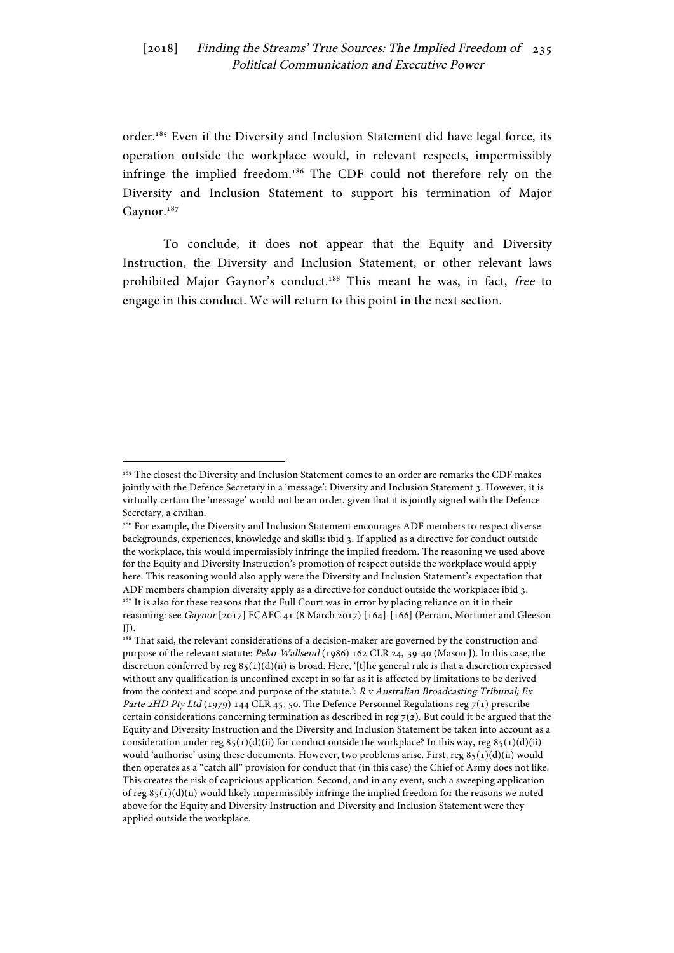order.<sup>185</sup> Even if the Diversity and Inclusion Statement did have legal force, its operation outside the workplace would, in relevant respects, impermissibly infringe the implied freedom.186 The CDF could not therefore rely on the Diversity and Inclusion Statement to support his termination of Major Gaynor.<sup>187</sup>

To conclude, it does not appear that the Equity and Diversity Instruction, the Diversity and Inclusion Statement, or other relevant laws prohibited Major Gaynor's conduct.<sup>188</sup> This meant he was, in fact, free to engage in this conduct. We will return to this point in the next section.

<sup>&</sup>lt;sup>185</sup> The closest the Diversity and Inclusion Statement comes to an order are remarks the CDF makes jointly with the Defence Secretary in a 'message': Diversity and Inclusion Statement 3. However, it is virtually certain the 'message' would not be an order, given that it is jointly signed with the Defence Secretary, a civilian.

<sup>186</sup> For example, the Diversity and Inclusion Statement encourages ADF members to respect diverse backgrounds, experiences, knowledge and skills: ibid 3. If applied as a directive for conduct outside the workplace, this would impermissibly infringe the implied freedom. The reasoning we used above for the Equity and Diversity Instruction's promotion of respect outside the workplace would apply here. This reasoning would also apply were the Diversity and Inclusion Statement's expectation that ADF members champion diversity apply as a directive for conduct outside the workplace: ibid 3.  $^{187}$  It is also for these reasons that the Full Court was in error by placing reliance on it in their reasoning: see Gaynor [2017] FCAFC 41 (8 March 2017) [164]-[166] (Perram, Mortimer and Gleeson  $JJ$ ).

<sup>188</sup> That said, the relevant considerations of a decision-maker are governed by the construction and purpose of the relevant statute: Peko-Wallsend (1986) 162 CLR 24, 39-40 (Mason J). In this case, the discretion conferred by reg  $85(1)(d)(ii)$  is broad. Here, '[t]he general rule is that a discretion expressed without any qualification is unconfined except in so far as it is affected by limitations to be derived from the context and scope and purpose of the statute.':  $R$  v Australian Broadcasting Tribunal; Ex Parte 2HD Pty Ltd (1979) 144 CLR 45, 50. The Defence Personnel Regulations reg 7(1) prescribe certain considerations concerning termination as described in reg 7(2). But could it be argued that the Equity and Diversity Instruction and the Diversity and Inclusion Statement be taken into account as a consideration under reg  $85(1)(d)(ii)$  for conduct outside the workplace? In this way, reg  $85(1)(d)(ii)$ would 'authorise' using these documents. However, two problems arise. First, reg  $85(1)(d)(ii)$  would then operates as a "catch all" provision for conduct that (in this case) the Chief of Army does not like. This creates the risk of capricious application. Second, and in any event, such a sweeping application of reg 85(1)(d)(ii) would likely impermissibly infringe the implied freedom for the reasons we noted above for the Equity and Diversity Instruction and Diversity and Inclusion Statement were they applied outside the workplace.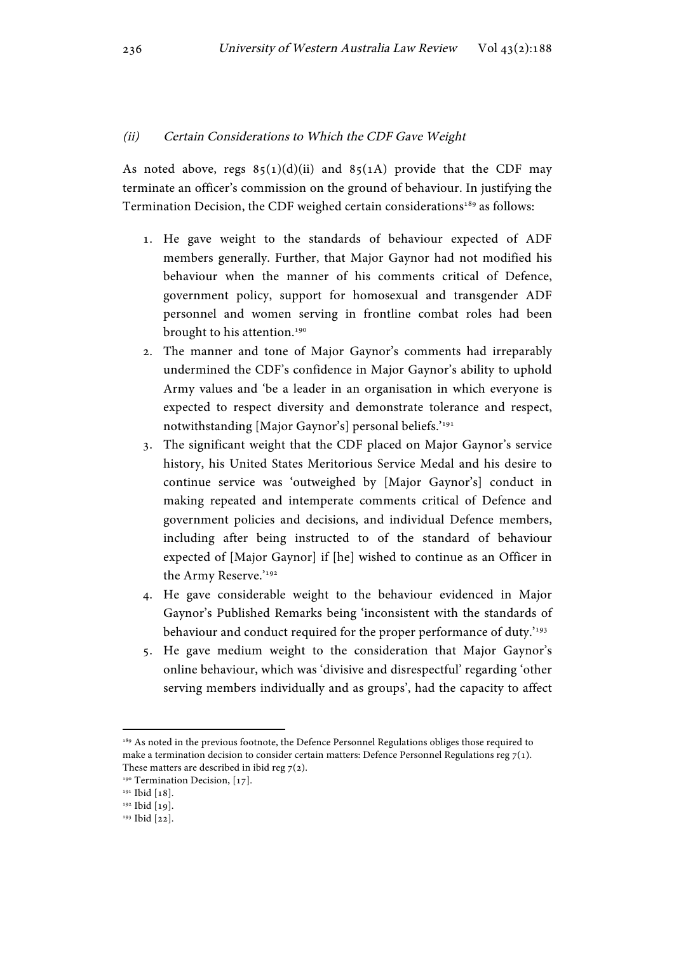#### (ii) Certain Considerations to Which the CDF Gave Weight

As noted above, regs  $85(1)(d)(ii)$  and  $85(1)(A)$  provide that the CDF may terminate an officer's commission on the ground of behaviour. In justifying the Termination Decision, the CDF weighed certain considerations<sup>189</sup> as follows:

- 1. He gave weight to the standards of behaviour expected of ADF members generally. Further, that Major Gaynor had not modified his behaviour when the manner of his comments critical of Defence, government policy, support for homosexual and transgender ADF personnel and women serving in frontline combat roles had been brought to his attention.<sup>190</sup>
- 2. The manner and tone of Major Gaynor's comments had irreparably undermined the CDF's confidence in Major Gaynor's ability to uphold Army values and 'be a leader in an organisation in which everyone is expected to respect diversity and demonstrate tolerance and respect, notwithstanding [Major Gaynor's] personal beliefs.'<sup>191</sup>
- 3. The significant weight that the CDF placed on Major Gaynor's service history, his United States Meritorious Service Medal and his desire to continue service was 'outweighed by [Major Gaynor's] conduct in making repeated and intemperate comments critical of Defence and government policies and decisions, and individual Defence members, including after being instructed to of the standard of behaviour expected of [Major Gaynor] if [he] wished to continue as an Officer in the Army Reserve.'192
- 4. He gave considerable weight to the behaviour evidenced in Major Gaynor's Published Remarks being 'inconsistent with the standards of behaviour and conduct required for the proper performance of duty.<sup>193</sup>
- 5. He gave medium weight to the consideration that Major Gaynor's online behaviour, which was 'divisive and disrespectful' regarding 'other serving members individually and as groups', had the capacity to affect

<sup>&</sup>lt;sup>189</sup> As noted in the previous footnote, the Defence Personnel Regulations obliges those required to make a termination decision to consider certain matters: Defence Personnel Regulations reg  $7(1)$ . These matters are described in ibid reg  $7(2)$ .

<sup>&</sup>lt;sup>190</sup> Termination Decision, [17].

<sup>&</sup>lt;sup>191</sup> Ibid [18].

<sup>192</sup> Ibid [19].

<sup>193</sup> Ibid [22].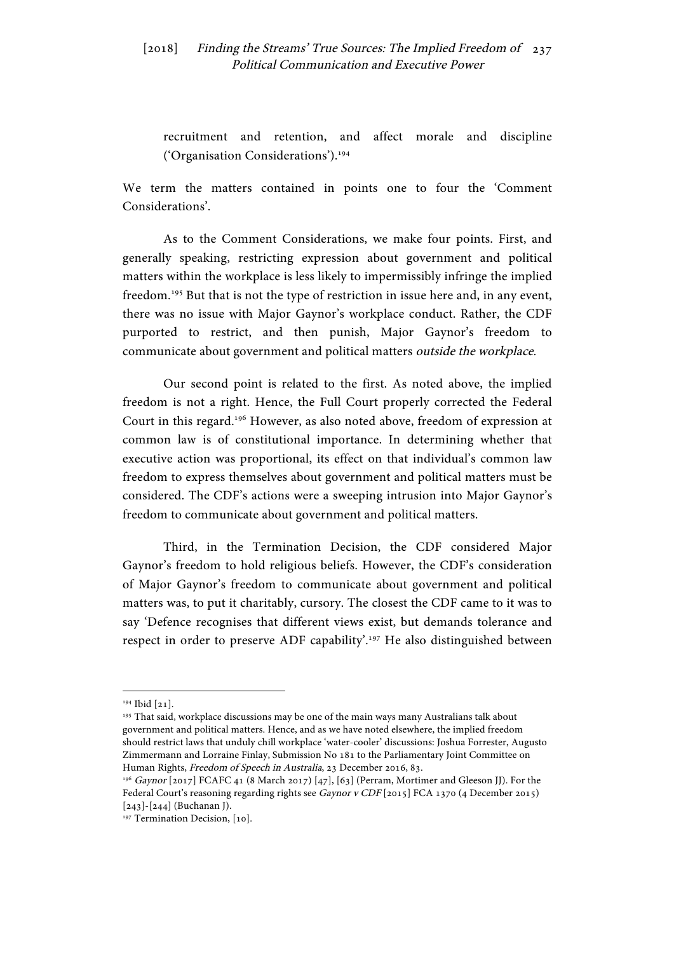recruitment and retention, and affect morale and discipline ('Organisation Considerations').194

We term the matters contained in points one to four the 'Comment Considerations'.

As to the Comment Considerations, we make four points. First, and generally speaking, restricting expression about government and political matters within the workplace is less likely to impermissibly infringe the implied freedom.195 But that is not the type of restriction in issue here and, in any event, there was no issue with Major Gaynor's workplace conduct. Rather, the CDF purported to restrict, and then punish, Major Gaynor's freedom to communicate about government and political matters outside the workplace.

Our second point is related to the first. As noted above, the implied freedom is not a right. Hence, the Full Court properly corrected the Federal Court in this regard.196 However, as also noted above, freedom of expression at common law is of constitutional importance. In determining whether that executive action was proportional, its effect on that individual's common law freedom to express themselves about government and political matters must be considered. The CDF's actions were a sweeping intrusion into Major Gaynor's freedom to communicate about government and political matters.

Third, in the Termination Decision, the CDF considered Major Gaynor's freedom to hold religious beliefs. However, the CDF's consideration of Major Gaynor's freedom to communicate about government and political matters was, to put it charitably, cursory. The closest the CDF came to it was to say 'Defence recognises that different views exist, but demands tolerance and respect in order to preserve ADF capability'.197 He also distinguished between

<sup>194</sup> Ibid [21].

<sup>&</sup>lt;sup>195</sup> That said, workplace discussions may be one of the main ways many Australians talk about government and political matters. Hence, and as we have noted elsewhere, the implied freedom should restrict laws that unduly chill workplace 'water-cooler' discussions: Joshua Forrester, Augusto Zimmermann and Lorraine Finlay, Submission No 181 to the Parliamentary Joint Committee on Human Rights, *Freedom of Speech in Australia*, 23 December 2016, 83.<br><sup>196</sup> Gaynor [2017] FCAFC 41 (8 March 2017) [47], [63] (Perram, Mortimer and Gleeson JJ). For the

Federal Court's reasoning regarding rights see Gaynor v CDF [2015] FCA 1370 (4 December 2015) [243]-[244] (Buchanan J).

<sup>&</sup>lt;sup>197</sup> Termination Decision, [10].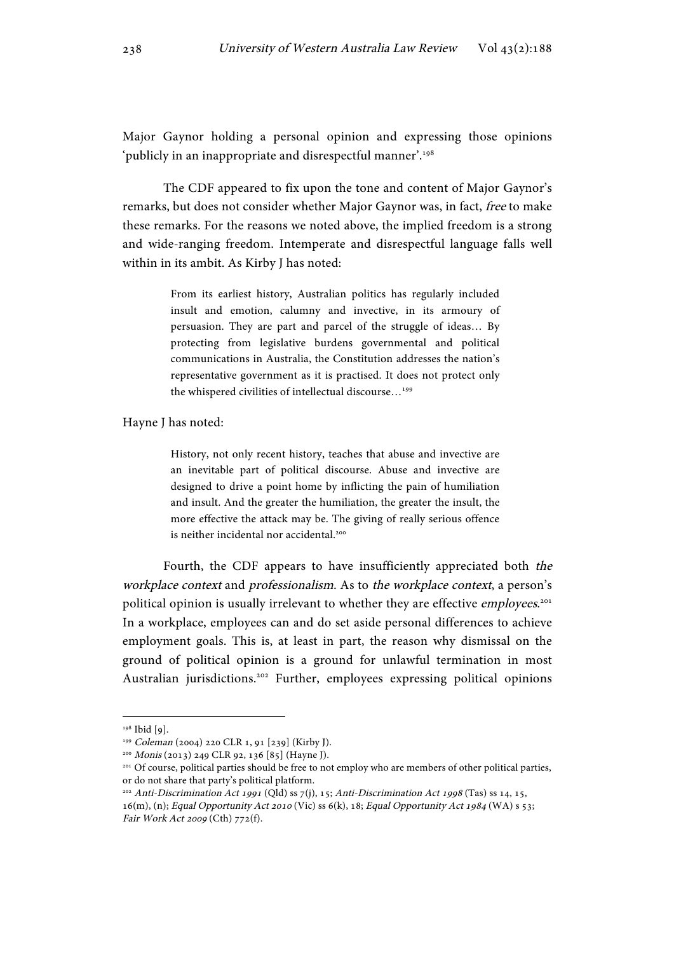Major Gaynor holding a personal opinion and expressing those opinions 'publicly in an inappropriate and disrespectful manner'.<sup>198</sup>

The CDF appeared to fix upon the tone and content of Major Gaynor's remarks, but does not consider whether Major Gaynor was, in fact, free to make these remarks. For the reasons we noted above, the implied freedom is a strong and wide-ranging freedom. Intemperate and disrespectful language falls well within in its ambit. As Kirby J has noted:

> From its earliest history, Australian politics has regularly included insult and emotion, calumny and invective, in its armoury of persuasion. They are part and parcel of the struggle of ideas… By protecting from legislative burdens governmental and political communications in Australia, the Constitution addresses the nation's representative government as it is practised. It does not protect only the whispered civilities of intellectual discourse...<sup>199</sup>

Hayne J has noted:

History, not only recent history, teaches that abuse and invective are an inevitable part of political discourse. Abuse and invective are designed to drive a point home by inflicting the pain of humiliation and insult. And the greater the humiliation, the greater the insult, the more effective the attack may be. The giving of really serious offence is neither incidental nor accidental.<sup>200</sup>

Fourth, the CDF appears to have insufficiently appreciated both the workplace context and professionalism. As to the workplace context, a person's political opinion is usually irrelevant to whether they are effective *employees*.<sup>201</sup> In a workplace, employees can and do set aside personal differences to achieve employment goals. This is, at least in part, the reason why dismissal on the ground of political opinion is a ground for unlawful termination in most Australian jurisdictions.<sup>202</sup> Further, employees expressing political opinions

<sup>198</sup> Ibid [9].

<sup>199</sup> Coleman (2004) 220 CLR 1, 91 [239] (Kirby J).

<sup>200</sup> Monis (2013) 249 CLR 92, 136 [85] (Hayne J).

<sup>201</sup> Of course, political parties should be free to not employ who are members of other political parties, or do not share that party's political platform.

<sup>&</sup>lt;sup>202</sup> Anti-Discrimination Act 1991 (Qld) ss 7(j), 15; Anti-Discrimination Act 1998 (Tas) ss 14, 15, 16(m), (n); Equal Opportunity Act 2010 (Vic) ss 6(k), 18; Equal Opportunity Act 1984 (WA) s 53; Fair Work Act 2009 (Cth) 772(f).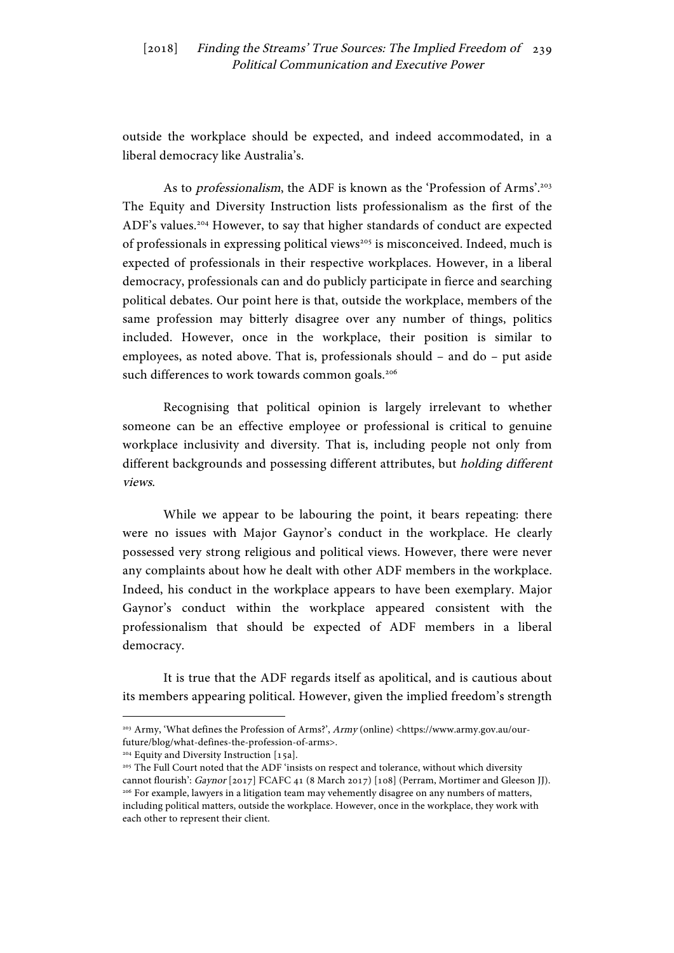outside the workplace should be expected, and indeed accommodated, in a liberal democracy like Australia's.

As to *professionalism*, the ADF is known as the 'Profession of Arms'.<sup>203</sup> The Equity and Diversity Instruction lists professionalism as the first of the ADF's values.204 However, to say that higher standards of conduct are expected of professionals in expressing political views<sup>205</sup> is misconceived. Indeed, much is expected of professionals in their respective workplaces. However, in a liberal democracy, professionals can and do publicly participate in fierce and searching political debates. Our point here is that, outside the workplace, members of the same profession may bitterly disagree over any number of things, politics included. However, once in the workplace, their position is similar to employees, as noted above. That is, professionals should – and do – put aside such differences to work towards common goals.<sup>206</sup>

Recognising that political opinion is largely irrelevant to whether someone can be an effective employee or professional is critical to genuine workplace inclusivity and diversity. That is, including people not only from different backgrounds and possessing different attributes, but holding different views.

While we appear to be labouring the point, it bears repeating: there were no issues with Major Gaynor's conduct in the workplace. He clearly possessed very strong religious and political views. However, there were never any complaints about how he dealt with other ADF members in the workplace. Indeed, his conduct in the workplace appears to have been exemplary. Major Gaynor's conduct within the workplace appeared consistent with the professionalism that should be expected of ADF members in a liberal democracy.

It is true that the ADF regards itself as apolitical, and is cautious about its members appearing political. However, given the implied freedom's strength

<sup>&</sup>lt;sup>203</sup> Army, 'What defines the Profession of Arms?', Army (online) <https://www.army.gov.au/ourfuture/blog/what-defines-the-profession-of-arms>.

<sup>&</sup>lt;sup>204</sup> Equity and Diversity Instruction [15a].

<sup>205</sup> The Full Court noted that the ADF 'insists on respect and tolerance, without which diversity cannot flourish': Gaynor [2017] FCAFC 41 (8 March 2017) [108] (Perram, Mortimer and Gleeson JJ). <sup>206</sup> For example, lawyers in a litigation team may vehemently disagree on any numbers of matters, including political matters, outside the workplace. However, once in the workplace, they work with each other to represent their client.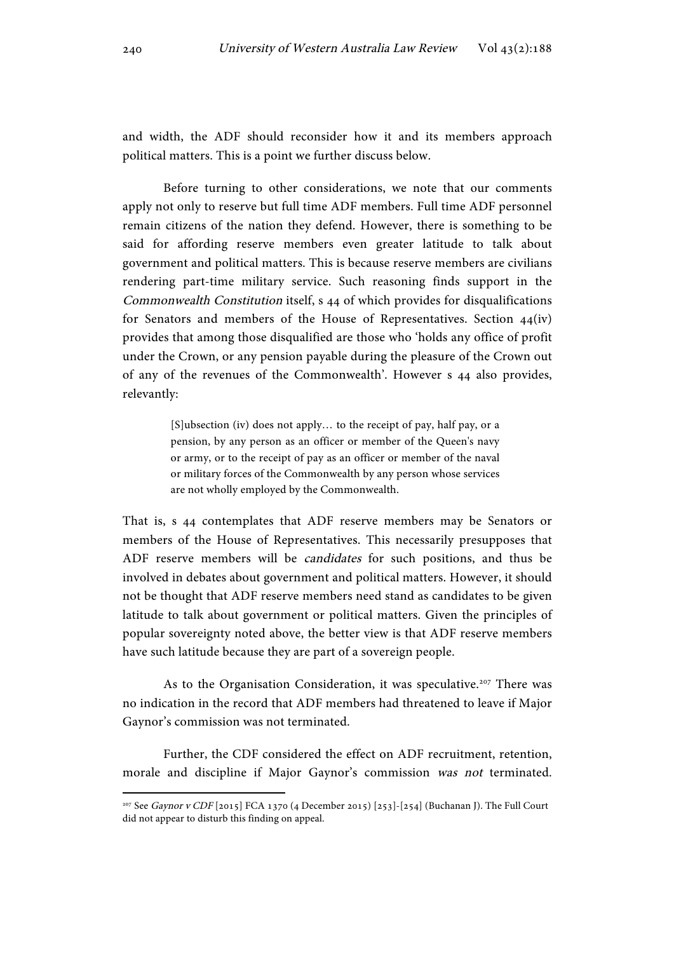and width, the ADF should reconsider how it and its members approach political matters. This is a point we further discuss below.

Before turning to other considerations, we note that our comments apply not only to reserve but full time ADF members. Full time ADF personnel remain citizens of the nation they defend. However, there is something to be said for affording reserve members even greater latitude to talk about government and political matters. This is because reserve members are civilians rendering part-time military service. Such reasoning finds support in the Commonwealth Constitution itself, s 44 of which provides for disqualifications for Senators and members of the House of Representatives. Section 44(iv) provides that among those disqualified are those who 'holds any office of profit under the Crown, or any pension payable during the pleasure of the Crown out of any of the revenues of the Commonwealth'. However s 44 also provides, relevantly:

> [S]ubsection (iv) does not apply… to the receipt of pay, half pay, or a pension, by any person as an officer or member of the Queen's navy or army, or to the receipt of pay as an officer or member of the naval or military forces of the Commonwealth by any person whose services are not wholly employed by the Commonwealth.

That is, s 44 contemplates that ADF reserve members may be Senators or members of the House of Representatives. This necessarily presupposes that ADF reserve members will be candidates for such positions, and thus be involved in debates about government and political matters. However, it should not be thought that ADF reserve members need stand as candidates to be given latitude to talk about government or political matters. Given the principles of popular sovereignty noted above, the better view is that ADF reserve members have such latitude because they are part of a sovereign people.

As to the Organisation Consideration, it was speculative.<sup>207</sup> There was no indication in the record that ADF members had threatened to leave if Major Gaynor's commission was not terminated.

Further, the CDF considered the effect on ADF recruitment, retention, morale and discipline if Major Gaynor's commission was not terminated.

<sup>207</sup> See Gaynor v CDF [2015] FCA 1370 (4 December 2015) [253]-[254] (Buchanan J). The Full Court did not appear to disturb this finding on appeal.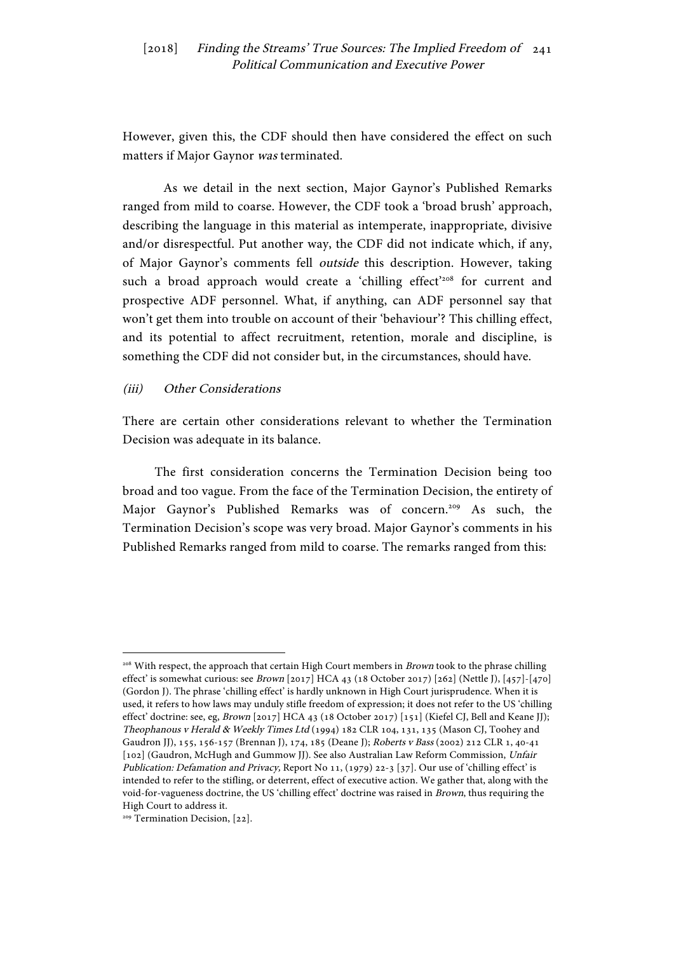However, given this, the CDF should then have considered the effect on such matters if Major Gaynor was terminated.

As we detail in the next section, Major Gaynor's Published Remarks ranged from mild to coarse. However, the CDF took a 'broad brush' approach, describing the language in this material as intemperate, inappropriate, divisive and/or disrespectful. Put another way, the CDF did not indicate which, if any, of Major Gaynor's comments fell outside this description. However, taking such a broad approach would create a 'chilling effect'<sup>208</sup> for current and prospective ADF personnel. What, if anything, can ADF personnel say that won't get them into trouble on account of their 'behaviour'? This chilling effect, and its potential to affect recruitment, retention, morale and discipline, is something the CDF did not consider but, in the circumstances, should have.

#### (iii) Other Considerations

There are certain other considerations relevant to whether the Termination Decision was adequate in its balance.

The first consideration concerns the Termination Decision being too broad and too vague. From the face of the Termination Decision, the entirety of Major Gaynor's Published Remarks was of concern.<sup>209</sup> As such, the Termination Decision's scope was very broad. Major Gaynor's comments in his Published Remarks ranged from mild to coarse. The remarks ranged from this:

<sup>&</sup>lt;sup>208</sup> With respect, the approach that certain High Court members in *Brown* took to the phrase chilling effect' is somewhat curious: see Brown [2017] HCA 43 (18 October 2017) [262] (Nettle J), [457]-[470] (Gordon J). The phrase 'chilling effect' is hardly unknown in High Court jurisprudence. When it is used, it refers to how laws may unduly stifle freedom of expression; it does not refer to the US 'chilling effect' doctrine: see, eg, Brown [2017] HCA 43 (18 October 2017) [151] (Kiefel CJ, Bell and Keane JJ); Theophanous v Herald & Weekly Times Ltd (1994) 182 CLR 104, 131, 135 (Mason CJ, Toohey and Gaudron JJ), 155, 156-157 (Brennan J), 174, 185 (Deane J); Roberts v Bass (2002) 212 CLR 1, 40-41 [102] (Gaudron, McHugh and Gummow JJ). See also Australian Law Reform Commission, Unfair Publication: Defamation and Privacy, Report No 11, (1979) 22-3 [37]. Our use of 'chilling effect' is intended to refer to the stifling, or deterrent, effect of executive action. We gather that, along with the void-for-vagueness doctrine, the US 'chilling effect' doctrine was raised in Brown, thus requiring the High Court to address it.

<sup>&</sup>lt;sup>209</sup> Termination Decision, [22].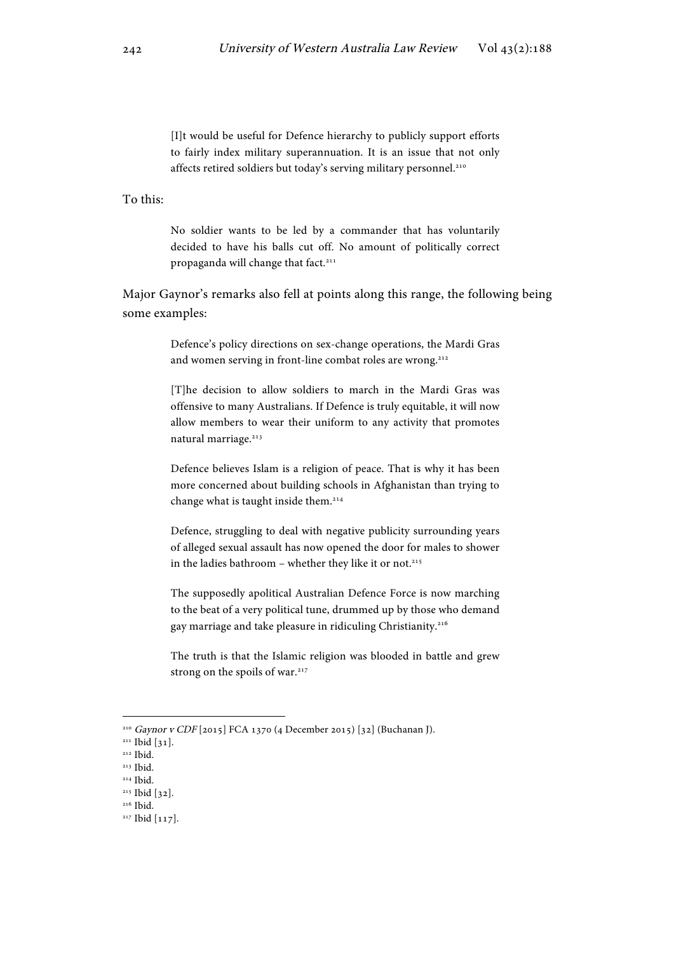[I]t would be useful for Defence hierarchy to publicly support efforts to fairly index military superannuation. It is an issue that not only affects retired soldiers but today's serving military personnel.<sup>210</sup>

To this:

No soldier wants to be led by a commander that has voluntarily decided to have his balls cut off. No amount of politically correct propaganda will change that fact.<sup>211</sup>

Major Gaynor's remarks also fell at points along this range, the following being some examples:

> Defence's policy directions on sex-change operations, the Mardi Gras and women serving in front-line combat roles are wrong.<sup>212</sup>

> [T]he decision to allow soldiers to march in the Mardi Gras was offensive to many Australians. If Defence is truly equitable, it will now allow members to wear their uniform to any activity that promotes natural marriage.<sup>213</sup>

> Defence believes Islam is a religion of peace. That is why it has been more concerned about building schools in Afghanistan than trying to change what is taught inside them.<sup>214</sup>

> Defence, struggling to deal with negative publicity surrounding years of alleged sexual assault has now opened the door for males to shower in the ladies bathroom – whether they like it or not.<sup>215</sup>

> The supposedly apolitical Australian Defence Force is now marching to the beat of a very political tune, drummed up by those who demand gay marriage and take pleasure in ridiculing Christianity.<sup>216</sup>

> The truth is that the Islamic religion was blooded in battle and grew strong on the spoils of war.<sup>217</sup>

<sup>210</sup> Gaynor v CDF [2015] FCA 1370 (4 December 2015) [32] (Buchanan J).

<sup>&</sup>lt;sup>211</sup> Ibid [31].

 $212$  Ibid.

 $213$  Ibid. <sup>214</sup> Ibid.

<sup>215</sup> Ibid [32].

<sup>216</sup> Ibid.

<sup>&</sup>lt;sup>217</sup> Ibid [117].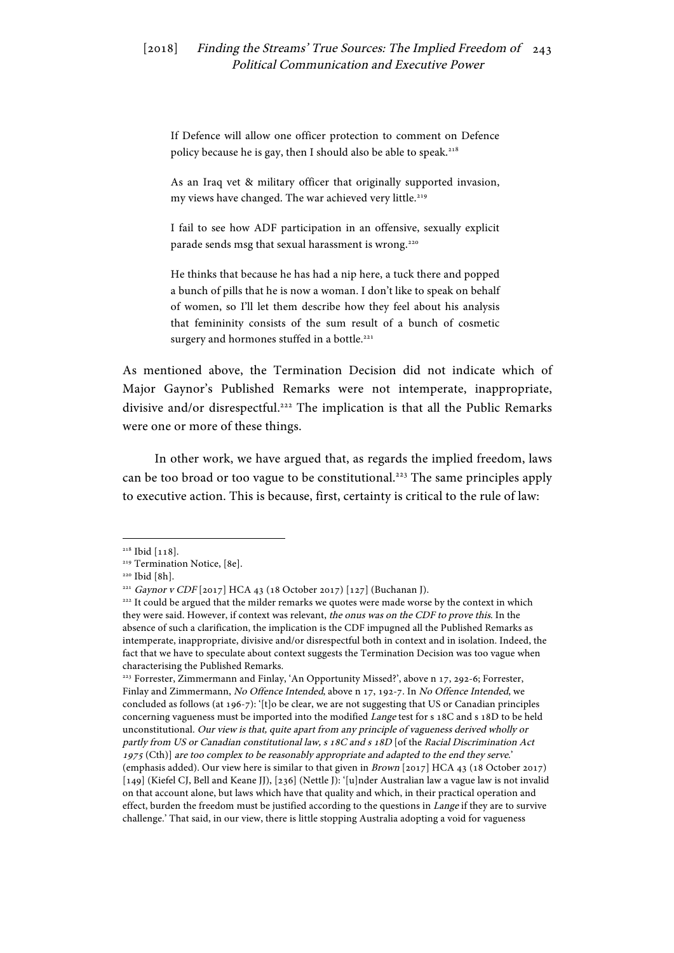If Defence will allow one officer protection to comment on Defence policy because he is gay, then I should also be able to speak.<sup>218</sup>

As an Iraq vet & military officer that originally supported invasion, my views have changed. The war achieved very little.<sup>219</sup>

I fail to see how ADF participation in an offensive, sexually explicit parade sends msg that sexual harassment is wrong.<sup>220</sup>

He thinks that because he has had a nip here, a tuck there and popped a bunch of pills that he is now a woman. I don't like to speak on behalf of women, so I'll let them describe how they feel about his analysis that femininity consists of the sum result of a bunch of cosmetic surgery and hormones stuffed in a bottle.<sup>221</sup>

As mentioned above, the Termination Decision did not indicate which of Major Gaynor's Published Remarks were not intemperate, inappropriate, divisive and/or disrespectful.<sup>222</sup> The implication is that all the Public Remarks were one or more of these things.

In other work, we have argued that, as regards the implied freedom, laws can be too broad or too vague to be constitutional.<sup>223</sup> The same principles apply to executive action. This is because, first, certainty is critical to the rule of law:

<sup>218</sup> Ibid [118].

<sup>&</sup>lt;sup>219</sup> Termination Notice, [8e].

<sup>220</sup> Ibid [8h].

<sup>221</sup> Gaynor v CDF [2017] HCA 43 (18 October 2017) [127] (Buchanan J).

<sup>&</sup>lt;sup>222</sup> It could be argued that the milder remarks we quotes were made worse by the context in which they were said. However, if context was relevant, the onus was on the CDF to prove this. In the absence of such a clarification, the implication is the CDF impugned all the Published Remarks as intemperate, inappropriate, divisive and/or disrespectful both in context and in isolation. Indeed, the fact that we have to speculate about context suggests the Termination Decision was too vague when characterising the Published Remarks.

<sup>&</sup>lt;sup>223</sup> Forrester, Zimmermann and Finlay, 'An Opportunity Missed?', above n 17, 292-6; Forrester, Finlay and Zimmermann, No Offence Intended, above n 17, 192-7. In No Offence Intended, we concluded as follows (at 196-7): '[t]o be clear, we are not suggesting that US or Canadian principles concerning vagueness must be imported into the modified Lange test for s 18C and s 18D to be held unconstitutional. Our view is that, quite apart from any principle of vagueness derived wholly or partly from US or Canadian constitutional law, s 18C and s 18D [of the Racial Discrimination Act <sup>1975</sup>(Cth)] are too complex to be reasonably appropriate and adapted to the end they serve.' (emphasis added). Our view here is similar to that given in Brown [2017] HCA 43 (18 October 2017) [149] (Kiefel CJ, Bell and Keane JJ), [236] (Nettle J): '[u]nder Australian law a vague law is not invalid on that account alone, but laws which have that quality and which, in their practical operation and effect, burden the freedom must be justified according to the questions in Lange if they are to survive challenge.' That said, in our view, there is little stopping Australia adopting a void for vagueness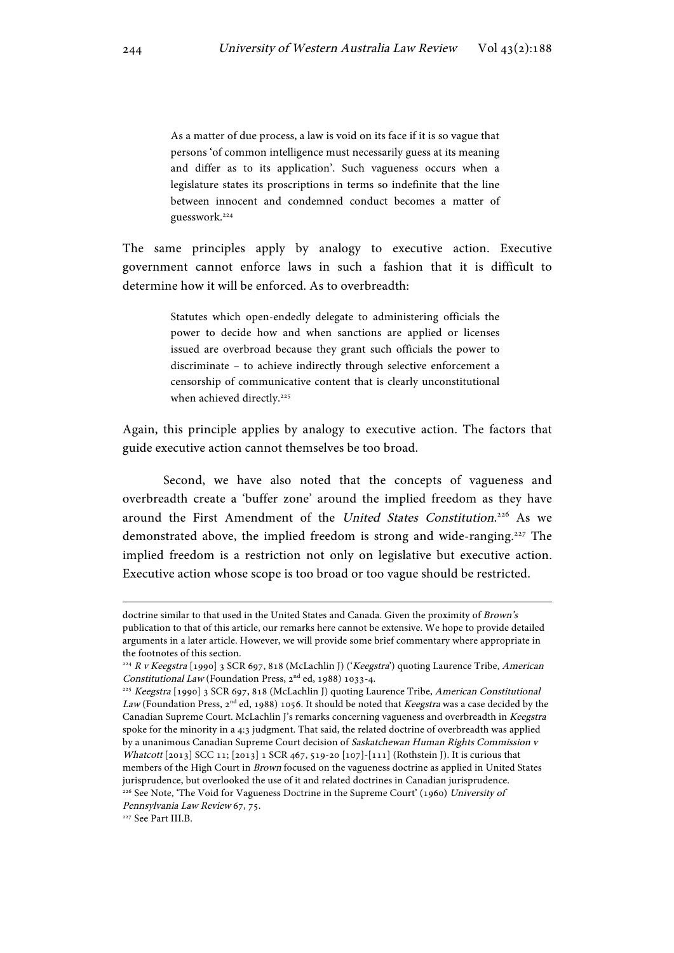As a matter of due process, a law is void on its face if it is so vague that persons 'of common intelligence must necessarily guess at its meaning and differ as to its application'. Such vagueness occurs when a legislature states its proscriptions in terms so indefinite that the line between innocent and condemned conduct becomes a matter of guesswork.224

The same principles apply by analogy to executive action. Executive government cannot enforce laws in such a fashion that it is difficult to determine how it will be enforced. As to overbreadth:

> Statutes which open-endedly delegate to administering officials the power to decide how and when sanctions are applied or licenses issued are overbroad because they grant such officials the power to discriminate – to achieve indirectly through selective enforcement a censorship of communicative content that is clearly unconstitutional when achieved directly.<sup>225</sup>

Again, this principle applies by analogy to executive action. The factors that guide executive action cannot themselves be too broad.

Second, we have also noted that the concepts of vagueness and overbreadth create a 'buffer zone' around the implied freedom as they have around the First Amendment of the United States Constitution.<sup>226</sup> As we demonstrated above, the implied freedom is strong and wide-ranging.<sup>227</sup> The implied freedom is a restriction not only on legislative but executive action. Executive action whose scope is too broad or too vague should be restricted.

 

Pennsylvania Law Review 67, 75.

doctrine similar to that used in the United States and Canada. Given the proximity of Brown's publication to that of this article, our remarks here cannot be extensive. We hope to provide detailed arguments in a later article. However, we will provide some brief commentary where appropriate in the footnotes of this section.

 $224$  R v Keegstra [1990] 3 SCR 697, 818 (McLachlin J) ('Keegstra') quoting Laurence Tribe, American Constitutional Law (Foundation Press, 2nd ed, 1988) 1033-4.

<sup>&</sup>lt;sup>225</sup> Keegstra [1990] 3 SCR 697, 818 (McLachlin J) quoting Laurence Tribe, American Constitutional Law (Foundation Press,  $2^{nd}$  ed, 1988) 1056. It should be noted that Keegstra was a case decided by the Canadian Supreme Court. McLachlin J's remarks concerning vagueness and overbreadth in Keegstra spoke for the minority in a 4:3 judgment. That said, the related doctrine of overbreadth was applied by a unanimous Canadian Supreme Court decision of Saskatchewan Human Rights Commission v Whatcott [2013] SCC 11; [2013] 1 SCR 467, 519-20 [107]-[111] (Rothstein J). It is curious that members of the High Court in Brown focused on the vagueness doctrine as applied in United States jurisprudence, but overlooked the use of it and related doctrines in Canadian jurisprudence.  $^{226}$  See Note, 'The Void for Vagueness Doctrine in the Supreme Court' (1960) University of

<sup>227</sup> See Part III.B.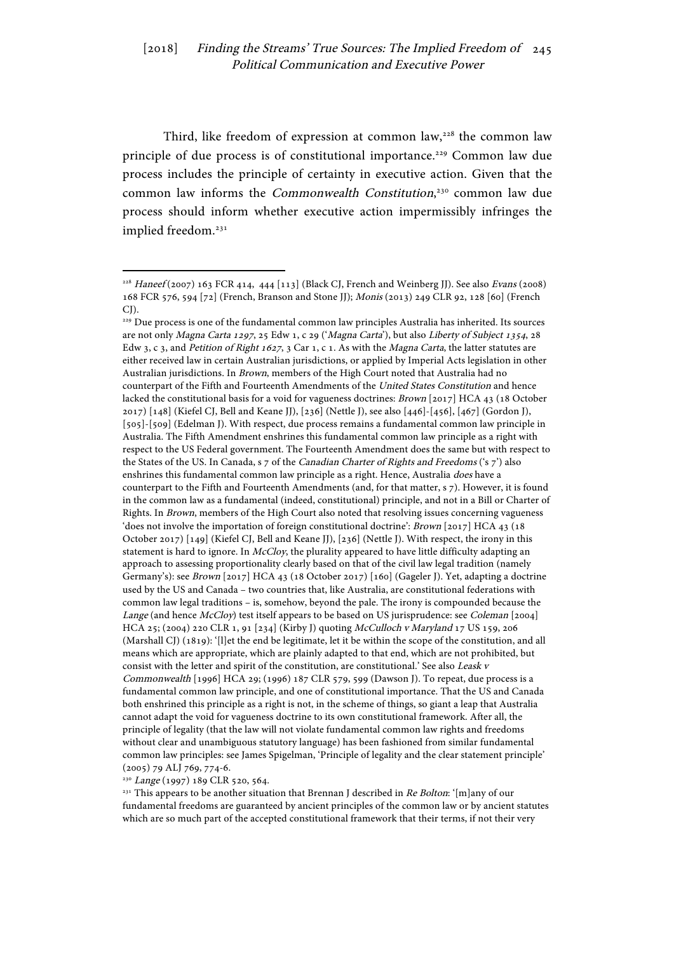Third, like freedom of expression at common law,<sup>228</sup> the common law principle of due process is of constitutional importance.<sup>229</sup> Common law due process includes the principle of certainty in executive action. Given that the common law informs the Commonwealth Constitution,<sup>230</sup> common law due process should inform whether executive action impermissibly infringes the implied freedom.<sup>231</sup>

<sup>229</sup> Due process is one of the fundamental common law principles Australia has inherited. Its sources are not only Magna Carta 1297, 25 Edw 1, c 29 ('Magna Carta'), but also Liberty of Subject 1354, 28 Edw 3, c 3, and Petition of Right 1627, 3 Car 1, c 1. As with the Magna Carta, the latter statutes are either received law in certain Australian jurisdictions, or applied by Imperial Acts legislation in other Australian jurisdictions. In Brown, members of the High Court noted that Australia had no counterpart of the Fifth and Fourteenth Amendments of the United States Constitution and hence lacked the constitutional basis for a void for vagueness doctrines: Brown [2017] HCA 43 (18 October 2017) [148] (Kiefel CJ, Bell and Keane JJ), [236] (Nettle J), see also [446]-[456], [467] (Gordon J), [505]-[509] (Edelman J). With respect, due process remains a fundamental common law principle in Australia. The Fifth Amendment enshrines this fundamental common law principle as a right with respect to the US Federal government. The Fourteenth Amendment does the same but with respect to the States of the US. In Canada, s 7 of the Canadian Charter of Rights and Freedoms ('s 7') also enshrines this fundamental common law principle as a right. Hence, Australia does have a counterpart to the Fifth and Fourteenth Amendments (and, for that matter, s 7). However, it is found in the common law as a fundamental (indeed, constitutional) principle, and not in a Bill or Charter of Rights. In Brown, members of the High Court also noted that resolving issues concerning vagueness 'does not involve the importation of foreign constitutional doctrine': Brown [2017] HCA 43 (18) October 2017) [149] (Kiefel CJ, Bell and Keane JJ), [236] (Nettle J). With respect, the irony in this statement is hard to ignore. In McCloy, the plurality appeared to have little difficulty adapting an approach to assessing proportionality clearly based on that of the civil law legal tradition (namely Germany's): see Brown [2017] HCA 43 (18 October 2017) [160] (Gageler J). Yet, adapting a doctrine used by the US and Canada – two countries that, like Australia, are constitutional federations with common law legal traditions – is, somehow, beyond the pale. The irony is compounded because the Lange (and hence McCloy) test itself appears to be based on US jurisprudence: see Coleman [2004] HCA 25; (2004) 220 CLR 1, 91 [234] (Kirby J) quoting McCulloch v Maryland 17 US 159, 206 (Marshall CJ) (1819): '[l]et the end be legitimate, let it be within the scope of the constitution, and all means which are appropriate, which are plainly adapted to that end, which are not prohibited, but consist with the letter and spirit of the constitution, are constitutional.' See also Leask v Commonwealth [1996] HCA 29; (1996) 187 CLR 579, 599 (Dawson J). To repeat, due process is a fundamental common law principle, and one of constitutional importance. That the US and Canada both enshrined this principle as a right is not, in the scheme of things, so giant a leap that Australia cannot adapt the void for vagueness doctrine to its own constitutional framework. After all, the principle of legality (that the law will not violate fundamental common law rights and freedoms without clear and unambiguous statutory language) has been fashioned from similar fundamental common law principles: see James Spigelman, 'Principle of legality and the clear statement principle' (2005) 79 ALJ 769, 774-6.

<sup>230</sup> Lange (1997) 189 CLR 520, 564.

 

<sup>231</sup> This appears to be another situation that Brennan J described in Re Bolton: '[m]any of our fundamental freedoms are guaranteed by ancient principles of the common law or by ancient statutes which are so much part of the accepted constitutional framework that their terms, if not their very

 $^{228}$  Haneef (2007) 163 FCR 414, 444 [113] (Black CJ, French and Weinberg JJ). See also Evans (2008) 168 FCR 576, 594 [72] (French, Branson and Stone JJ); Monis (2013) 249 CLR 92, 128 [60] (French  $CI$ ).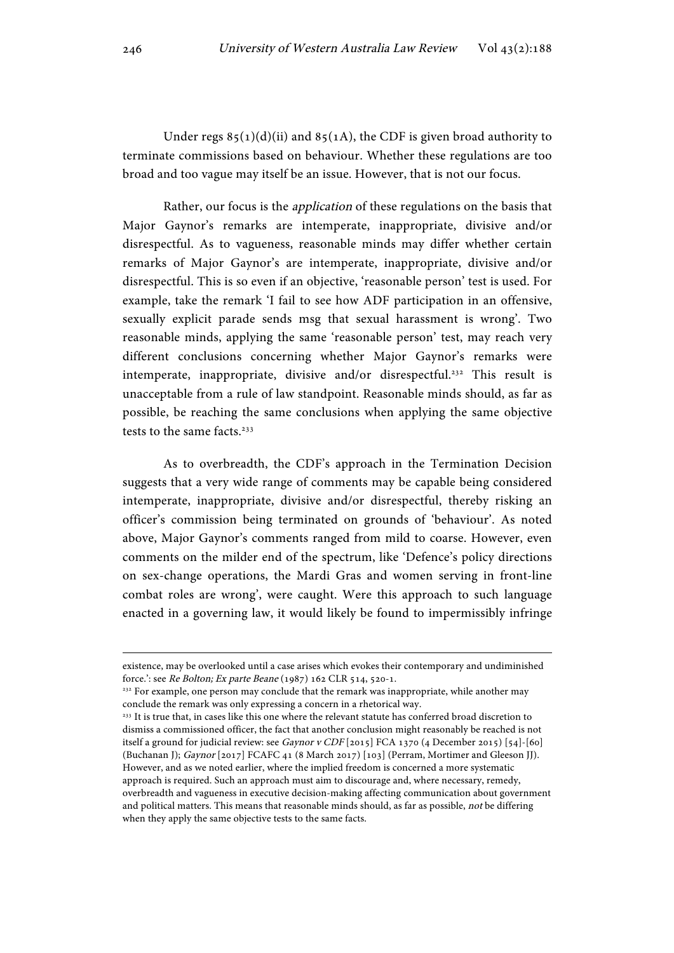Under regs  $85(1)(d)(ii)$  and  $85(1)$ , the CDF is given broad authority to terminate commissions based on behaviour. Whether these regulations are too broad and too vague may itself be an issue. However, that is not our focus.

Rather, our focus is the application of these regulations on the basis that Major Gaynor's remarks are intemperate, inappropriate, divisive and/or disrespectful. As to vagueness, reasonable minds may differ whether certain remarks of Major Gaynor's are intemperate, inappropriate, divisive and/or disrespectful. This is so even if an objective, 'reasonable person' test is used. For example, take the remark 'I fail to see how ADF participation in an offensive, sexually explicit parade sends msg that sexual harassment is wrong'. Two reasonable minds, applying the same 'reasonable person' test, may reach very different conclusions concerning whether Major Gaynor's remarks were intemperate, inappropriate, divisive and/or disrespectful.<sup>232</sup> This result is unacceptable from a rule of law standpoint. Reasonable minds should, as far as possible, be reaching the same conclusions when applying the same objective tests to the same facts.<sup>233</sup>

As to overbreadth, the CDF's approach in the Termination Decision suggests that a very wide range of comments may be capable being considered intemperate, inappropriate, divisive and/or disrespectful, thereby risking an officer's commission being terminated on grounds of 'behaviour'. As noted above, Major Gaynor's comments ranged from mild to coarse. However, even comments on the milder end of the spectrum, like 'Defence's policy directions on sex-change operations, the Mardi Gras and women serving in front-line combat roles are wrong', were caught. Were this approach to such language enacted in a governing law, it would likely be found to impermissibly infringe

existence, may be overlooked until a case arises which evokes their contemporary and undiminished force.': see Re Bolton; Ex parte Beane (1987) 162 CLR 514, 520-1.

<sup>&</sup>lt;sup>232</sup> For example, one person may conclude that the remark was inappropriate, while another may conclude the remark was only expressing a concern in a rhetorical way.

<sup>&</sup>lt;sup>233</sup> It is true that, in cases like this one where the relevant statute has conferred broad discretion to dismiss a commissioned officer, the fact that another conclusion might reasonably be reached is not itself a ground for judicial review: see Gaynor v CDF [2015] FCA 1370 (4 December 2015) [54]-[60] (Buchanan J); Gaynor [2017] FCAFC 41 (8 March 2017) [103] (Perram, Mortimer and Gleeson JJ). However, and as we noted earlier, where the implied freedom is concerned a more systematic approach is required. Such an approach must aim to discourage and, where necessary, remedy, overbreadth and vagueness in executive decision-making affecting communication about government and political matters. This means that reasonable minds should, as far as possible, not be differing when they apply the same objective tests to the same facts.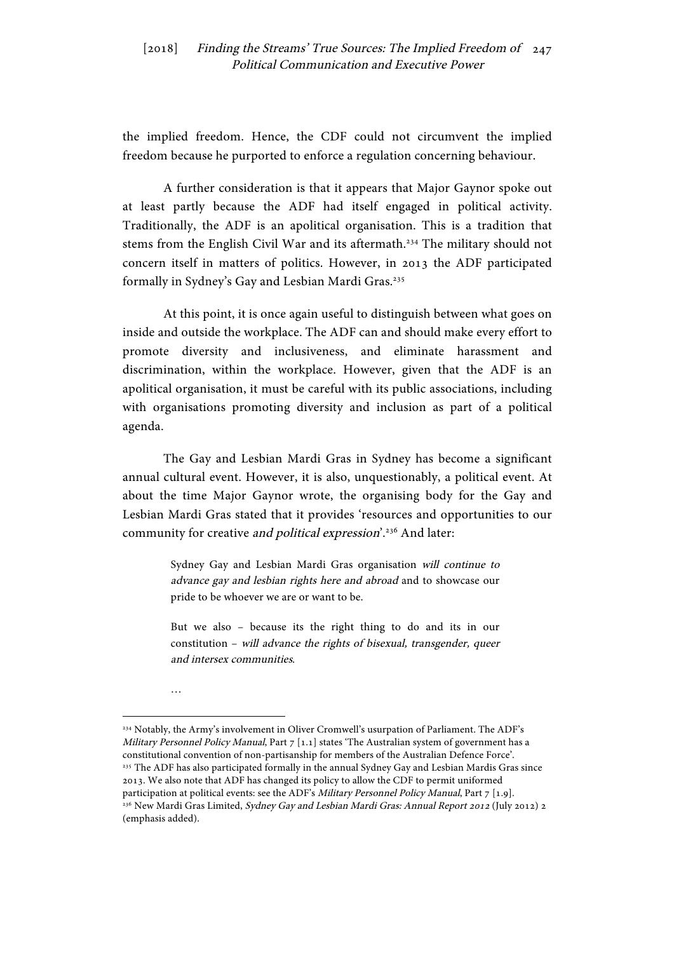the implied freedom. Hence, the CDF could not circumvent the implied freedom because he purported to enforce a regulation concerning behaviour.

A further consideration is that it appears that Major Gaynor spoke out at least partly because the ADF had itself engaged in political activity. Traditionally, the ADF is an apolitical organisation. This is a tradition that stems from the English Civil War and its aftermath.234 The military should not concern itself in matters of politics. However, in 2013 the ADF participated formally in Sydney's Gay and Lesbian Mardi Gras.<sup>235</sup>

At this point, it is once again useful to distinguish between what goes on inside and outside the workplace. The ADF can and should make every effort to promote diversity and inclusiveness, and eliminate harassment and discrimination, within the workplace. However, given that the ADF is an apolitical organisation, it must be careful with its public associations, including with organisations promoting diversity and inclusion as part of a political agenda.

The Gay and Lesbian Mardi Gras in Sydney has become a significant annual cultural event. However, it is also, unquestionably, a political event. At about the time Major Gaynor wrote, the organising body for the Gay and Lesbian Mardi Gras stated that it provides 'resources and opportunities to our community for creative and political expression'.<sup>236</sup> And later:

> Sydney Gay and Lesbian Mardi Gras organisation will continue to advance gay and lesbian rights here and abroad and to showcase our pride to be whoever we are or want to be.

> But we also – because its the right thing to do and its in our constitution – will advance the rights of bisexual, transgender, queer and intersex communities.

…

<sup>234</sup> Notably, the Army's involvement in Oliver Cromwell's usurpation of Parliament. The ADF's Military Personnel Policy Manual, Part  $7$  [1.1] states 'The Australian system of government has a constitutional convention of non-partisanship for members of the Australian Defence Force'. <sup>235</sup> The ADF has also participated formally in the annual Sydney Gay and Lesbian Mardis Gras since 2013. We also note that ADF has changed its policy to allow the CDF to permit uniformed participation at political events: see the ADF's Military Personnel Policy Manual, Part  $7$  [1.9]. <sup>236</sup> New Mardi Gras Limited, Sydney Gay and Lesbian Mardi Gras: Annual Report 2012 (July 2012) 2 (emphasis added).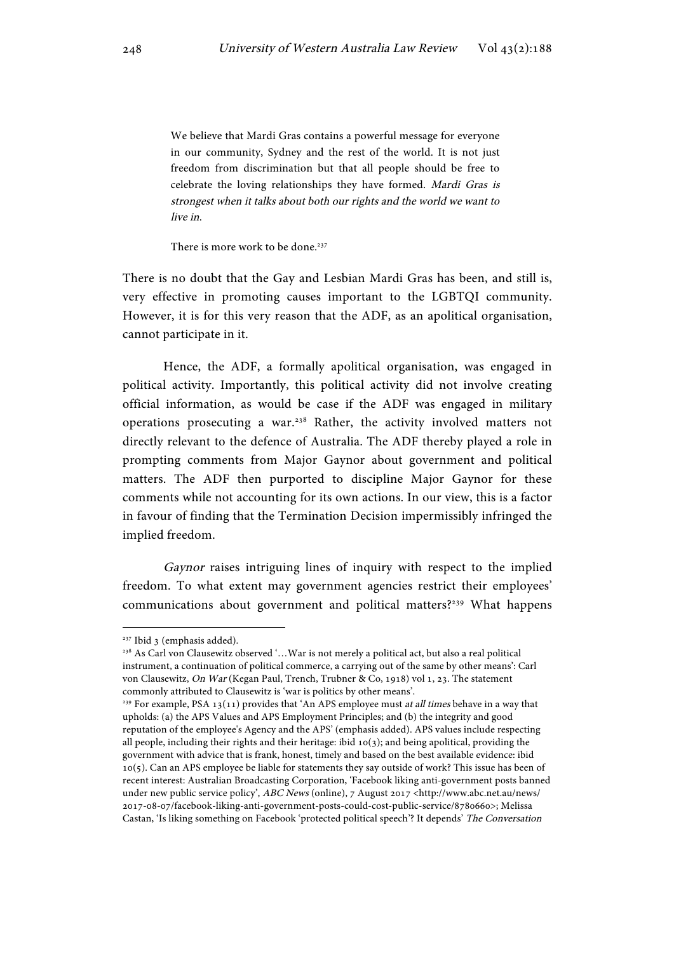We believe that Mardi Gras contains a powerful message for everyone in our community, Sydney and the rest of the world. It is not just freedom from discrimination but that all people should be free to celebrate the loving relationships they have formed. Mardi Gras is strongest when it talks about both our rights and the world we want to live in.

There is more work to be done.<sup>237</sup>

There is no doubt that the Gay and Lesbian Mardi Gras has been, and still is, very effective in promoting causes important to the LGBTQI community. However, it is for this very reason that the ADF, as an apolitical organisation, cannot participate in it.

Hence, the ADF, a formally apolitical organisation, was engaged in political activity. Importantly, this political activity did not involve creating official information, as would be case if the ADF was engaged in military operations prosecuting a war.238 Rather, the activity involved matters not directly relevant to the defence of Australia. The ADF thereby played a role in prompting comments from Major Gaynor about government and political matters. The ADF then purported to discipline Major Gaynor for these comments while not accounting for its own actions. In our view, this is a factor in favour of finding that the Termination Decision impermissibly infringed the implied freedom.

Gaynor raises intriguing lines of inquiry with respect to the implied freedom. To what extent may government agencies restrict their employees' communications about government and political matters?239 What happens

<sup>237</sup> Ibid 3 (emphasis added).

<sup>238</sup> As Carl von Clausewitz observed '…War is not merely a political act, but also a real political instrument, a continuation of political commerce, a carrying out of the same by other means': Carl von Clausewitz, On War (Kegan Paul, Trench, Trubner & Co, 1918) vol 1, 23. The statement commonly attributed to Clausewitz is 'war is politics by other means'.

<sup>&</sup>lt;sup>239</sup> For example, PSA 13(11) provides that 'An APS employee must at all times behave in a way that upholds: (a) the APS Values and APS Employment Principles; and (b) the integrity and good reputation of the employee's Agency and the APS' (emphasis added). APS values include respecting all people, including their rights and their heritage: ibid 10(3); and being apolitical, providing the government with advice that is frank, honest, timely and based on the best available evidence: ibid 10(5). Can an APS employee be liable for statements they say outside of work? This issue has been of recent interest: Australian Broadcasting Corporation, 'Facebook liking anti-government posts banned under new public service policy', ABC News (online), 7 August 2017 <http://www.abc.net.au/news/ 2017-08-07/facebook-liking-anti-government-posts-could-cost-public-service/8780660>; Melissa Castan, 'Is liking something on Facebook 'protected political speech'? It depends' The Conversation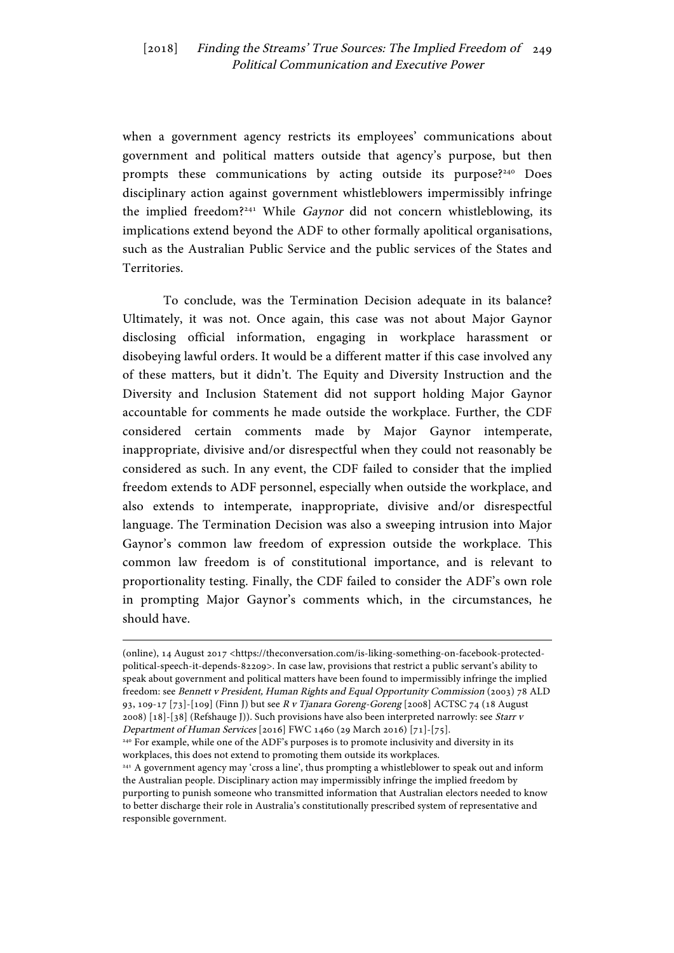when a government agency restricts its employees' communications about government and political matters outside that agency's purpose, but then prompts these communications by acting outside its purpose?<sup>240</sup> Does disciplinary action against government whistleblowers impermissibly infringe the implied freedom?241 While Gaynor did not concern whistleblowing, its implications extend beyond the ADF to other formally apolitical organisations, such as the Australian Public Service and the public services of the States and Territories.

To conclude, was the Termination Decision adequate in its balance? Ultimately, it was not. Once again, this case was not about Major Gaynor disclosing official information, engaging in workplace harassment or disobeying lawful orders. It would be a different matter if this case involved any of these matters, but it didn't. The Equity and Diversity Instruction and the Diversity and Inclusion Statement did not support holding Major Gaynor accountable for comments he made outside the workplace. Further, the CDF considered certain comments made by Major Gaynor intemperate, inappropriate, divisive and/or disrespectful when they could not reasonably be considered as such. In any event, the CDF failed to consider that the implied freedom extends to ADF personnel, especially when outside the workplace, and also extends to intemperate, inappropriate, divisive and/or disrespectful language. The Termination Decision was also a sweeping intrusion into Major Gaynor's common law freedom of expression outside the workplace. This common law freedom is of constitutional importance, and is relevant to proportionality testing. Finally, the CDF failed to consider the ADF's own role in prompting Major Gaynor's comments which, in the circumstances, he should have.

<sup>(</sup>online), 14 August 2017 <https://theconversation.com/is-liking-something-on-facebook-protectedpolitical-speech-it-depends-82209>. In case law, provisions that restrict a public servant's ability to speak about government and political matters have been found to impermissibly infringe the implied freedom: see Bennett v President, Human Rights and Equal Opportunity Commission (2003) 78 ALD 93, 109-17 [73]-[109] (Finn J) but see R v Tjanara Goreng-Goreng [2008] ACTSC 74 (18 August 2008) [18]-[38] (Refshauge J)). Such provisions have also been interpreted narrowly: see Starr v Department of Human Services [2016] FWC 1460 (29 March 2016) [71]-[75].

<sup>&</sup>lt;sup>240</sup> For example, while one of the ADF's purposes is to promote inclusivity and diversity in its workplaces, this does not extend to promoting them outside its workplaces.

<sup>&</sup>lt;sup>241</sup> A government agency may 'cross a line', thus prompting a whistleblower to speak out and inform the Australian people. Disciplinary action may impermissibly infringe the implied freedom by purporting to punish someone who transmitted information that Australian electors needed to know to better discharge their role in Australia's constitutionally prescribed system of representative and responsible government.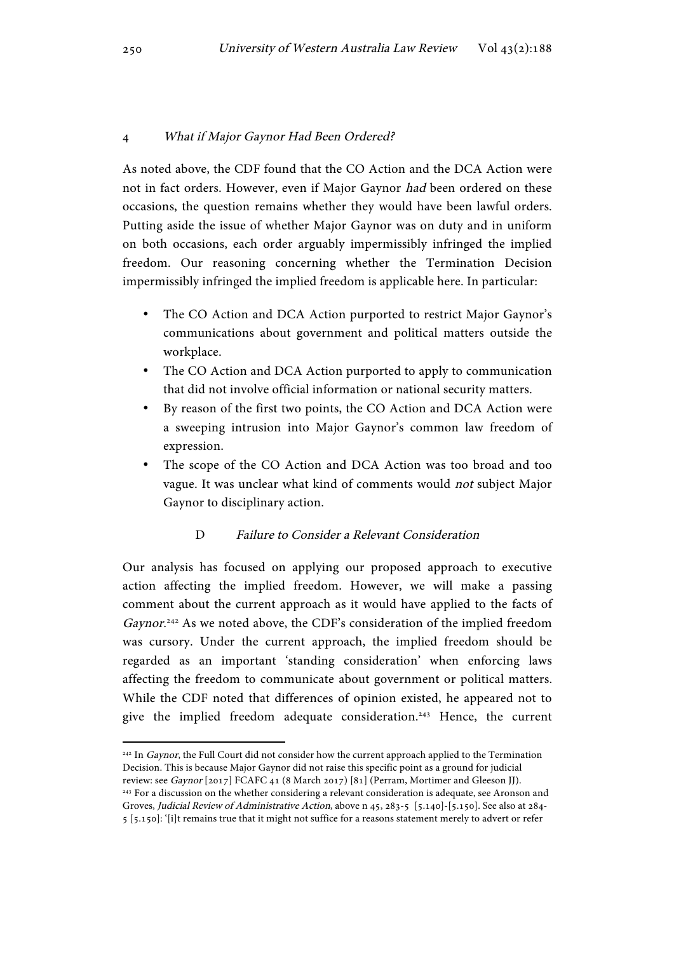## 4 What if Major Gaynor Had Been Ordered?

As noted above, the CDF found that the CO Action and the DCA Action were not in fact orders. However, even if Major Gaynor had been ordered on these occasions, the question remains whether they would have been lawful orders. Putting aside the issue of whether Major Gaynor was on duty and in uniform on both occasions, each order arguably impermissibly infringed the implied freedom. Our reasoning concerning whether the Termination Decision impermissibly infringed the implied freedom is applicable here. In particular:

- The CO Action and DCA Action purported to restrict Major Gaynor's communications about government and political matters outside the workplace.
- The CO Action and DCA Action purported to apply to communication that did not involve official information or national security matters.
- By reason of the first two points, the CO Action and DCA Action were a sweeping intrusion into Major Gaynor's common law freedom of expression.
- The scope of the CO Action and DCA Action was too broad and too vague. It was unclear what kind of comments would not subject Major Gaynor to disciplinary action.

# D Failure to Consider a Relevant Consideration

Our analysis has focused on applying our proposed approach to executive action affecting the implied freedom. However, we will make a passing comment about the current approach as it would have applied to the facts of Gaynor.<sup>242</sup> As we noted above, the CDF's consideration of the implied freedom was cursory. Under the current approach, the implied freedom should be regarded as an important 'standing consideration' when enforcing laws affecting the freedom to communicate about government or political matters. While the CDF noted that differences of opinion existed, he appeared not to give the implied freedom adequate consideration.<sup>243</sup> Hence, the current

<sup>&</sup>lt;sup>242</sup> In *Gaynor*, the Full Court did not consider how the current approach applied to the Termination Decision. This is because Major Gaynor did not raise this specific point as a ground for judicial review: see Gaynor [2017] FCAFC 41 (8 March 2017) [81] (Perram, Mortimer and Gleeson JJ).

<sup>&</sup>lt;sup>243</sup> For a discussion on the whether considering a relevant consideration is adequate, see Aronson and Groves, Judicial Review of Administrative Action, above n 45, 283-5 [5.140]-[5.150]. See also at 284- 5 [5.150]: '[i]t remains true that it might not suffice for a reasons statement merely to advert or refer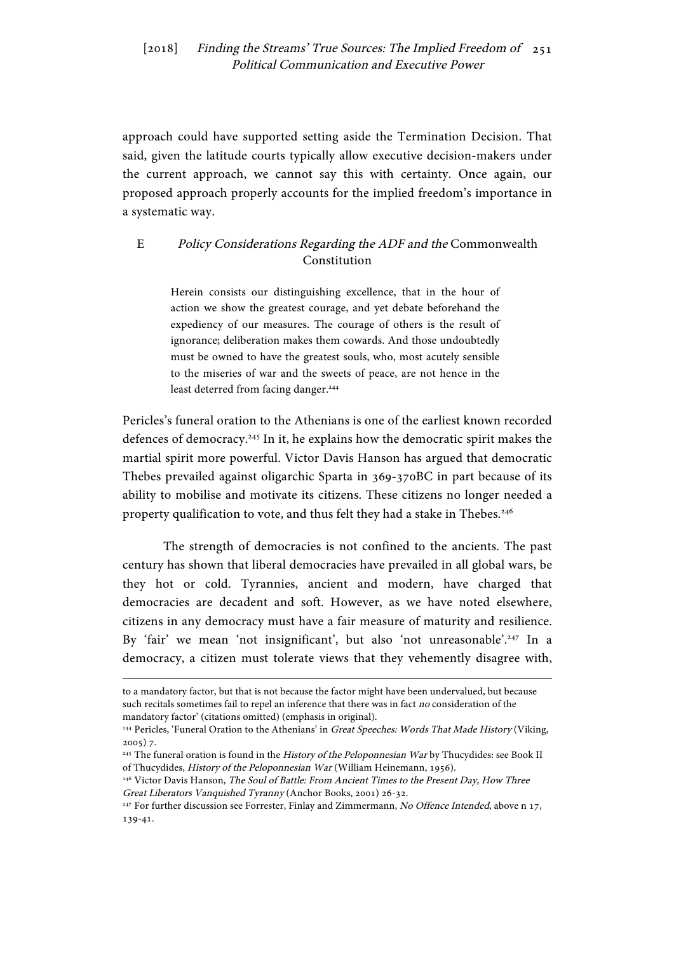approach could have supported setting aside the Termination Decision. That said, given the latitude courts typically allow executive decision-makers under the current approach, we cannot say this with certainty. Once again, our proposed approach properly accounts for the implied freedom's importance in a systematic way.

# E Policy Considerations Regarding the ADF and the Commonwealth Constitution

Herein consists our distinguishing excellence, that in the hour of action we show the greatest courage, and yet debate beforehand the expediency of our measures. The courage of others is the result of ignorance; deliberation makes them cowards. And those undoubtedly must be owned to have the greatest souls, who, most acutely sensible to the miseries of war and the sweets of peace, are not hence in the least deterred from facing danger.<sup>244</sup>

Pericles's funeral oration to the Athenians is one of the earliest known recorded defences of democracy.245 In it, he explains how the democratic spirit makes the martial spirit more powerful. Victor Davis Hanson has argued that democratic Thebes prevailed against oligarchic Sparta in 369-370BC in part because of its ability to mobilise and motivate its citizens. These citizens no longer needed a property qualification to vote, and thus felt they had a stake in Thebes.<sup>246</sup>

The strength of democracies is not confined to the ancients. The past century has shown that liberal democracies have prevailed in all global wars, be they hot or cold. Tyrannies, ancient and modern, have charged that democracies are decadent and soft. However, as we have noted elsewhere, citizens in any democracy must have a fair measure of maturity and resilience. By 'fair' we mean 'not insignificant', but also 'not unreasonable'.<sup>247</sup> In a democracy, a citizen must tolerate views that they vehemently disagree with,

to a mandatory factor, but that is not because the factor might have been undervalued, but because such recitals sometimes fail to repel an inference that there was in fact no consideration of the mandatory factor' (citations omitted) (emphasis in original).

<sup>&</sup>lt;sup>244</sup> Pericles, 'Funeral Oration to the Athenians' in Great Speeches: Words That Made History (Viking, 2005) 7.

<sup>&</sup>lt;sup>245</sup> The funeral oration is found in the History of the Peloponnesian War by Thucydides: see Book II of Thucydides, History of the Peloponnesian War (William Heinemann, 1956).

<sup>&</sup>lt;sup>246</sup> Victor Davis Hanson, *The Soul of Battle: From Ancient Times to the Present Day, How Three* Great Liberators Vanquished Tyranny (Anchor Books, 2001) 26-32.

<sup>&</sup>lt;sup>247</sup> For further discussion see Forrester, Finlay and Zimmermann, No Offence Intended, above n 17, 139-41.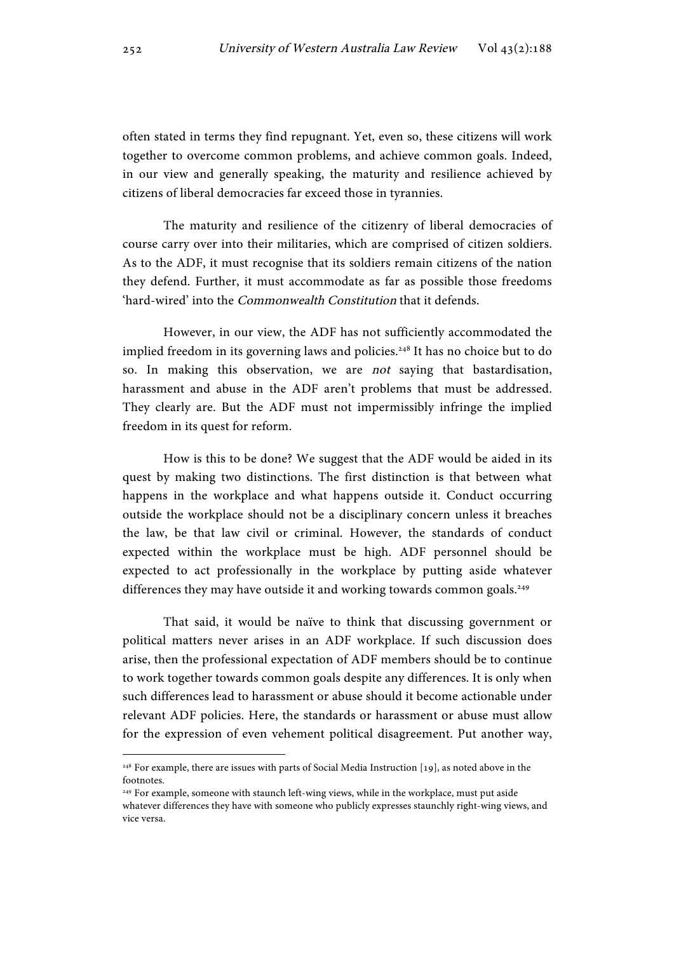often stated in terms they find repugnant. Yet, even so, these citizens will work together to overcome common problems, and achieve common goals. Indeed, in our view and generally speaking, the maturity and resilience achieved by citizens of liberal democracies far exceed those in tyrannies.

The maturity and resilience of the citizenry of liberal democracies of course carry over into their militaries, which are comprised of citizen soldiers. As to the ADF, it must recognise that its soldiers remain citizens of the nation they defend. Further, it must accommodate as far as possible those freedoms 'hard-wired' into the Commonwealth Constitution that it defends.

However, in our view, the ADF has not sufficiently accommodated the implied freedom in its governing laws and policies.<sup>248</sup> It has no choice but to do so. In making this observation, we are not saying that bastardisation, harassment and abuse in the ADF aren't problems that must be addressed. They clearly are. But the ADF must not impermissibly infringe the implied freedom in its quest for reform.

How is this to be done? We suggest that the ADF would be aided in its quest by making two distinctions. The first distinction is that between what happens in the workplace and what happens outside it. Conduct occurring outside the workplace should not be a disciplinary concern unless it breaches the law, be that law civil or criminal. However, the standards of conduct expected within the workplace must be high. ADF personnel should be expected to act professionally in the workplace by putting aside whatever differences they may have outside it and working towards common goals.<sup>249</sup>

That said, it would be naïve to think that discussing government or political matters never arises in an ADF workplace. If such discussion does arise, then the professional expectation of ADF members should be to continue to work together towards common goals despite any differences. It is only when such differences lead to harassment or abuse should it become actionable under relevant ADF policies. Here, the standards or harassment or abuse must allow for the expression of even vehement political disagreement. Put another way,

<sup>&</sup>lt;sup>248</sup> For example, there are issues with parts of Social Media Instruction [19], as noted above in the footnotes.

<sup>&</sup>lt;sup>249</sup> For example, someone with staunch left-wing views, while in the workplace, must put aside whatever differences they have with someone who publicly expresses staunchly right-wing views, and vice versa.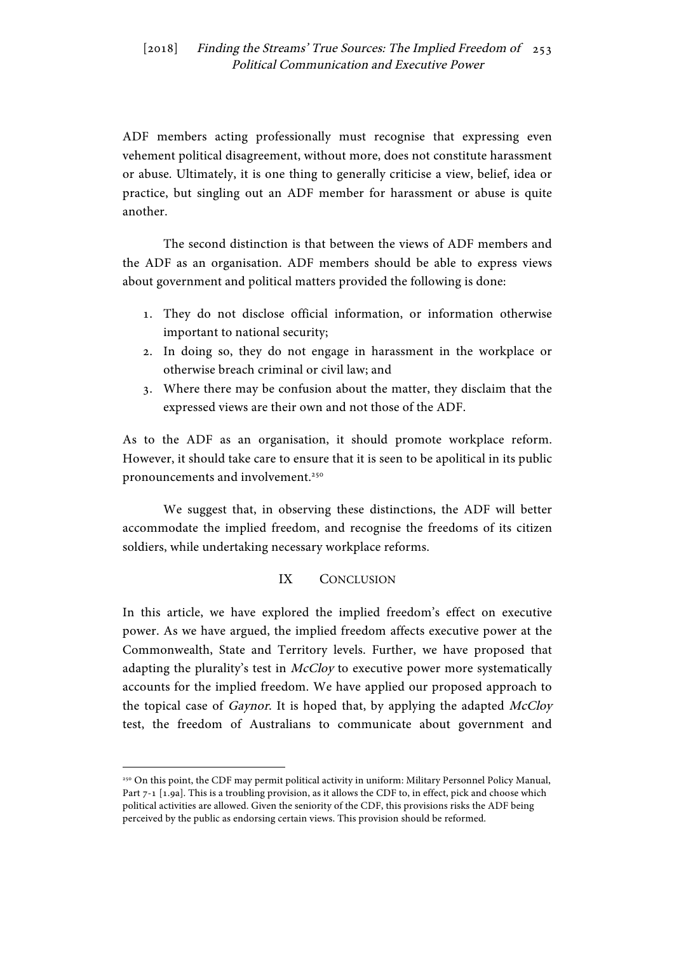ADF members acting professionally must recognise that expressing even vehement political disagreement, without more, does not constitute harassment or abuse. Ultimately, it is one thing to generally criticise a view, belief, idea or practice, but singling out an ADF member for harassment or abuse is quite another.

The second distinction is that between the views of ADF members and the ADF as an organisation. ADF members should be able to express views about government and political matters provided the following is done:

- 1. They do not disclose official information, or information otherwise important to national security;
- 2. In doing so, they do not engage in harassment in the workplace or otherwise breach criminal or civil law; and
- 3. Where there may be confusion about the matter, they disclaim that the expressed views are their own and not those of the ADF.

As to the ADF as an organisation, it should promote workplace reform. However, it should take care to ensure that it is seen to be apolitical in its public pronouncements and involvement.<sup>250</sup>

We suggest that, in observing these distinctions, the ADF will better accommodate the implied freedom, and recognise the freedoms of its citizen soldiers, while undertaking necessary workplace reforms.

# IX CONCLUSION

In this article, we have explored the implied freedom's effect on executive power. As we have argued, the implied freedom affects executive power at the Commonwealth, State and Territory levels. Further, we have proposed that adapting the plurality's test in *McCloy* to executive power more systematically accounts for the implied freedom. We have applied our proposed approach to the topical case of *Gaynor*. It is hoped that, by applying the adapted *McCloy* test, the freedom of Australians to communicate about government and

<sup>250</sup> On this point, the CDF may permit political activity in uniform: Military Personnel Policy Manual, Part 7-1 [1.9a]. This is a troubling provision, as it allows the CDF to, in effect, pick and choose which political activities are allowed. Given the seniority of the CDF, this provisions risks the ADF being perceived by the public as endorsing certain views. This provision should be reformed.